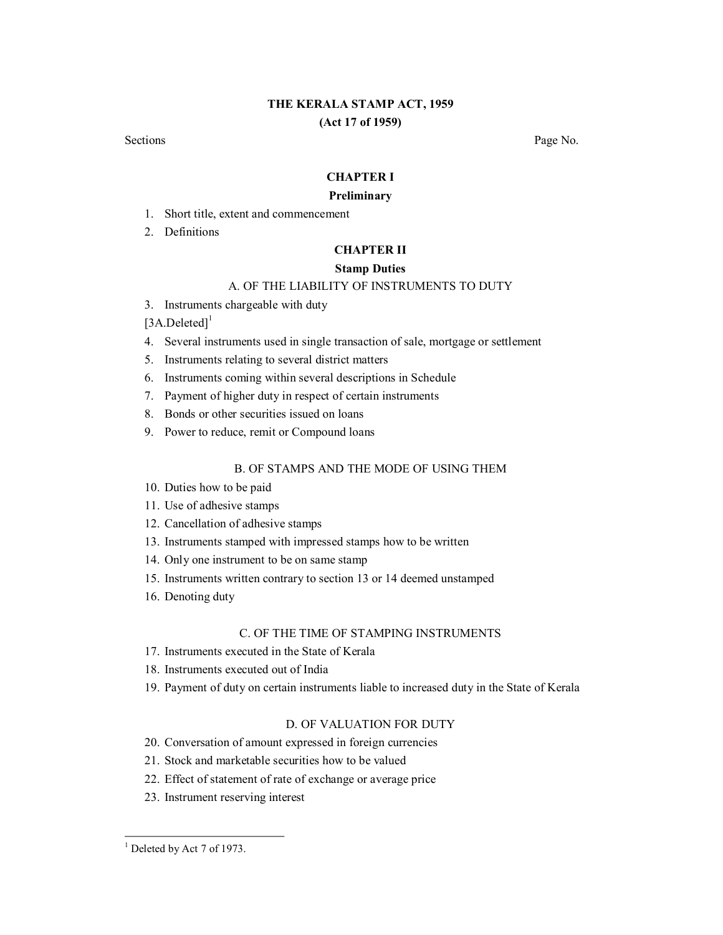# **THE KERALA STAMP ACT, 1959 (Act 17 of 1959)**

Sections **Page No.** 

# **CHAPTER I**

#### **Preliminary**

- 1. Short title, extent and commencement
- 2. Definitions

### **CHAPTER II**

# **Stamp Duties**

# A. OF THE LIABILITY OF INSTRUMENTS TO DUTY

3. Instruments chargeable with duty

 $[3A.Deleted]$ <sup>1</sup>

- 4. Several instruments used in single transaction of sale, mortgage or settlement
- 5. Instruments relating to several district matters
- 6. Instruments coming within several descriptions in Schedule
- 7. Payment of higher duty in respect of certain instruments
- 8. Bonds or other securities issued on loans
- 9. Power to reduce, remit or Compound loans

# B. OF STAMPS AND THE MODE OF USING THEM

- 10. Duties how to be paid
- 11. Use of adhesive stamps
- 12. Cancellation of adhesive stamps
- 13. Instruments stamped with impressed stamps how to be written
- 14. Only one instrument to be on same stamp
- 15. Instruments written contrary to section 13 or 14 deemed unstamped
- 16. Denoting duty

### C. OF THE TIME OF STAMPING INSTRUMENTS

- 17. Instruments executed in the State of Kerala
- 18. Instruments executed out of India
- 19. Payment of duty on certain instruments liable to increased duty in the State of Kerala

### D. OF VALUATION FOR DUTY

- 20. Conversation of amount expressed in foreign currencies
- 21. Stock and marketable securities how to be valued
- 22. Effect of statement of rate of exchange or average price
- 23. Instrument reserving interest

 $<sup>1</sup>$  Deleted by Act 7 of 1973.</sup>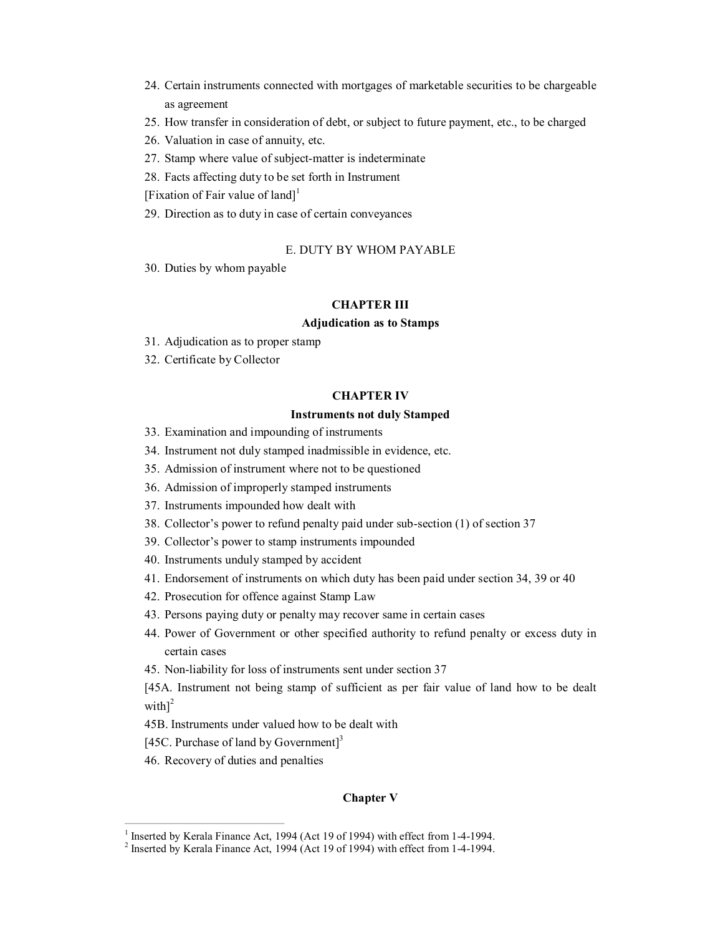- 24. Certain instruments connected with mortgages of marketable securities to be chargeable as agreement
- 25. How transfer in consideration of debt, or subject to future payment, etc., to be charged
- 26. Valuation in case of annuity, etc.
- 27. Stamp where value of subject-matter is indeterminate
- 28. Facts affecting duty to be set forth in Instrument
- [Fixation of Fair value of land]<sup>1</sup>
- 29. Direction as to duty in case of certain conveyances

### E. DUTY BY WHOM PAYABLE

30. Duties by whom payable

### **CHAPTER III**

### **Adjudication as to Stamps**

- 31. Adjudication as to proper stamp
- 32. Certificate by Collector

### **CHAPTER IV**

### **Instruments not duly Stamped**

- 33. Examination and impounding of instruments
- 34. Instrument not duly stamped inadmissible in evidence, etc.
- 35. Admission of instrument where not to be questioned
- 36. Admission of improperly stamped instruments
- 37. Instruments impounded how dealt with
- 38. Collector's power to refund penalty paid under subsection (1) of section 37
- 39. Collector's power to stamp instruments impounded
- 40. Instruments unduly stamped by accident
- 41. Endorsement of instruments on which duty has been paid under section 34, 39 or 40
- 42. Prosecution for offence against Stamp Law
- 43. Persons paying duty or penalty may recover same in certain cases
- 44. Power of Government or other specified authority to refund penalty or excess duty in certain cases
- 45. Non-liability for loss of instruments sent under section 37

[45A. Instrument not being stamp of sufficient as per fair value of land how to be dealt with] $^{2}$ 

- 45B. Instruments under valued how to be dealt with
- [45C. Purchase of land by Government]<sup>3</sup>
- 46. Recovery of duties and penalties

### **Chapter V**

<sup>&</sup>lt;sup>1</sup> Inserted by Kerala Finance Act, 1994 (Act 19 of 1994) with effect from 1-4-1994.<br><sup>2</sup> Inserted by Kerala Finance Act, 1994 (Act 19 of 1994) with effect from 1-4-1994.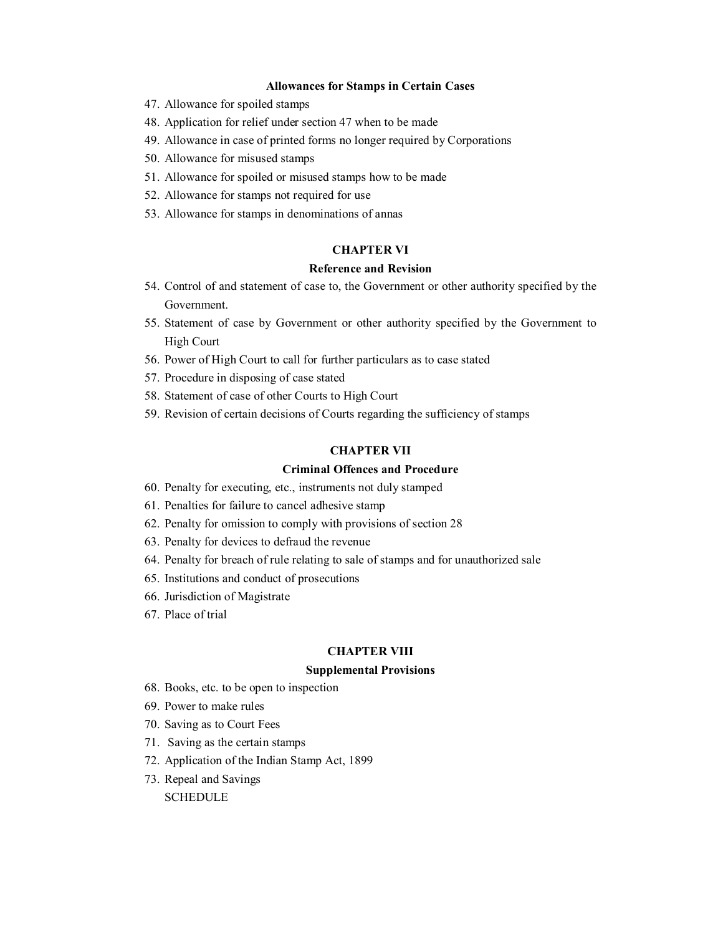### **Allowances for Stamps in Certain Cases**

- 47. Allowance for spoiled stamps
- 48. Application for relief under section 47 when to be made
- 49. Allowance in case of printed forms no longer required by Corporations
- 50. Allowance for misused stamps
- 51. Allowance for spoiled or misused stamps how to be made
- 52. Allowance for stamps not required for use
- 53. Allowance for stamps in denominations of annas

# **CHAPTER VI**

# **Reference and Revision**

- 54. Control of and statement of case to, the Government or other authority specified by the Government.
- 55. Statement of case by Government or other authority specified by the Government to High Court
- 56. Power of High Court to call for further particulars as to case stated
- 57. Procedure in disposing of case stated
- 58. Statement of case of other Courts to High Court
- 59. Revision of certain decisions of Courts regarding the sufficiency of stamps

# **CHAPTER VII**

### **Criminal Offences and Procedure**

- 60. Penalty for executing, etc., instruments not duly stamped
- 61. Penalties for failure to cancel adhesive stamp
- 62. Penalty for omission to comply with provisions of section 28
- 63. Penalty for devices to defraud the revenue
- 64. Penalty for breach of rule relating to sale of stamps and for unauthorized sale
- 65. Institutions and conduct of prosecutions
- 66. Jurisdiction of Magistrate
- 67. Place of trial

#### **CHAPTER VIII**

### **Supplemental Provisions**

- 68. Books, etc. to be open to inspection
- 69. Power to make rules
- 70. Saving as to Court Fees
- 71. Saving as the certain stamps
- 72. Application of the Indian Stamp Act, 1899
- 73. Repeal and Savings

**SCHEDULE**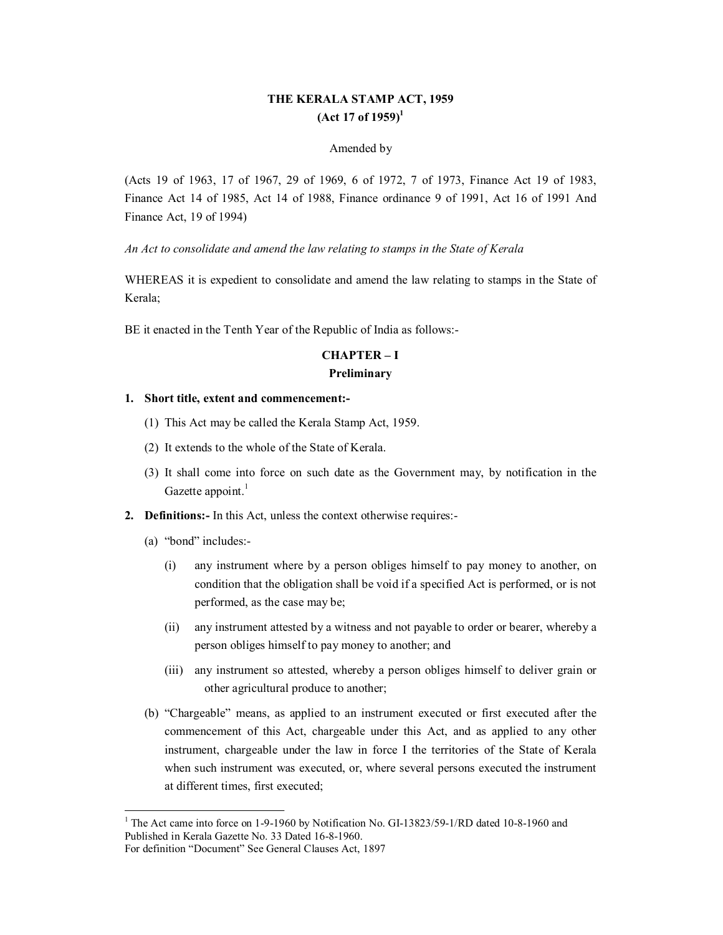# **THE KERALA STAMP ACT, 1959 (Act 17 of 1959) 1**

### Amended by

(Acts 19 of 1963, 17 of 1967, 29 of 1969, 6 of 1972, 7 of 1973, Finance Act 19 of 1983, Finance Act 14 of 1985, Act 14 of 1988, Finance ordinance 9 of 1991, Act 16 of 1991 And Finance Act, 19 of 1994)

*An Act to consolidate and amend the law relating to stamps in the State of Kerala*

WHEREAS it is expedient to consolidate and amend the law relating to stamps in the State of Kerala;

BE it enacted in the Tenth Year of the Republic of India as follows:

# **CHAPTER – I Preliminary**

### **1. Short title, extent and commencement:**

- (1) This Act may be called the Kerala Stamp Act, 1959.
- (2) It extends to the whole of the State of Kerala.
- (3) It shall come into force on such date as the Government may, by notification in the Gazette appoint. $<sup>1</sup>$ </sup>
- **2. Definitions:** In this Act, unless the context otherwise requires:
	- (a) "bond" includes:
		- (i) any instrument where by a person obliges himself to pay money to another, on condition that the obligation shall be void if a specified Act is performed, or is not performed, as the case may be;
		- (ii) any instrument attested by a witness and not payable to order or bearer, whereby a person obliges himself to pay money to another; and
		- (iii) any instrument so attested, whereby a person obliges himself to deliver grain or other agricultural produce to another;
	- (b) "Chargeable" means, as applied to an instrument executed or first executed after the commencement of this Act, chargeable under this Act, and as applied to any other instrument, chargeable under the law in force I the territories of the State of Kerala when such instrument was executed, or, where several persons executed the instrument at different times, first executed;

 $1$  The Act came into force on 1-9-1960 by Notification No. GI-13823/59-1/RD dated 10-8-1960 and Published in Kerala Gazette No. 33 Dated 16-8-1960.

For definition "Document" See General Clauses Act, 1897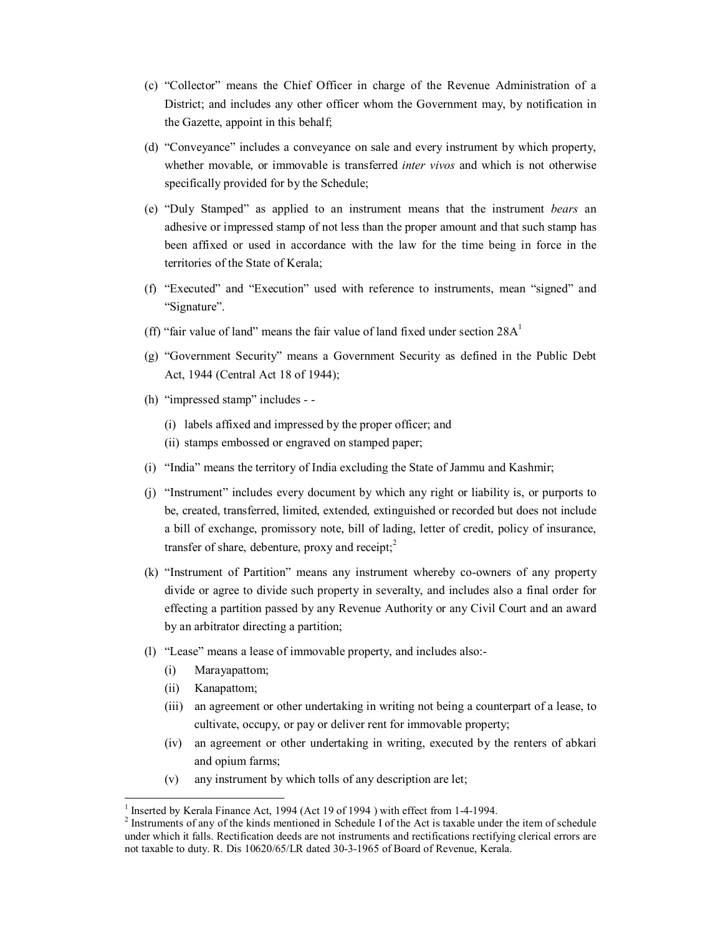- (c) "Collector" means the Chief Officer in charge of the Revenue Administration of a District; and includes any other officer whom the Government may, by notification in the Gazette, appoint in this behalf;
- (d) "Conveyance" includes a conveyance on sale and every instrument by which property, whether movable, or immovable is transferred *inter vivos* and which is not otherwise specifically provided for by the Schedule;
- (e) "Duly Stamped" as applied to an instrument means that the instrument *bears* an adhesive or impressed stamp of not less than the proper amount and that such stamp has been affixed or used in accordance with the law for the time being in force in the territories of the State of Kerala;
- (f) "Executed" and "Execution" used with reference to instruments, mean "signed" and "Signature".
- (ff) "fair value of land" means the fair value of land fixed under section  $28A<sup>1</sup>$
- (g) "Government Security" means a Government Security as defined in the Public Debt Act, 1944 (Central Act 18 of 1944);
- (h) "impressed stamp" includes
	- (i) labels affixed and impressed by the proper officer; and
	- (ii) stamps embossed or engraved on stamped paper;
- (i) "India" means the territory of India excluding the State of Jammu and Kashmir;
- (j) "Instrument" includes every document by which any right or liability is, or purports to be, created, transferred, limited, extended, extinguished or recorded but does not include a bill of exchange, promissory note, bill of lading, letter of credit, policy of insurance, transfer of share, debenture, proxy and receipt;<sup>2</sup>
- (k) "Instrument of Partition" means any instrument whereby co-owners of any property divide or agree to divide such property in severalty, and includes also a final order for effecting a partition passed by any Revenue Authority or any Civil Court and an award by an arbitrator directing a partition;
- (l) "Lease" means a lease of immovable property, and includes also:
	- (i) Marayapattom;
	- (ii) Kanapattom;
	- (iii) an agreement or other undertaking in writing not being a counterpart of a lease, to cultivate, occupy, or pay or deliver rent for immovable property;
	- (iv) an agreement or other undertaking in writing, executed by the renters of abkari and opium farms;
	- (v) any instrument by which tolls of any description are let;

<sup>&</sup>lt;sup>1</sup> Inserted by Kerala Finance Act, 1994 (Act 19 of 1994 ) with effect from 1-4-1994.<br><sup>2</sup> Instruments of any of the kinds mentioned in Schedule I of the Act is taxable under the item of schedule under which it falls. Rectification deeds are not instruments and rectifications rectifying clerical errors are not taxable to duty. R. Dis 10620/65/LR dated 30-3-1965 of Board of Revenue, Kerala.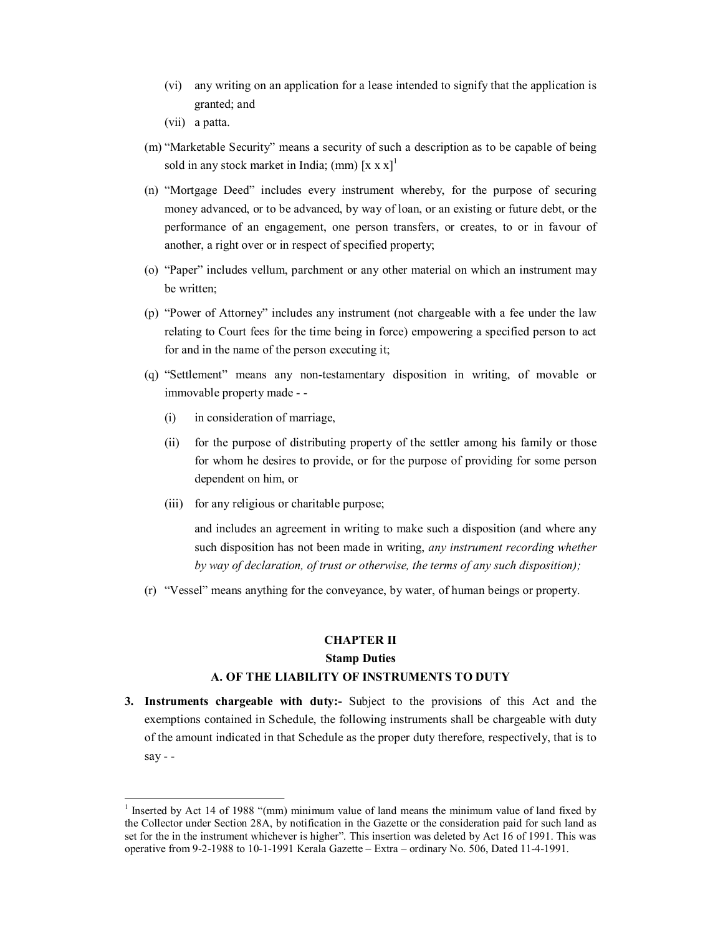- (vi) any writing on an application for a lease intended to signify that the application is granted; and
- (vii) a patta.
- (m) "Marketable Security" means a security of such a description as to be capable of being sold in any stock market in India; (mm)  $[x x x]$ <sup>1</sup>
- (n) "Mortgage Deed" includes every instrument whereby, for the purpose of securing money advanced, or to be advanced, by way of loan, or an existing or future debt, or the performance of an engagement, one person transfers, or creates, to or in favour of another, a right over or in respect of specified property;
- (o) "Paper" includes vellum, parchment or any other material on which an instrument may be written;
- (p) "Power of Attorney" includes any instrument (not chargeable with a fee under the law relating to Court fees for the time being in force) empowering a specified person to act for and in the name of the person executing it;
- (q) "Settlement" means any nontestamentary disposition in writing, of movable or immovable property made
	- (i) in consideration of marriage,
	- (ii) for the purpose of distributing property of the settler among his family or those for whom he desires to provide, or for the purpose of providing for some person dependent on him, or
	- (iii) for any religious or charitable purpose;

and includes an agreement in writing to make such a disposition (and where any such disposition has not been made in writing, *any instrument recording whether by way of declaration, of trust or otherwise, the terms of any such disposition);*

(r) "Vessel" means anything for the conveyance, by water, of human beings or property.

# **CHAPTER II Stamp Duties**

### **A. OF THE LIABILITY OF INSTRUMENTS TO DUTY**

**3. Instruments chargeable with duty:** Subject to the provisions of this Act and the exemptions contained in Schedule, the following instruments shall be chargeable with duty of the amount indicated in that Schedule as the proper duty therefore, respectively, that is to say -  $-$ 

<sup>&</sup>lt;sup>1</sup> Inserted by Act 14 of 1988 "(mm) minimum value of land means the minimum value of land fixed by the Collector under Section 28A, by notification in the Gazette or the consideration paid for such land as set for the in the instrument whichever is higher". This insertion was deleted by Act 16 of 1991. This was operative from 921988 to 1011991 Kerala Gazette – Extra – ordinary No. 506, Dated 1141991.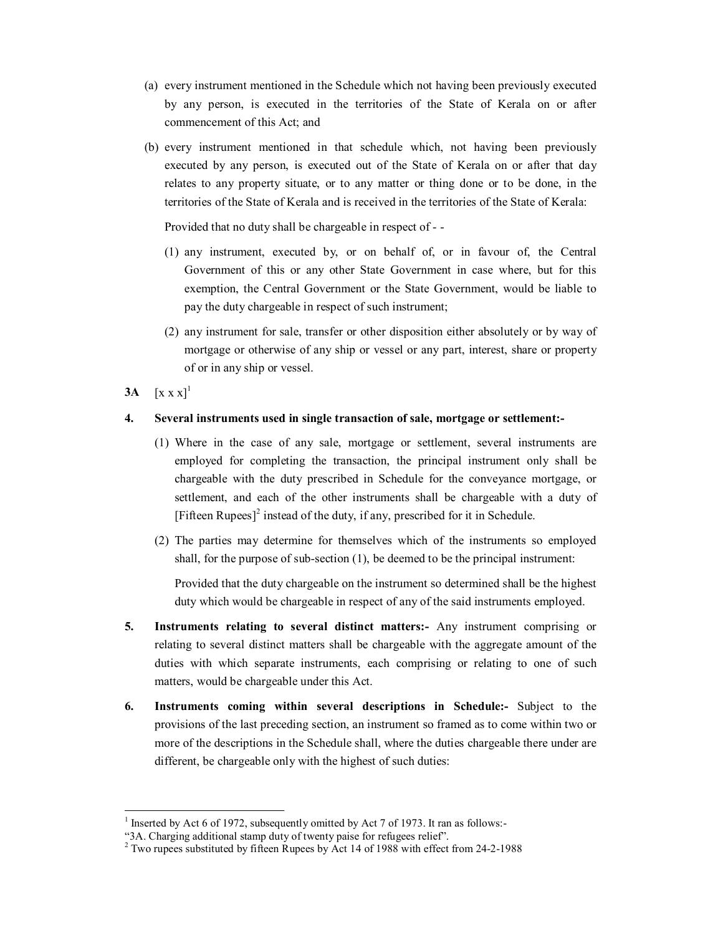- (a) every instrument mentioned in the Schedule which not having been previously executed by any person, is executed in the territories of the State of Kerala on or after commencement of this Act; and
- (b) every instrument mentioned in that schedule which, not having been previously executed by any person, is executed out of the State of Kerala on or after that day relates to any property situate, or to any matter or thing done or to be done, in the territories of the State of Kerala and is received in the territories of the State of Kerala:

Provided that no duty shall be chargeable in respect of

- (1) any instrument, executed by, or on behalf of, or in favour of, the Central Government of this or any other State Government in case where, but for this exemption, the Central Government or the State Government, would be liable to pay the duty chargeable in respect of such instrument;
- (2) any instrument for sale, transfer or other disposition either absolutely or by way of mortgage or otherwise of any ship or vessel or any part, interest, share or property of or in any ship or vessel.
- **3A**  $[x x x]$ <sup>1</sup>

# **4. Several instruments used in single transaction of sale, mortgage or settlement:**

- (1) Where in the case of any sale, mortgage or settlement, several instruments are employed for completing the transaction, the principal instrument only shall be chargeable with the duty prescribed in Schedule for the conveyance mortgage, or settlement, and each of the other instruments shall be chargeable with a duty of [Fifteen Rupees] 2 instead of the duty, if any, prescribed for it in Schedule.
- (2) The parties may determine for themselves which of the instruments so employed shall, for the purpose of sub-section  $(1)$ , be deemed to be the principal instrument:

Provided that the duty chargeable on the instrument so determined shall be the highest duty which would be chargeable in respect of any of the said instruments employed.

- **5. Instruments relating to several distinct matters:** Any instrument comprising or relating to several distinct matters shall be chargeable with the aggregate amount of the duties with which separate instruments, each comprising or relating to one of such matters, would be chargeable under this Act.
- **6. Instruments coming within several descriptions in Schedule:** Subject to the provisions of the last preceding section, an instrument so framed as to come within two or more of the descriptions in the Schedule shall, where the duties chargeable there under are different, be chargeable only with the highest of such duties:

<sup>&</sup>lt;sup>1</sup> Inserted by Act 6 of 1972, subsequently omitted by Act 7 of 1973. It ran as follows:-<br>"3A. Charging additional stamp duty of twenty paise for refugees relief".

<sup>&</sup>lt;sup>2</sup> Two rupees substituted by fifteen Rupees by Act 14 of 1988 with effect from 24-2-1988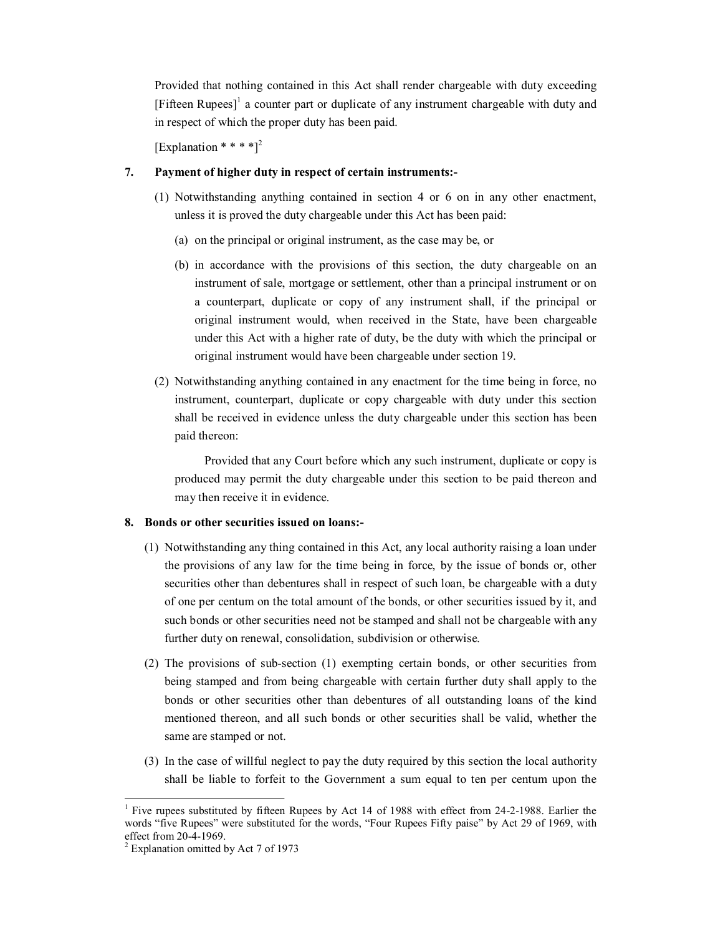Provided that nothing contained in this Act shall render chargeable with duty exceeding [Fifteen Rupees]<sup>1</sup> a counter part or duplicate of any instrument chargeable with duty and in respect of which the proper duty has been paid.

[Explanation \* \* \* \*]<sup>2</sup>

# **7. Payment of higher duty in respect of certain instruments:**

- (1) Notwithstanding anything contained in section 4 or 6 on in any other enactment, unless it is proved the duty chargeable under this Act has been paid:
	- (a) on the principal or original instrument, as the case may be, or
	- (b) in accordance with the provisions of this section, the duty chargeable on an instrument of sale, mortgage or settlement, other than a principal instrument or on a counterpart, duplicate or copy of any instrument shall, if the principal or original instrument would, when received in the State, have been chargeable under this Act with a higher rate of duty, be the duty with which the principal or original instrument would have been chargeable under section 19.
- (2) Notwithstanding anything contained in any enactment for the time being in force, no instrument, counterpart, duplicate or copy chargeable with duty under this section shall be received in evidence unless the duty chargeable under this section has been paid thereon:

Provided that any Court before which any such instrument, duplicate or copy is produced may permit the duty chargeable under this section to be paid thereon and may then receive it in evidence.

### **8. Bonds or other securities issued on loans:**

- (1) Notwithstanding any thing contained in this Act, any local authority raising a loan under the provisions of any law for the time being in force, by the issue of bonds or, other securities other than debentures shall in respect of such loan, be chargeable with a duty of one per centum on the total amount of the bonds, or other securities issued by it, and such bonds or other securities need not be stamped and shall not be chargeable with any further duty on renewal, consolidation, subdivision or otherwise.
- (2) The provisions of subsection (1) exempting certain bonds, or other securities from being stamped and from being chargeable with certain further duty shall apply to the bonds or other securities other than debentures of all outstanding loans of the kind mentioned thereon, and all such bonds or other securities shall be valid, whether the same are stamped or not.
- (3) In the case of willful neglect to pay the duty required by this section the local authority shall be liable to forfeit to the Government a sum equal to ten per centum upon the

<sup>&</sup>lt;sup>1</sup> Five rupees substituted by fifteen Rupees by Act 14 of 1988 with effect from 24-2-1988. Earlier the words "five Rupees" were substituted for the words, "Four Rupees Fifty paise" by Act 29 of 1969, with effect from 20-4-1969.

 $^2$  Explanation omitted by Act 7 of 1973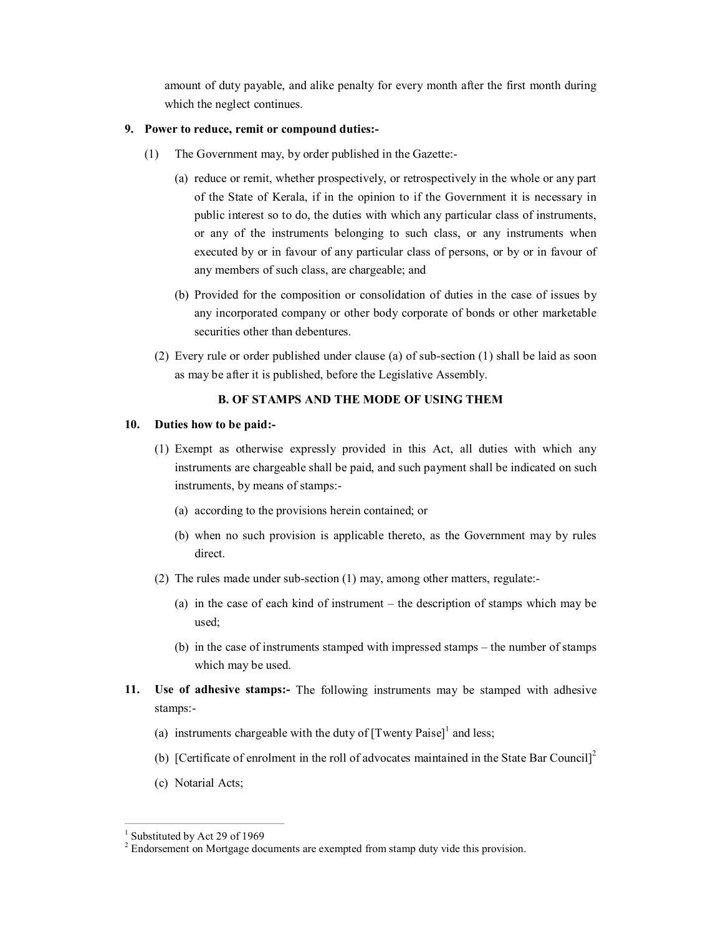amount of duty payable, and alike penalty for every month after the first month during which the neglect continues.

# **9. Power to reduce, remit or compound duties:**

- (1) The Government may, by order published in the Gazette:
	- (a) reduce or remit, whether prospectively, or retrospectively in the whole or any part of the State of Kerala, if in the opinion to if the Government it is necessary in public interest so to do, the duties with which any particular class of instruments, or any of the instruments belonging to such class, or any instruments when executed by or in favour of any particular class of persons, or by or in favour of any members of such class, are chargeable; and
	- (b) Provided for the composition or consolidation of duties in the case of issues by any incorporated company or other body corporate of bonds or other marketable securities other than debentures.
	- (2) Every rule or order published under clause (a) of sub-section  $(1)$  shall be laid as soon as may be after it is published, before the Legislative Assembly.

# **B. OF STAMPS AND THE MODE OF USING THEM**

### **10. Duties how to be paid:**

- (1) Exempt as otherwise expressly provided in this Act, all duties with which any instruments are chargeable shall be paid, and such payment shall be indicated on such instruments, by means of stamps:
	- (a) according to the provisions herein contained; or
	- (b) when no such provision is applicable thereto, as the Government may by rules direct.
- (2) The rules made under sub-section  $(1)$  may, among other matters, regulate:-
	- (a) in the case of each kind of instrument the description of stamps which may be used;
	- (b) in the case of instruments stamped with impressed stamps the number of stamps which may be used.
- 11. Use of adhesive stamps:- The following instruments may be stamped with adhesive stamps:
	- (a) instruments chargeable with the duty of  $[Twenty$  Paise $]$ <sup>1</sup> and less;
	- (b) [Certificate of enrolment in the roll of advocates maintained in the State Bar Council]<sup>2</sup>
	- (c) Notarial Acts;

 $<sup>1</sup>$  Substituted by Act 29 of 1969</sup>

<sup>&</sup>lt;sup>2</sup> Endorsement on Mortgage documents are exempted from stamp duty vide this provision.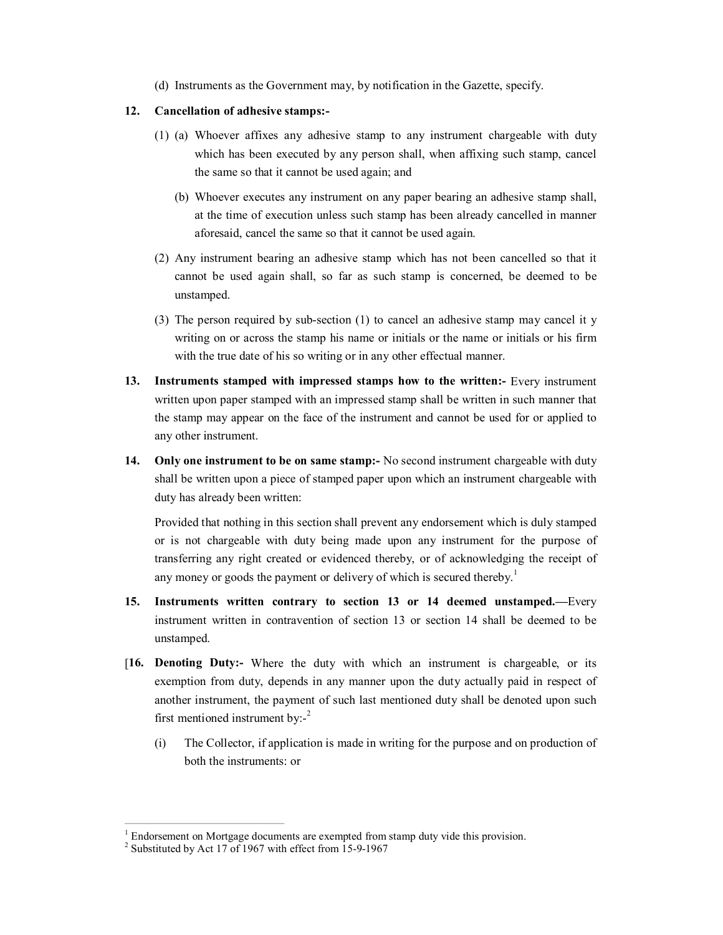(d) Instruments as the Government may, by notification in the Gazette, specify.

## **12. Cancellation of adhesive stamps:**

- (1) (a) Whoever affixes any adhesive stamp to any instrument chargeable with duty which has been executed by any person shall, when affixing such stamp, cancel the same so that it cannot be used again; and
	- (b) Whoever executes any instrument on any paper bearing an adhesive stamp shall, at the time of execution unless such stamp has been already cancelled in manner aforesaid, cancel the same so that it cannot be used again.
- (2) Any instrument bearing an adhesive stamp which has not been cancelled so that it cannot be used again shall, so far as such stamp is concerned, be deemed to be unstamped.
- (3) The person required by sub-section (1) to cancel an adhesive stamp may cancel it y writing on or across the stamp his name or initials or the name or initials or his firm with the true date of his so writing or in any other effectual manner.
- **13. Instruments stamped with impressed stamps how to the written:** Every instrument written upon paper stamped with an impressed stamp shall be written in such manner that the stamp may appear on the face of the instrument and cannot be used for or applied to any other instrument.
- **14.** Only one instrument to be on same stamp:- No second instrument chargeable with duty shall be written upon a piece of stamped paper upon which an instrument chargeable with duty has already been written:

Provided that nothing in this section shall prevent any endorsement which is duly stamped or is not chargeable with duty being made upon any instrument for the purpose of transferring any right created or evidenced thereby, or of acknowledging the receipt of any money or goods the payment or delivery of which is secured thereby.<sup>1</sup>

- **15. Instruments written contrary to section 13 or 14 deemed unstamped.—**Every instrument written in contravention of section 13 or section 14 shall be deemed to be unstamped.
- [**16. Denoting Duty:** Where the duty with which an instrument is chargeable, or its exemption from duty, depends in any manner upon the duty actually paid in respect of another instrument, the payment of such last mentioned duty shall be denoted upon such first mentioned instrument by: $-$ <sup>2</sup>
	- (i) The Collector, if application is made in writing for the purpose and on production of both the instruments: or

<sup>&</sup>lt;sup>1</sup> Endorsement on Mortgage documents are exempted from stamp duty vide this provision. <sup>2</sup> Substituted by Act 17 of 1967 with effect from 15-9-1967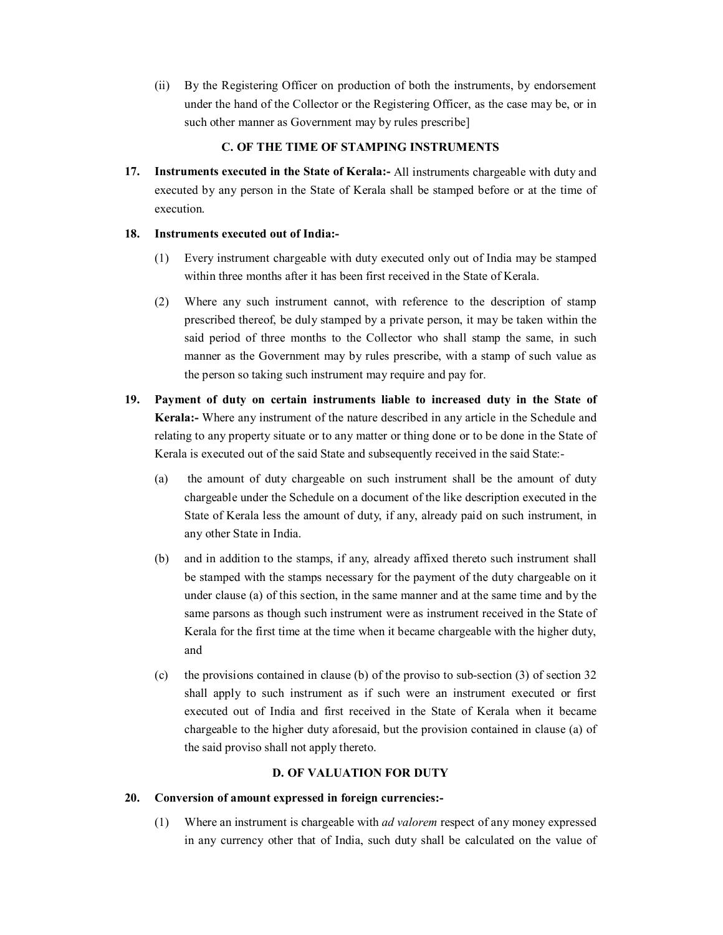(ii) By the Registering Officer on production of both the instruments, by endorsement under the hand of the Collector or the Registering Officer, as the case may be, or in such other manner as Government may by rules prescribe]

# **C. OF THE TIME OF STAMPING INSTRUMENTS**

**17. Instruments executed in the State of Kerala:** All instruments chargeable with duty and executed by any person in the State of Kerala shall be stamped before or at the time of execution.

# **18. Instruments executed out of India:**

- (1) Every instrument chargeable with duty executed only out of India may be stamped within three months after it has been first received in the State of Kerala.
- (2) Where any such instrument cannot, with reference to the description of stamp prescribed thereof, be duly stamped by a private person, it may be taken within the said period of three months to the Collector who shall stamp the same, in such manner as the Government may by rules prescribe, with a stamp of such value as the person so taking such instrument may require and pay for.
- **19. Payment of duty on certain instruments liable to increased duty in the State of Kerala:** Where any instrument of the nature described in any article in the Schedule and relating to any property situate or to any matter or thing done or to be done in the State of Kerala is executed out of the said State and subsequently received in the said State:
	- (a) the amount of duty chargeable on such instrument shall be the amount of duty chargeable under the Schedule on a document of the like description executed in the State of Kerala less the amount of duty, if any, already paid on such instrument, in any other State in India.
	- (b) and in addition to the stamps, if any, already affixed thereto such instrument shall be stamped with the stamps necessary for the payment of the duty chargeable on it under clause (a) of this section, in the same manner and at the same time and by the same parsons as though such instrument were as instrument received in the State of Kerala for the first time at the time when it became chargeable with the higher duty, and
	- (c) the provisions contained in clause (b) of the proviso to subsection (3) of section 32 shall apply to such instrument as if such were an instrument executed or first executed out of India and first received in the State of Kerala when it became chargeable to the higher duty aforesaid, but the provision contained in clause (a) of the said proviso shall not apply thereto.

# **D. OF VALUATION FOR DUTY**

# **20. Conversion of amount expressed in foreign currencies:**

(1) Where an instrument is chargeable with *ad valorem* respect of any money expressed in any currency other that of India, such duty shall be calculated on the value of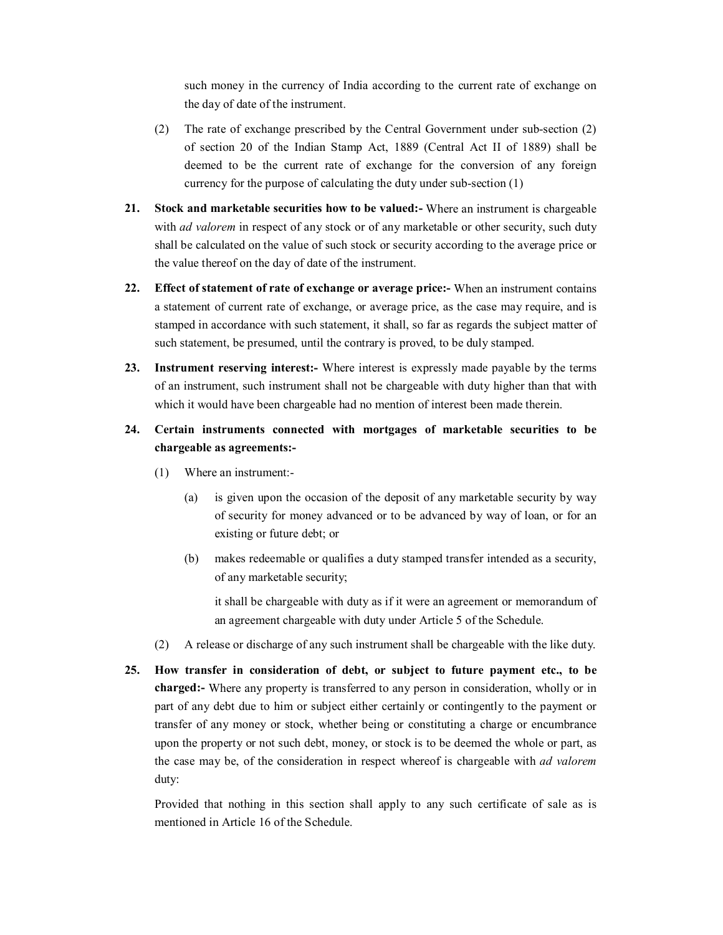such money in the currency of India according to the current rate of exchange on the day of date of the instrument.

- (2) The rate of exchange prescribed by the Central Government under subsection (2) of section 20 of the Indian Stamp Act, 1889 (Central Act II of 1889) shall be deemed to be the current rate of exchange for the conversion of any foreign currency for the purpose of calculating the duty under sub-section  $(1)$
- **21. Stock and marketable securities how to be valued:** Where an instrument is chargeable with *ad valorem* in respect of any stock or of any marketable or other security, such duty shall be calculated on the value of such stock or security according to the average price or the value thereof on the day of date of the instrument.
- **22. Effect of statement of rate of exchange or average price:** When an instrument contains a statement of current rate of exchange, or average price, as the case may require, and is stamped in accordance with such statement, it shall, so far as regards the subject matter of such statement, be presumed, until the contrary is proved, to be duly stamped.
- **23. Instrument reserving interest:** Where interest is expressly made payable by the terms of an instrument, such instrument shall not be chargeable with duty higher than that with which it would have been chargeable had no mention of interest been made therein.
- **24. Certain instruments connected with mortgages of marketable securities to be chargeable as agreements:**
	- (1) Where an instrument:
		- (a) is given upon the occasion of the deposit of any marketable security by way of security for money advanced or to be advanced by way of loan, or for an existing or future debt; or
		- (b) makes redeemable or qualifies a duty stamped transfer intended as a security, of any marketable security;

it shall be chargeable with duty as if it were an agreement or memorandum of an agreement chargeable with duty under Article 5 of the Schedule.

- (2) A release or discharge of any such instrument shall be chargeable with the like duty.
- **25. How transfer in consideration of debt, or subject to future payment etc., to be charged:** Where any property is transferred to any person in consideration, wholly or in part of any debt due to him or subject either certainly or contingently to the payment or transfer of any money or stock, whether being or constituting a charge or encumbrance upon the property or not such debt, money, or stock is to be deemed the whole or part, as the case may be, of the consideration in respect whereof is chargeable with *ad valorem* duty:

Provided that nothing in this section shall apply to any such certificate of sale as is mentioned in Article 16 of the Schedule.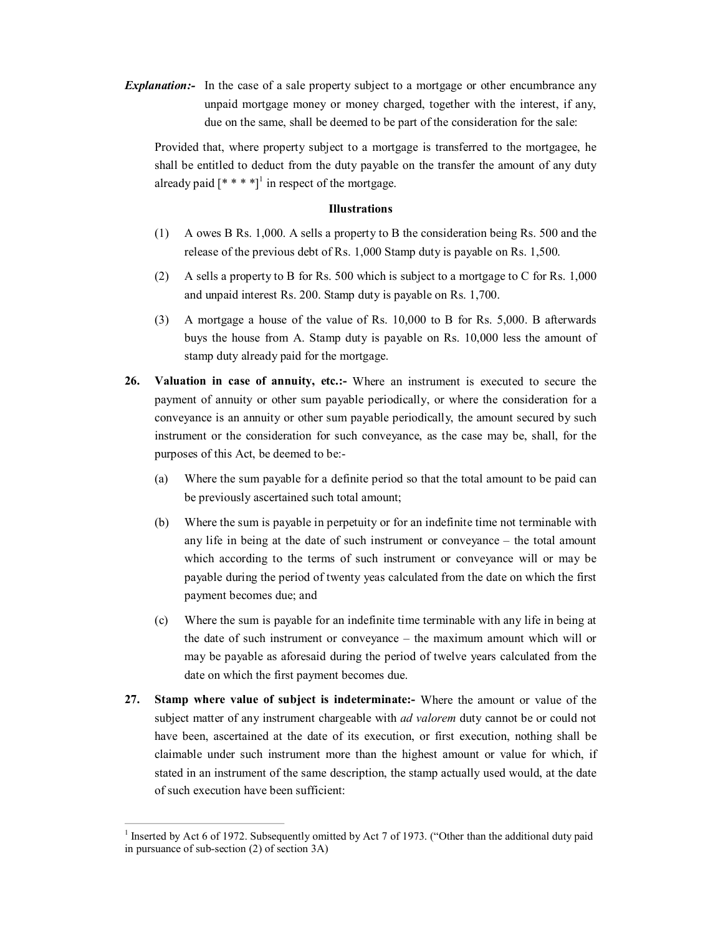*Explanation*: In the case of a sale property subject to a mortgage or other encumbrance any unpaid mortgage money or money charged, together with the interest, if any, due on the same, shall be deemed to be part of the consideration for the sale:

Provided that, where property subject to a mortgage is transferred to the mortgagee, he shall be entitled to deduct from the duty payable on the transfer the amount of any duty already paid  $[* ***]$ <sup>1</sup> in respect of the mortgage.

### **Illustrations**

- (1) A owes B Rs. 1,000. A sells a property to B the consideration being Rs. 500 and the release of the previous debt of Rs. 1,000 Stamp duty is payable on Rs. 1,500.
- (2) A sells a property to B for Rs. 500 which is subject to a mortgage to C for Rs. 1,000 and unpaid interest Rs. 200. Stamp duty is payable on Rs. 1,700.
- (3) A mortgage a house of the value of Rs. 10,000 to B for Rs. 5,000. B afterwards buys the house from A. Stamp duty is payable on Rs. 10,000 less the amount of stamp duty already paid for the mortgage.
- **26. Valuation in case of annuity, etc.:** Where an instrument is executed to secure the payment of annuity or other sum payable periodically, or where the consideration for a conveyance is an annuity or other sum payable periodically, the amount secured by such instrument or the consideration for such conveyance, as the case may be, shall, for the purposes of this Act, be deemed to be:
	- (a) Where the sum payable for a definite period so that the total amount to be paid can be previously ascertained such total amount;
	- (b) Where the sum is payable in perpetuity or for an indefinite time not terminable with any life in being at the date of such instrument or conveyance – the total amount which according to the terms of such instrument or conveyance will or may be payable during the period of twenty yeas calculated from the date on which the first payment becomes due; and
	- (c) Where the sum is payable for an indefinite time terminable with any life in being at the date of such instrument or conveyance – the maximum amount which will or may be payable as aforesaid during the period of twelve years calculated from the date on which the first payment becomes due.
- **27. Stamp where value of subject is indeterminate:** Where the amount or value of the subject matter of any instrument chargeable with *ad valorem* duty cannot be or could not have been, ascertained at the date of its execution, or first execution, nothing shall be claimable under such instrument more than the highest amount or value for which, if stated in an instrument of the same description, the stamp actually used would, at the date of such execution have been sufficient:

<sup>&</sup>lt;sup>1</sup> Inserted by Act 6 of 1972. Subsequently omitted by Act 7 of 1973. ("Other than the additional duty paid in pursuance of sub-section  $(2)$  of section  $3A$ )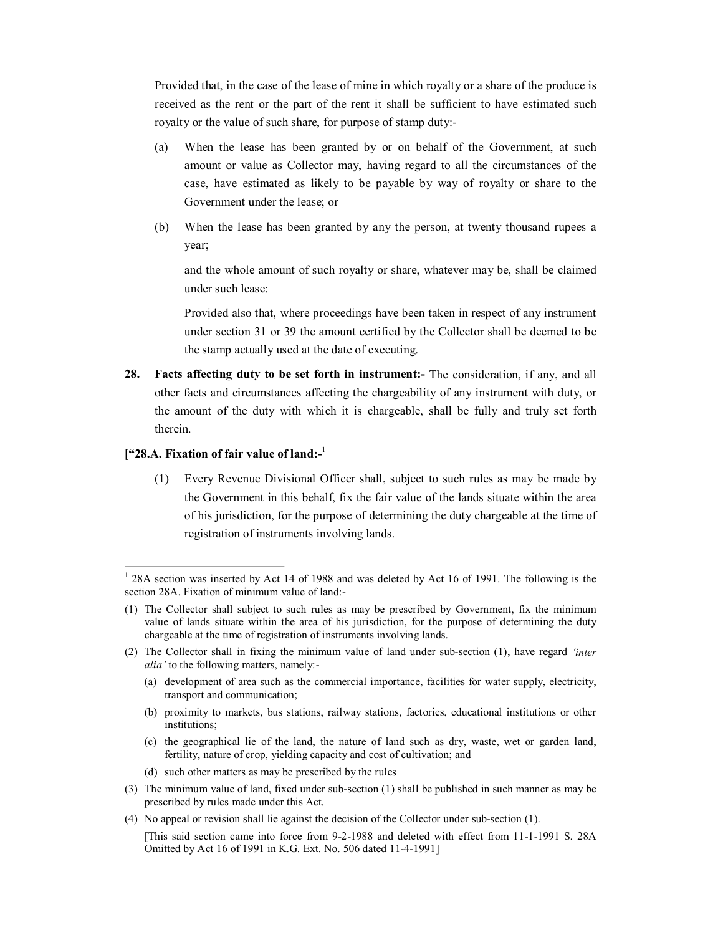Provided that, in the case of the lease of mine in which royalty or a share of the produce is received as the rent or the part of the rent it shall be sufficient to have estimated such royalty or the value of such share, for purpose of stamp duty:

- (a) When the lease has been granted by or on behalf of the Government, at such amount or value as Collector may, having regard to all the circumstances of the case, have estimated as likely to be payable by way of royalty or share to the Government under the lease; or
- (b) When the lease has been granted by any the person, at twenty thousand rupees a year;

and the whole amount of such royalty or share, whatever may be, shall be claimed under such lease:

Provided also that, where proceedings have been taken in respect of any instrument under section 31 or 39 the amount certified by the Collector shall be deemed to be the stamp actually used at the date of executing.

**28. Facts affecting duty to be set forth in instrument:** The consideration, if any, and all other facts and circumstances affecting the chargeability of any instrument with duty, or the amount of the duty with which it is chargeable, shall be fully and truly set forth therein.

### [**"28.A. Fixation of fair value of land:**<sup>1</sup>

(1) Every Revenue Divisional Officer shall, subject to such rules as may be made by the Government in this behalf, fix the fair value of the lands situate within the area of his jurisdiction, for the purpose of determining the duty chargeable at the time of registration of instruments involving lands.

- (b) proximity to markets, bus stations, railway stations, factories, educational institutions or other institutions;
- (c) the geographical lie of the land, the nature of land such as dry, waste, wet or garden land, fertility, nature of crop, yielding capacity and cost of cultivation; and
- (d) such other matters as may be prescribed by the rules
- (3) The minimum value of land, fixed under subsection (1) shall be published in such manner as may be prescribed by rules made under this Act.
- (4) No appeal or revision shall lie against the decision of the Collector under subsection (1).

<sup>&</sup>lt;sup>1</sup> 28A section was inserted by Act 14 of 1988 and was deleted by Act 16 of 1991. The following is the section 28A. Fixation of minimum value of land:

<sup>(1)</sup>  The Collector shall subject to such rules as may be prescribed by Government, fix the minimum value of lands situate within the area of his jurisdiction, for the purpose of determining the duty chargeable at the time of registration of instruments involving lands.

<sup>(2)</sup>  The Collector shall in fixing the minimum value of land under subsection (1), have regard *'inter alia'* to the following matters, namely:

<sup>(</sup>a) development of area such as the commercial importance, facilities for water supply, electricity, transport and communication;

<sup>[</sup>This said section came into force from 9-2-1988 and deleted with effect from 11-1-1991 S. 28A Omitted by Act 16 of 1991 in K.G. Ext. No. 506 dated 11-4-1991]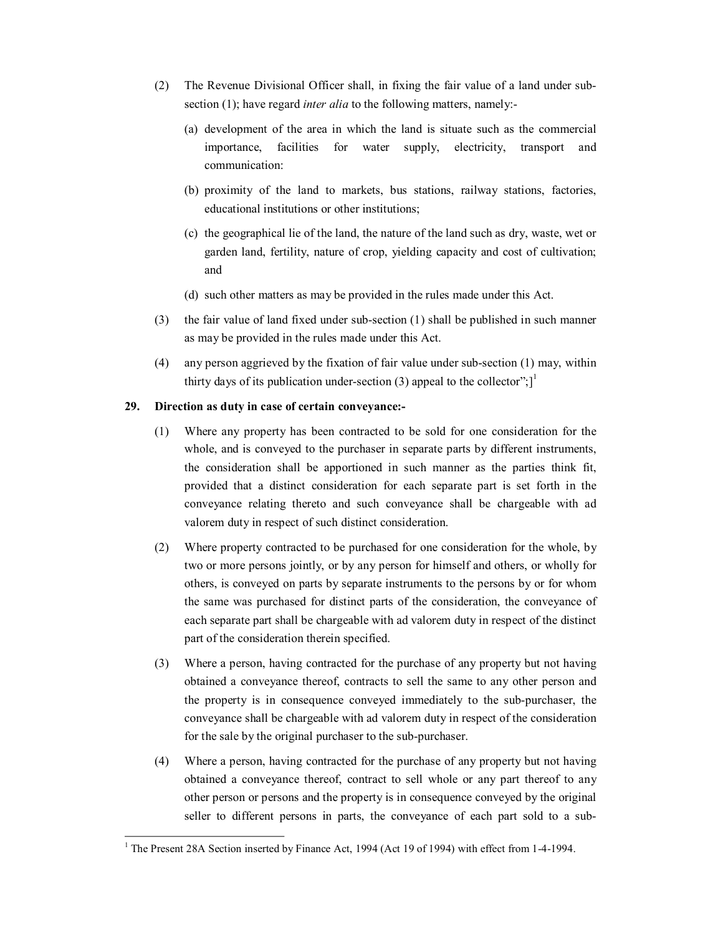- (2) The Revenue Divisional Officer shall, in fixing the fair value of a land under subsection (1); have regard *inter alia* to the following matters, namely:
	- (a) development of the area in which the land is situate such as the commercial importance, facilities for water supply, electricity, transport and communication:
	- (b) proximity of the land to markets, bus stations, railway stations, factories, educational institutions or other institutions;
	- (c) the geographical lie of the land, the nature of the land such as dry, waste, wet or garden land, fertility, nature of crop, yielding capacity and cost of cultivation; and
	- (d) such other matters as may be provided in the rules made under this Act.
- (3) the fair value of land fixed under sub-section  $(1)$  shall be published in such manner as may be provided in the rules made under this Act.
- (4) any person aggrieved by the fixation of fair value under sub-section  $(1)$  may, within thirty days of its publication under-section (3) appeal to the collector";  $]$ <sup>1</sup>

# **29. Direction as duty in case of certain conveyance:**

- (1) Where any property has been contracted to be sold for one consideration for the whole, and is conveyed to the purchaser in separate parts by different instruments, the consideration shall be apportioned in such manner as the parties think fit, provided that a distinct consideration for each separate part is set forth in the conveyance relating thereto and such conveyance shall be chargeable with ad valorem duty in respect of such distinct consideration.
- (2) Where property contracted to be purchased for one consideration for the whole, by two or more persons jointly, or by any person for himself and others, or wholly for others, is conveyed on parts by separate instruments to the persons by or for whom the same was purchased for distinct parts of the consideration, the conveyance of each separate part shall be chargeable with ad valorem duty in respect of the distinct part of the consideration therein specified.
- (3) Where a person, having contracted for the purchase of any property but not having obtained a conveyance thereof, contracts to sell the same to any other person and the property is in consequence conveyed immediately to the subpurchaser, the conveyance shall be chargeable with ad valorem duty in respect of the consideration for the sale by the original purchaser to the sub-purchaser.
- (4) Where a person, having contracted for the purchase of any property but not having obtained a conveyance thereof, contract to sell whole or any part thereof to any other person or persons and the property is in consequence conveyed by the original seller to different persons in parts, the conveyance of each part sold to a sub-

<sup>&</sup>lt;sup>1</sup> The Present 28A Section inserted by Finance Act, 1994 (Act 19 of 1994) with effect from 1-4-1994.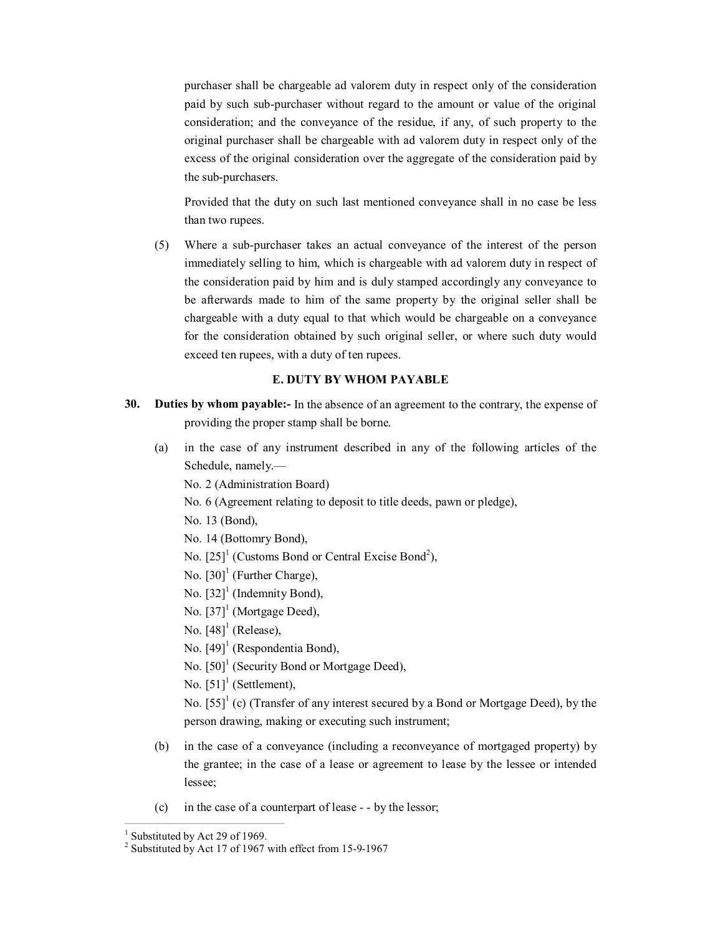purchaser shall be chargeable ad valorem duty in respect only of the consideration paid by such sub-purchaser without regard to the amount or value of the original consideration; and the conveyance of the residue, if any, of such property to the original purchaser shall be chargeable with ad valorem duty in respect only of the excess of the original consideration over the aggregate of the consideration paid by the sub-purchasers.

Provided that the duty on such last mentioned conveyance shall in no case be less than two rupees.

(5) Where a subpurchaser takes an actual conveyance of the interest of the person immediately selling to him, which is chargeable with ad valorem duty in respect of the consideration paid by him and is duly stamped accordingly any conveyance to be afterwards made to him of the same property by the original seller shall be chargeable with a duty equal to that which would be chargeable on a conveyance for the consideration obtained by such original seller, or where such duty would exceed ten rupees, with a duty of ten rupees.

# **E. DUTY BY WHOM PAYABLE**

- **30. Duties by whom payable:** In the absence of an agreement to the contrary, the expense of providing the proper stamp shall be borne.
	- (a) in the case of any instrument described in any of the following articles of the Schedule, namely.—
		- No. 2 (Administration Board)
		- No. 6 (Agreement relating to deposit to title deeds, pawn or pledge),
		- No. 13 (Bond),
		- No. 14 (Bottomry Bond),
		- No.  $[25]$ <sup>1</sup> (Customs Bond or Central Excise Bond<sup>2</sup>),
		- No. [30]<sup>1</sup> (Further Charge),
		- No. [32] <sup>1</sup> (Indemnity Bond),
		- No. [37] <sup>1</sup> (Mortgage Deed),
		- No.  $[48]^1$  (Release),
		- No. [49]<sup>1</sup> (Respondentia Bond),
		- No. [50]<sup>1</sup> (Security Bond or Mortgage Deed),
		- No.  $[51]$ <sup>1</sup> (Settlement),

No. [55]<sup>1</sup> (c) (Transfer of any interest secured by a Bond or Mortgage Deed), by the person drawing, making or executing such instrument;

- (b) in the case of a conveyance (including a reconveyance of mortgaged property) by the grantee; in the case of a lease or agreement to lease by the lessee or intended lessee;
- (c) in the case of a counterpart of lease  $-$  by the lessor;

<sup>&</sup>lt;sup>1</sup> Substituted by Act 29 of 1969.<br><sup>2</sup> Substituted by Act 17 of 1967 with effect from 15-9-1967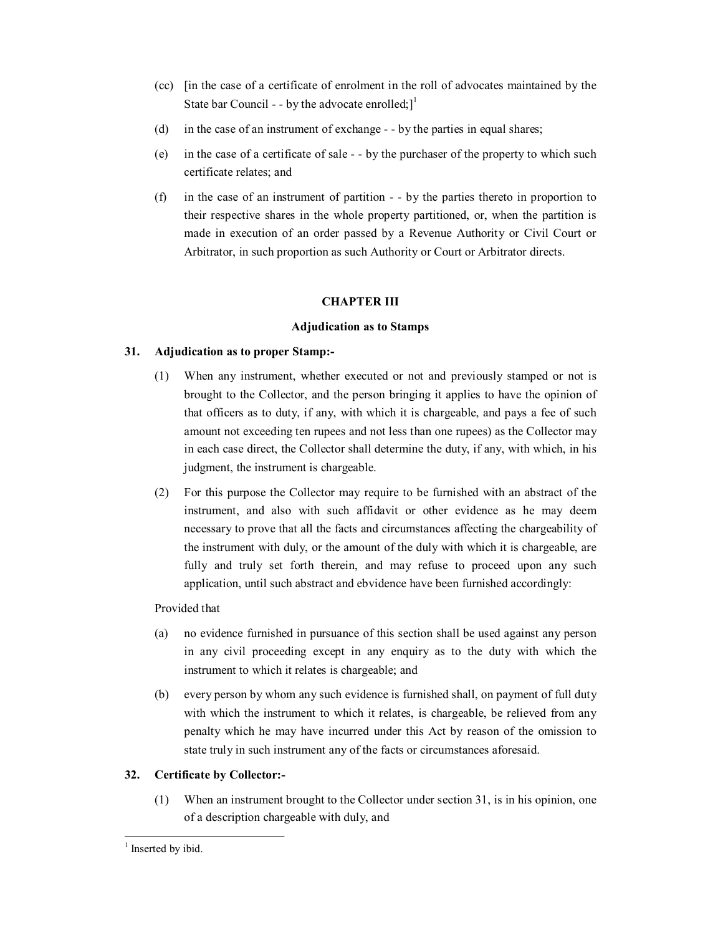- (cc) [in the case of a certificate of enrolment in the roll of advocates maintained by the State bar Council - - by the advocate enrolled;  $]^{1}$
- (d) in the case of an instrument of exchange  $-$  by the parties in equal shares;
- (e) in the case of a certificate of sale by the purchaser of the property to which such certificate relates; and
- (f) in the case of an instrument of partition  $-$  by the parties thereto in proportion to their respective shares in the whole property partitioned, or, when the partition is made in execution of an order passed by a Revenue Authority or Civil Court or Arbitrator, in such proportion as such Authority or Court or Arbitrator directs.

# **CHAPTER III**

# **Adjudication as to Stamps**

# **31. Adjudication as to proper Stamp:**

- (1) When any instrument, whether executed or not and previously stamped or not is brought to the Collector, and the person bringing it applies to have the opinion of that officers as to duty, if any, with which it is chargeable, and pays a fee of such amount not exceeding ten rupees and not less than one rupees) as the Collector may in each case direct, the Collector shall determine the duty, if any, with which, in his judgment, the instrument is chargeable.
- (2) For this purpose the Collector may require to be furnished with an abstract of the instrument, and also with such affidavit or other evidence as he may deem necessary to prove that all the facts and circumstances affecting the chargeability of the instrument with duly, or the amount of the duly with which it is chargeable, are fully and truly set forth therein, and may refuse to proceed upon any such application, until such abstract and ebvidence have been furnished accordingly:

Provided that

- (a) no evidence furnished in pursuance of this section shall be used against any person in any civil proceeding except in any enquiry as to the duty with which the instrument to which it relates is chargeable; and
- (b) every person by whom any such evidence is furnished shall, on payment of full duty with which the instrument to which it relates, is chargeable, be relieved from any penalty which he may have incurred under this Act by reason of the omission to state truly in such instrument any of the facts or circumstances aforesaid.

# **32. Certificate by Collector:**

(1) When an instrument brought to the Collector under section 31, is in his opinion, one of a description chargeable with duly, and

<sup>&</sup>lt;sup>1</sup> Inserted by ibid.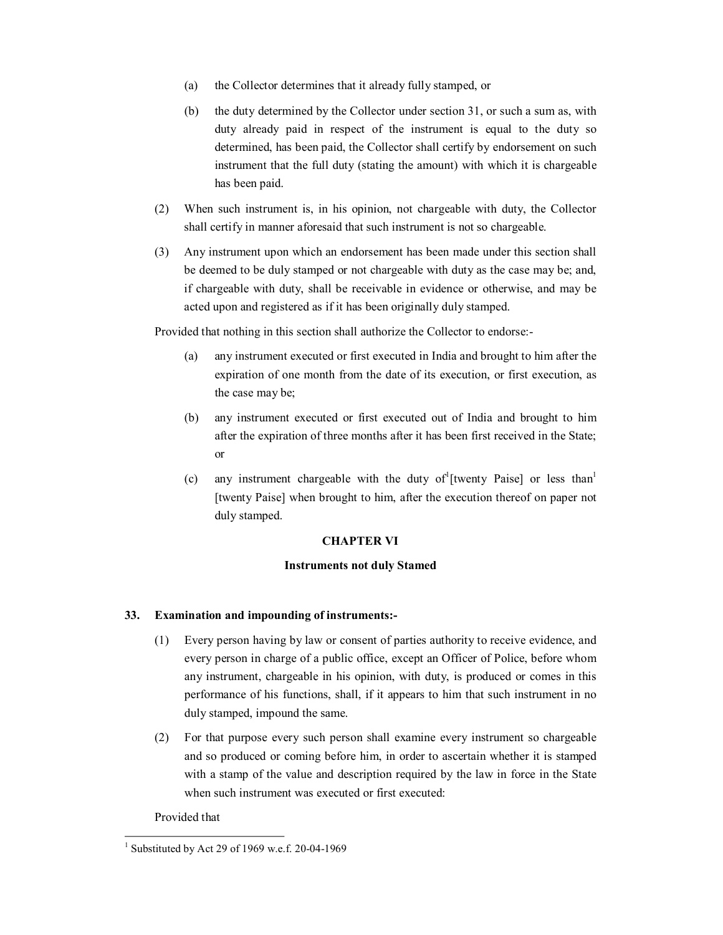- (a) the Collector determines that it already fully stamped, or
- (b) the duty determined by the Collector under section 31, or such a sum as, with duty already paid in respect of the instrument is equal to the duty so determined, has been paid, the Collector shall certify by endorsement on such instrument that the full duty (stating the amount) with which it is chargeable has been paid.
- (2) When such instrument is, in his opinion, not chargeable with duty, the Collector shall certify in manner aforesaid that such instrument is not so chargeable.
- (3) Any instrument upon which an endorsement has been made under this section shall be deemed to be duly stamped or not chargeable with duty as the case may be; and, if chargeable with duty, shall be receivable in evidence or otherwise, and may be acted upon and registered as if it has been originally duly stamped.

Provided that nothing in this section shall authorize the Collector to endorse:

- (a) any instrument executed or first executed in India and brought to him after the expiration of one month from the date of its execution, or first execution, as the case may be;
- (b) any instrument executed or first executed out of India and brought to him after the expiration of three months after it has been first received in the State; or
- (c) any instrument chargeable with the duty of [twenty Paise] or less than [twenty Paise] when brought to him, after the execution thereof on paper not duly stamped.

# **CHAPTER VI**

# **Instruments not duly Stamed**

# **33. Examination and impounding of instruments:**

- (1) Every person having by law or consent of parties authority to receive evidence, and every person in charge of a public office, except an Officer of Police, before whom any instrument, chargeable in his opinion, with duty, is produced or comes in this performance of his functions, shall, if it appears to him that such instrument in no duly stamped, impound the same.
- (2) For that purpose every such person shall examine every instrument so chargeable and so produced or coming before him, in order to ascertain whether it is stamped with a stamp of the value and description required by the law in force in the State when such instrument was executed or first executed:

Provided that

<sup>&</sup>lt;sup>1</sup> Substituted by Act 29 of 1969 w.e.f. 20-04-1969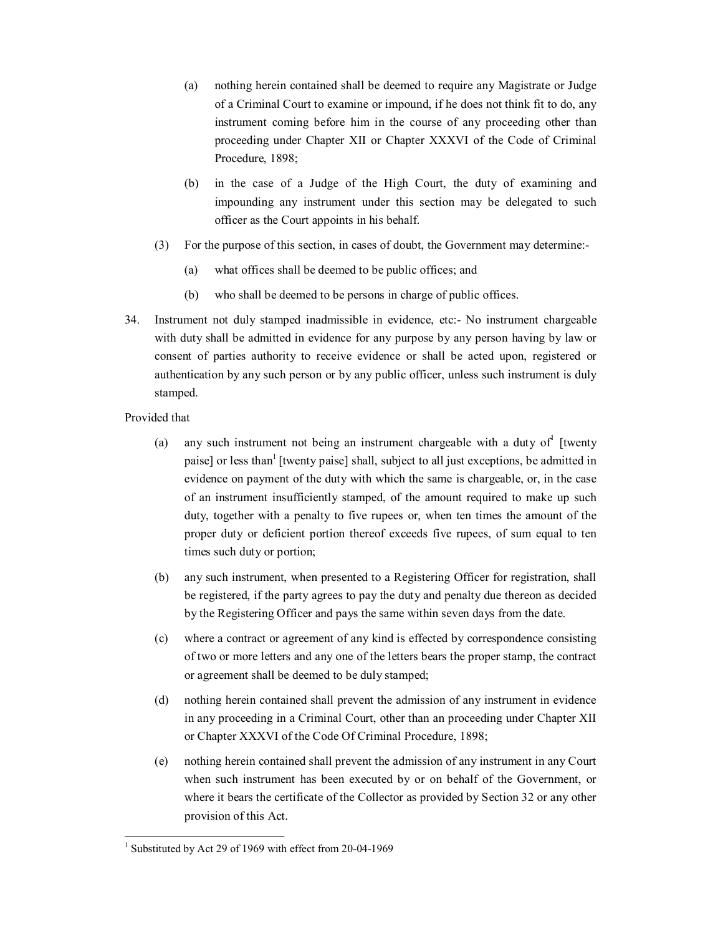- (a) nothing herein contained shall be deemed to require any Magistrate or Judge of a Criminal Court to examine or impound, if he does not think fit to do, any instrument coming before him in the course of any proceeding other than proceeding under Chapter XII or Chapter XXXVI of the Code of Criminal Procedure, 1898;
- (b) in the case of a Judge of the High Court, the duty of examining and impounding any instrument under this section may be delegated to such officer as the Court appoints in his behalf.
- (3) For the purpose of this section, in cases of doubt, the Government may determine:
	- (a) what offices shall be deemed to be public offices; and
	- (b) who shall be deemed to be persons in charge of public offices.
- 34. Instrument not duly stamped inadmissible in evidence, etc: No instrument chargeable with duty shall be admitted in evidence for any purpose by any person having by law or consent of parties authority to receive evidence or shall be acted upon, registered or authentication by any such person or by any public officer, unless such instrument is duly stamped.
- Provided that
	- (a) any such instrument not being an instrument chargeable with a duty of [twenty paise] or less than<sup>1</sup> [twenty paise] shall, subject to all just exceptions, be admitted in evidence on payment of the duty with which the same is chargeable, or, in the case of an instrument insufficiently stamped, of the amount required to make up such duty, together with a penalty to five rupees or, when ten times the amount of the proper duty or deficient portion thereof exceeds five rupees, of sum equal to ten times such duty or portion;
	- (b) any such instrument, when presented to a Registering Officer for registration, shall be registered, if the party agrees to pay the duty and penalty due thereon as decided by the Registering Officer and pays the same within seven days from the date.
	- (c) where a contract or agreement of any kind is effected by correspondence consisting of two or more letters and any one of the letters bears the proper stamp, the contract or agreement shall be deemed to be duly stamped;
	- (d) nothing herein contained shall prevent the admission of any instrument in evidence in any proceeding in a Criminal Court, other than an proceeding under Chapter XII or Chapter XXXVI of the Code Of Criminal Procedure, 1898;
	- (e) nothing herein contained shall prevent the admission of any instrument in any Court when such instrument has been executed by or on behalf of the Government, or where it bears the certificate of the Collector as provided by Section 32 or any other provision of this Act.

<sup>&</sup>lt;sup>1</sup> Substituted by Act 29 of 1969 with effect from  $20-04-1969$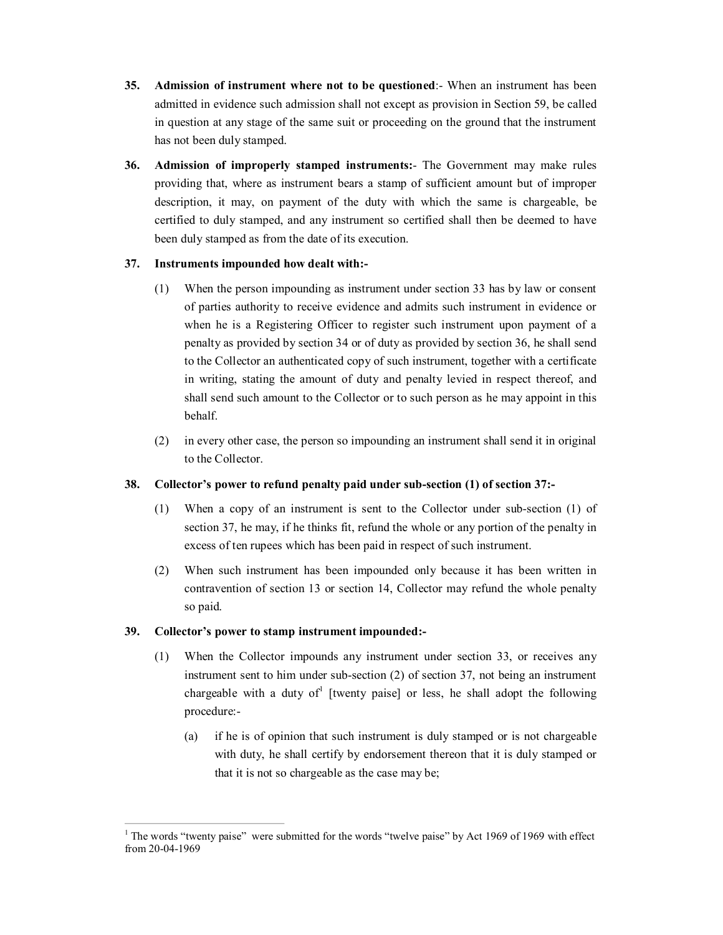- **35. Admission of instrument where not to be questioned**: When an instrument has been admitted in evidence such admission shall not except as provision in Section 59, be called in question at any stage of the same suit or proceeding on the ground that the instrument has not been duly stamped.
- **36. Admission of improperly stamped instruments:** The Government may make rules providing that, where as instrument bears a stamp of sufficient amount but of improper description, it may, on payment of the duty with which the same is chargeable, be certified to duly stamped, and any instrument so certified shall then be deemed to have been duly stamped as from the date of its execution.

# **37. Instruments impounded how dealt with:**

- (1) When the person impounding as instrument under section 33 has by law or consent of parties authority to receive evidence and admits such instrument in evidence or when he is a Registering Officer to register such instrument upon payment of a penalty as provided by section 34 or of duty as provided by section 36, he shall send to the Collector an authenticated copy of such instrument, together with a certificate in writing, stating the amount of duty and penalty levied in respect thereof, and shall send such amount to the Collector or to such person as he may appoint in this behalf.
- (2) in every other case, the person so impounding an instrument shall send it in original to the Collector.

# **38. Collector's power to refund penalty paid under subsection (1) of section 37:**

- (1) When a copy of an instrument is sent to the Collector under subsection (1) of section 37, he may, if he thinks fit, refund the whole or any portion of the penalty in excess of ten rupees which has been paid in respect of such instrument.
- (2) When such instrument has been impounded only because it has been written in contravention of section 13 or section 14, Collector may refund the whole penalty so paid.

# **39. Collector's power to stamp instrument impounded:**

- (1) When the Collector impounds any instrument under section 33, or receives any instrument sent to him under sub-section  $(2)$  of section 37, not being an instrument chargeable with a duty of [twenty paise] or less, he shall adopt the following procedure:
	- (a) if he is of opinion that such instrument is duly stamped or is not chargeable with duty, he shall certify by endorsement thereon that it is duly stamped or that it is not so chargeable as the case may be;

<sup>&</sup>lt;sup>1</sup> The words "twenty paise" were submitted for the words "twelve paise" by Act 1969 of 1969 with effect from 20-04-1969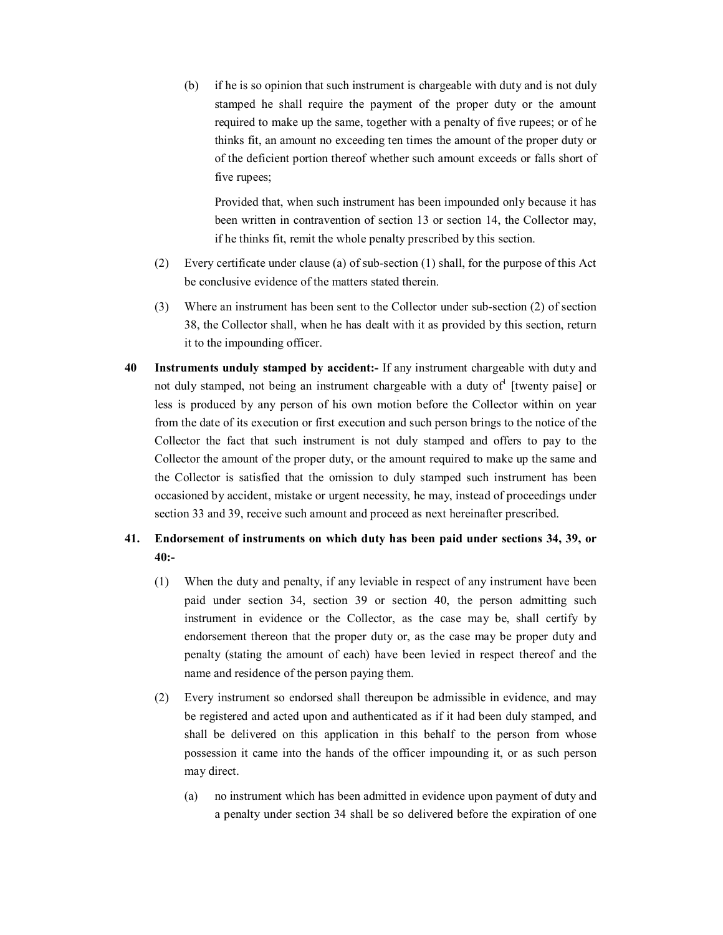(b) if he is so opinion that such instrument is chargeable with duty and is not duly stamped he shall require the payment of the proper duty or the amount required to make up the same, together with a penalty of five rupees; or of he thinks fit, an amount no exceeding ten times the amount of the proper duty or of the deficient portion thereof whether such amount exceeds or falls short of five rupees;

Provided that, when such instrument has been impounded only because it has been written in contravention of section 13 or section 14, the Collector may, if he thinks fit, remit the whole penalty prescribed by this section.

- (2) Every certificate under clause (a) of subsection (1) shall, for the purpose of this Act be conclusive evidence of the matters stated therein.
- (3) Where an instrument has been sent to the Collector under subsection (2) of section 38, the Collector shall, when he has dealt with it as provided by this section, return it to the impounding officer.
- **40 Instruments unduly stamped by accident:** If any instrument chargeable with duty and not duly stamped, not being an instrument chargeable with a duty of <sup>1</sup> [twenty paise] or less is produced by any person of his own motion before the Collector within on year from the date of its execution or first execution and such person brings to the notice of the Collector the fact that such instrument is not duly stamped and offers to pay to the Collector the amount of the proper duty, or the amount required to make up the same and the Collector is satisfied that the omission to duly stamped such instrument has been occasioned by accident, mistake or urgent necessity, he may, instead of proceedings under section 33 and 39, receive such amount and proceed as next hereinafter prescribed.

# **41. Endorsement of instruments on which duty has been paid under sections 34, 39, or 40:**

- (1) When the duty and penalty, if any leviable in respect of any instrument have been paid under section 34, section 39 or section 40, the person admitting such instrument in evidence or the Collector, as the case may be, shall certify by endorsement thereon that the proper duty or, as the case may be proper duty and penalty (stating the amount of each) have been levied in respect thereof and the name and residence of the person paying them.
- (2) Every instrument so endorsed shall thereupon be admissible in evidence, and may be registered and acted upon and authenticated as if it had been duly stamped, and shall be delivered on this application in this behalf to the person from whose possession it came into the hands of the officer impounding it, or as such person may direct.
	- (a) no instrument which has been admitted in evidence upon payment of duty and a penalty under section 34 shall be so delivered before the expiration of one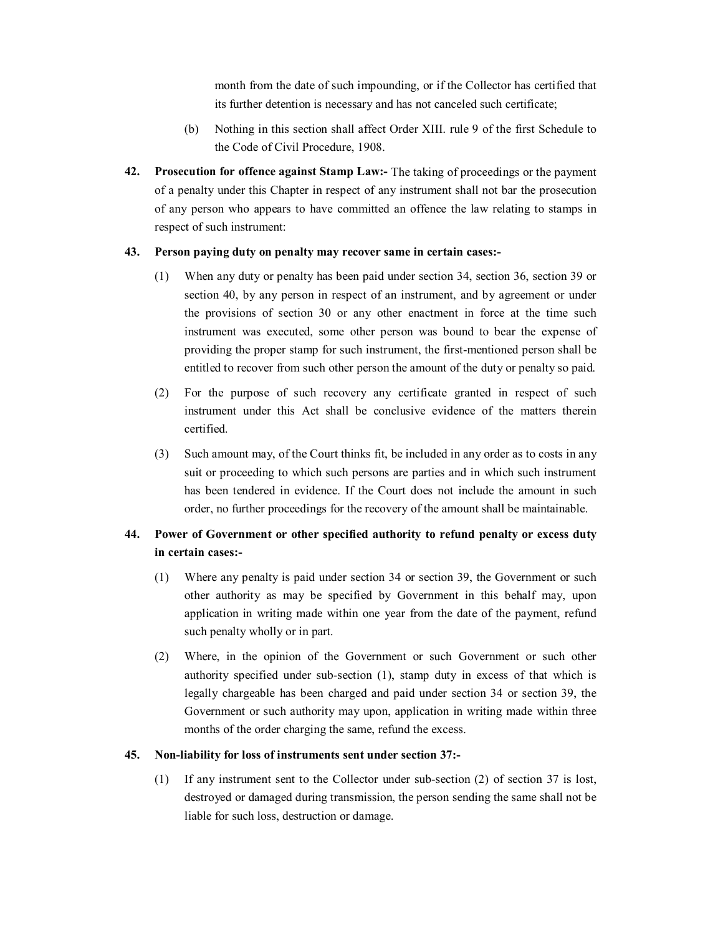month from the date of such impounding, or if the Collector has certified that its further detention is necessary and has not canceled such certificate;

- (b) Nothing in this section shall affect Order XIII. rule 9 of the first Schedule to the Code of Civil Procedure, 1908.
- **42. Prosecution for offence against Stamp Law:** The taking of proceedings or the payment of a penalty under this Chapter in respect of any instrument shall not bar the prosecution of any person who appears to have committed an offence the law relating to stamps in respect of such instrument:

# **43. Person paying duty on penalty may recover same in certain cases:**

- (1) When any duty or penalty has been paid under section 34, section 36, section 39 or section 40, by any person in respect of an instrument, and by agreement or under the provisions of section 30 or any other enactment in force at the time such instrument was executed, some other person was bound to bear the expense of providing the proper stamp for such instrument, the first-mentioned person shall be entitled to recover from such other person the amount of the duty or penalty so paid.
- (2) For the purpose of such recovery any certificate granted in respect of such instrument under this Act shall be conclusive evidence of the matters therein certified.
- (3) Such amount may, of the Court thinks fit, be included in any order as to costs in any suit or proceeding to which such persons are parties and in which such instrument has been tendered in evidence. If the Court does not include the amount in such order, no further proceedings for the recovery of the amount shall be maintainable.

# **44. Power of Government or other specified authority to refund penalty or excess duty in certain cases:**

- (1) Where any penalty is paid under section 34 or section 39, the Government or such other authority as may be specified by Government in this behalf may, upon application in writing made within one year from the date of the payment, refund such penalty wholly or in part.
- (2) Where, in the opinion of the Government or such Government or such other authority specified under sub-section (1), stamp duty in excess of that which is legally chargeable has been charged and paid under section 34 or section 39, the Government or such authority may upon, application in writing made within three months of the order charging the same, refund the excess.

# **45. Nonliability for loss of instruments sent under section 37:**

(1) If any instrument sent to the Collector under subsection (2) of section 37 is lost, destroyed or damaged during transmission, the person sending the same shall not be liable for such loss, destruction or damage.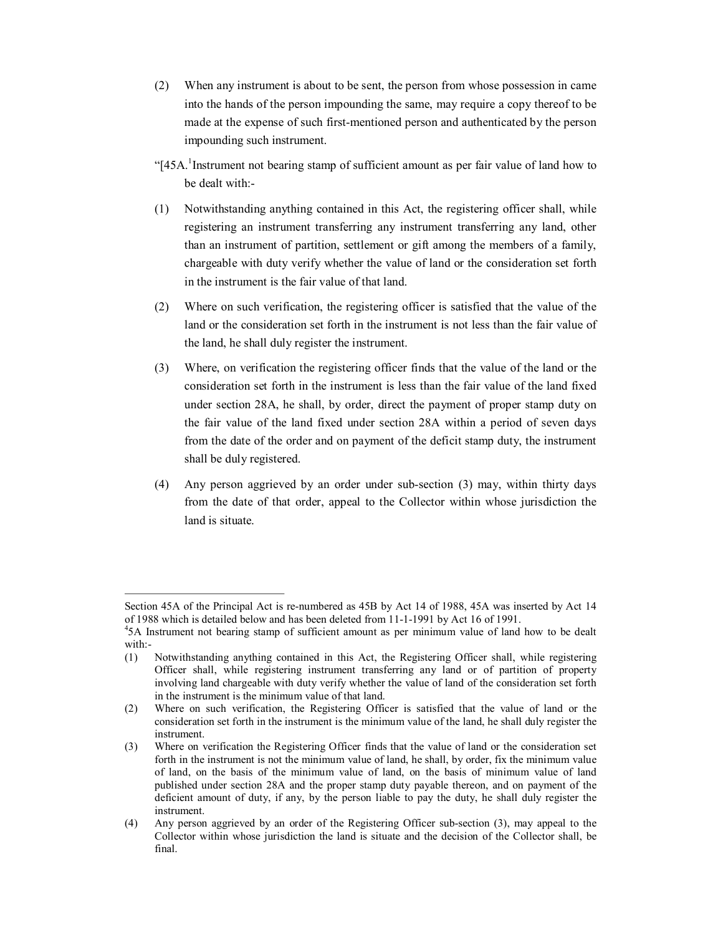- (2) When any instrument is about to be sent, the person from whose possession in came into the hands of the person impounding the same, may require a copy thereof to be made at the expense of such first-mentioned person and authenticated by the person impounding such instrument.
- "[45A. <sup>1</sup>Instrument not bearing stamp of sufficient amount as per fair value of land how to be dealt with:
- (1) Notwithstanding anything contained in this Act, the registering officer shall, while registering an instrument transferring any instrument transferring any land, other than an instrument of partition, settlement or gift among the members of a family, chargeable with duty verify whether the value of land or the consideration set forth in the instrument is the fair value of that land.
- (2) Where on such verification, the registering officer is satisfied that the value of the land or the consideration set forth in the instrument is not less than the fair value of the land, he shall duly register the instrument.
- (3) Where, on verification the registering officer finds that the value of the land or the consideration set forth in the instrument is less than the fair value of the land fixed under section 28A, he shall, by order, direct the payment of proper stamp duty on the fair value of the land fixed under section 28A within a period of seven days from the date of the order and on payment of the deficit stamp duty, the instrument shall be duly registered.
- (4) Any person aggrieved by an order under subsection (3) may, within thirty days from the date of that order, appeal to the Collector within whose jurisdiction the land is situate.

Section 45A of the Principal Act is re-numbered as 45B by Act 14 of 1988, 45A was inserted by Act 14 of 1988 which is detailed below and has been deleted from 11-1-1991 by Act 16 of 1991.<br><sup>4</sup>5A Instrument not bearing stamp of sufficient amount as per minimum value of land how to be dealt

with:

<sup>(1)</sup>  Notwithstanding anything contained in this Act, the Registering Officer shall, while registering Officer shall, while registering instrument transferring any land or of partition of property involving land chargeable with duty verify whether the value of land of the consideration set forth in the instrument is the minimum value of that land.

<sup>(2)</sup>  Where on such verification, the Registering Officer is satisfied that the value of land or the consideration set forth in the instrument is the minimum value of the land, he shall duly register the instrument.

<sup>(3)</sup>  Where on verification the Registering Officer finds that the value of land or the consideration set forth in the instrument is not the minimum value of land, he shall, by order, fix the minimum value of land, on the basis of the minimum value of land, on the basis of minimum value of land published under section 28A and the proper stamp duty payable thereon, and on payment of the deficient amount of duty, if any, by the person liable to pay the duty, he shall duly register the instrument.

<sup>(4)</sup>  Any person aggrieved by an order of the Registering Officer subsection (3), may appeal to the Collector within whose jurisdiction the land is situate and the decision of the Collector shall, be final.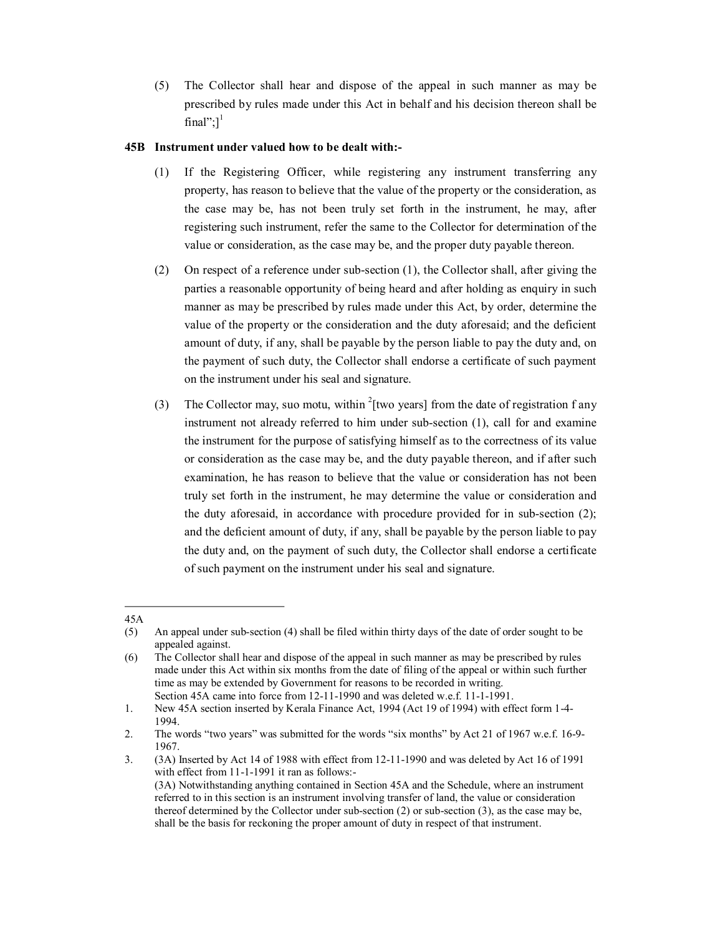(5) The Collector shall hear and dispose of the appeal in such manner as may be prescribed by rules made under this Act in behalf and his decision thereon shall be final": $]$ <sup>1</sup>

# **45B Instrument under valued how to be dealt with:**

- (1) If the Registering Officer, while registering any instrument transferring any property, has reason to believe that the value of the property or the consideration, as the case may be, has not been truly set forth in the instrument, he may, after registering such instrument, refer the same to the Collector for determination of the value or consideration, as the case may be, and the proper duty payable thereon.
- (2) On respect of a reference under subsection (1), the Collector shall, after giving the parties a reasonable opportunity of being heard and after holding as enquiry in such manner as may be prescribed by rules made under this Act, by order, determine the value of the property or the consideration and the duty aforesaid; and the deficient amount of duty, if any, shall be payable by the person liable to pay the duty and, on the payment of such duty, the Collector shall endorse a certificate of such payment on the instrument under his seal and signature.
- (3) The Collector may, suo motu, within  $2$ <sup>[two</sup> years] from the date of registration f any instrument not already referred to him under sub-section (1), call for and examine the instrument for the purpose of satisfying himself as to the correctness of its value or consideration as the case may be, and the duty payable thereon, and if after such examination, he has reason to believe that the value or consideration has not been truly set forth in the instrument, he may determine the value or consideration and the duty aforesaid, in accordance with procedure provided for in subsection (2); and the deficient amount of duty, if any, shall be payable by the person liable to pay the duty and, on the payment of such duty, the Collector shall endorse a certificate of such payment on the instrument under his seal and signature.

<sup>45</sup>A

<sup>(5)</sup>  An appeal under subsection (4) shall be filed within thirty days of the date of order sought to be appealed against.

<sup>(6)</sup>  The Collector shall hear and dispose of the appeal in such manner as may be prescribed by rules made under this Act within six months from the date of filing of the appeal or within such further time as may be extended by Government for reasons to be recorded in writing. Section 45A came into force from 12-11-1990 and was deleted w.e.f. 11-1-1991.

<sup>1.</sup>  New 45A section inserted by Kerala Finance Act, 1994 (Act 19 of 1994) with effect form 14 1994.

<sup>2.</sup> The words "two years" was submitted for the words "six months" by Act 21 of 1967 w.e.f. 16-9-1967.

<sup>3.</sup>  (3A) Inserted by Act 14 of 1988 with effect from 12111990 and was deleted by Act 16 of 1991 with effect from 11-1-1991 it ran as follows:-(3A) Notwithstanding anything contained in Section 45A and the Schedule, where an instrument referred to in this section is an instrument involving transfer of land, the value or consideration thereof determined by the Collector under subsection (2) or subsection (3), as the case may be, shall be the basis for reckoning the proper amount of duty in respect of that instrument.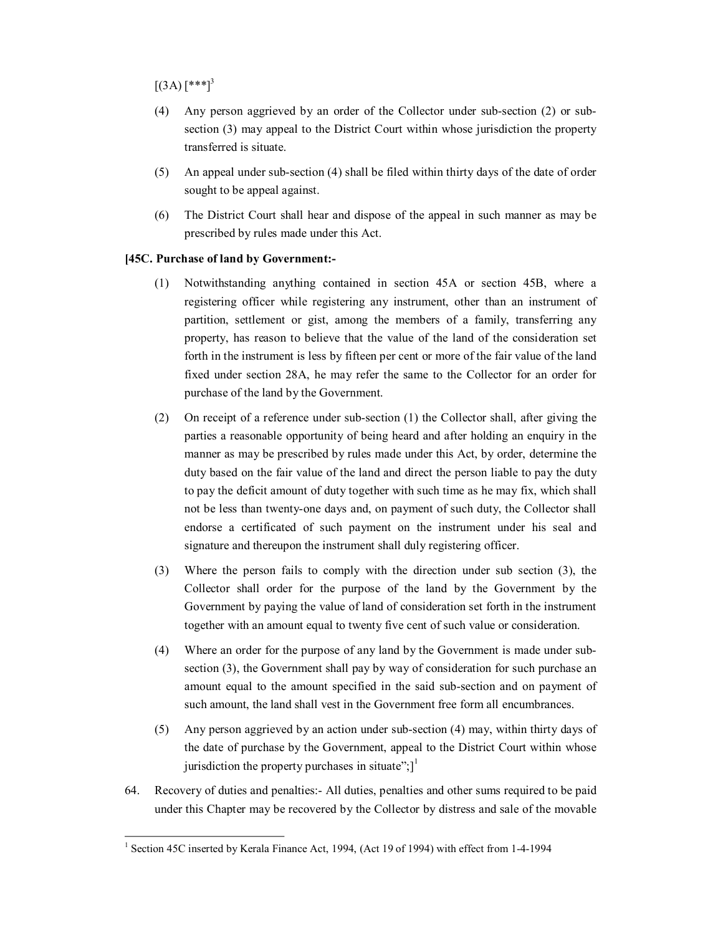$[(3A) [***]^{3}]$ 

- (4) Any person aggrieved by an order of the Collector under subsection (2) or subsection (3) may appeal to the District Court within whose jurisdiction the property transferred is situate.
- (5) An appeal under sub-section (4) shall be filed within thirty days of the date of order sought to be appeal against.
- (6) The District Court shall hear and dispose of the appeal in such manner as may be prescribed by rules made under this Act.

# **[45C. Purchase of land by Government:**

- (1) Notwithstanding anything contained in section 45A or section 45B, where a registering officer while registering any instrument, other than an instrument of partition, settlement or gist, among the members of a family, transferring any property, has reason to believe that the value of the land of the consideration set forth in the instrument is less by fifteen per cent or more of the fair value of the land fixed under section 28A, he may refer the same to the Collector for an order for purchase of the land by the Government.
- (2) On receipt of a reference under subsection (1) the Collector shall, after giving the parties a reasonable opportunity of being heard and after holding an enquiry in the manner as may be prescribed by rules made under this Act, by order, determine the duty based on the fair value of the land and direct the person liable to pay the duty to pay the deficit amount of duty together with such time as he may fix, which shall not be less than twenty-one days and, on payment of such duty, the Collector shall endorse a certificated of such payment on the instrument under his seal and signature and thereupon the instrument shall duly registering officer.
- (3) Where the person fails to comply with the direction under sub section (3), the Collector shall order for the purpose of the land by the Government by the Government by paying the value of land of consideration set forth in the instrument together with an amount equal to twenty five cent of such value or consideration.
- (4) Where an order for the purpose of any land by the Government is made under subsection (3), the Government shall pay by way of consideration for such purchase an amount equal to the amount specified in the said sub-section and on payment of such amount, the land shall vest in the Government free form all encumbrances.
- (5) Any person aggrieved by an action under subsection (4) may, within thirty days of the date of purchase by the Government, appeal to the District Court within whose jurisdiction the property purchases in situate"; $]$ <sup>1</sup>
- 64. Recovery of duties and penalties: All duties, penalties and other sums required to be paid under this Chapter may be recovered by the Collector by distress and sale of the movable

<sup>&</sup>lt;sup>1</sup> Section 45C inserted by Kerala Finance Act, 1994, (Act 19 of 1994) with effect from 1-4-1994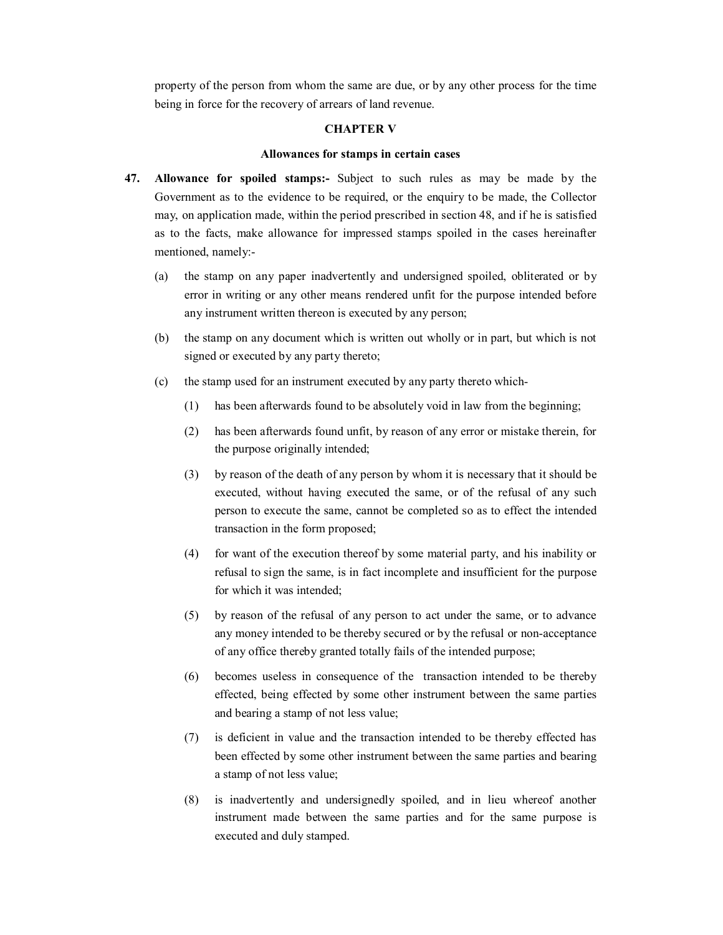property of the person from whom the same are due, or by any other process for the time being in force for the recovery of arrears of land revenue.

### **CHAPTER V**

### **Allowances for stamps in certain cases**

- **47. Allowance for spoiled stamps:** Subject to such rules as may be made by the Government as to the evidence to be required, or the enquiry to be made, the Collector may, on application made, within the period prescribed in section 48, and if he is satisfied as to the facts, make allowance for impressed stamps spoiled in the cases hereinafter mentioned, namely:
	- (a) the stamp on any paper inadvertently and undersigned spoiled, obliterated or by error in writing or any other means rendered unfit for the purpose intended before any instrument written thereon is executed by any person;
	- (b) the stamp on any document which is written out wholly or in part, but which is not signed or executed by any party thereto;
	- (c) the stamp used for an instrument executed by any party thereto which
		- (1) has been afterwards found to be absolutely void in law from the beginning;
		- (2) has been afterwards found unfit, by reason of any error or mistake therein, for the purpose originally intended;
		- (3) by reason of the death of any person by whom it is necessary that it should be executed, without having executed the same, or of the refusal of any such person to execute the same, cannot be completed so as to effect the intended transaction in the form proposed;
		- (4) for want of the execution thereof by some material party, and his inability or refusal to sign the same, is in fact incomplete and insufficient for the purpose for which it was intended;
		- (5) by reason of the refusal of any person to act under the same, or to advance any money intended to be thereby secured or by the refusal or non-acceptance of any office thereby granted totally fails of the intended purpose;
		- (6) becomes useless in consequence of the transaction intended to be thereby effected, being effected by some other instrument between the same parties and bearing a stamp of not less value;
		- (7) is deficient in value and the transaction intended to be thereby effected has been effected by some other instrument between the same parties and bearing a stamp of not less value;
		- (8) is inadvertently and undersignedly spoiled, and in lieu whereof another instrument made between the same parties and for the same purpose is executed and duly stamped.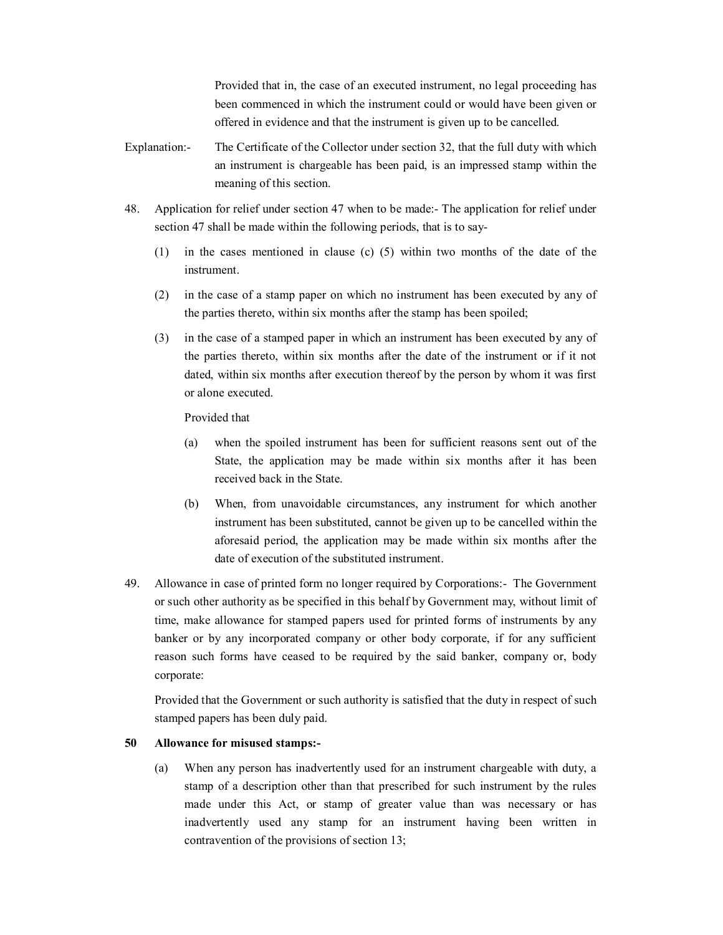Provided that in, the case of an executed instrument, no legal proceeding has been commenced in which the instrument could or would have been given or offered in evidence and that the instrument is given up to be cancelled.

- Explanation: The Certificate of the Collector under section 32, that the full duty with which an instrument is chargeable has been paid, is an impressed stamp within the meaning of this section.
- 48. Application for relief under section 47 when to be made: The application for relief under section 47 shall be made within the following periods, that is to say
	- $(1)$  in the cases mentioned in clause  $(c)$   $(5)$  within two months of the date of the instrument.
	- (2) in the case of a stamp paper on which no instrument has been executed by any of the parties thereto, within six months after the stamp has been spoiled;
	- (3) in the case of a stamped paper in which an instrument has been executed by any of the parties thereto, within six months after the date of the instrument or if it not dated, within six months after execution thereof by the person by whom it was first or alone executed.

Provided that

- (a) when the spoiled instrument has been for sufficient reasons sent out of the State, the application may be made within six months after it has been received back in the State.
- (b) When, from unavoidable circumstances, any instrument for which another instrument has been substituted, cannot be given up to be cancelled within the aforesaid period, the application may be made within six months after the date of execution of the substituted instrument.
- 49. Allowance in case of printed form no longer required by Corporations:- The Government or such other authority as be specified in this behalf by Government may, without limit of time, make allowance for stamped papers used for printed forms of instruments by any banker or by any incorporated company or other body corporate, if for any sufficient reason such forms have ceased to be required by the said banker, company or, body corporate:

Provided that the Government or such authority is satisfied that the duty in respect of such stamped papers has been duly paid.

### **50 Allowance for misused stamps:**

(a) When any person has inadvertently used for an instrument chargeable with duty, a stamp of a description other than that prescribed for such instrument by the rules made under this Act, or stamp of greater value than was necessary or has inadvertently used any stamp for an instrument having been written in contravention of the provisions of section 13;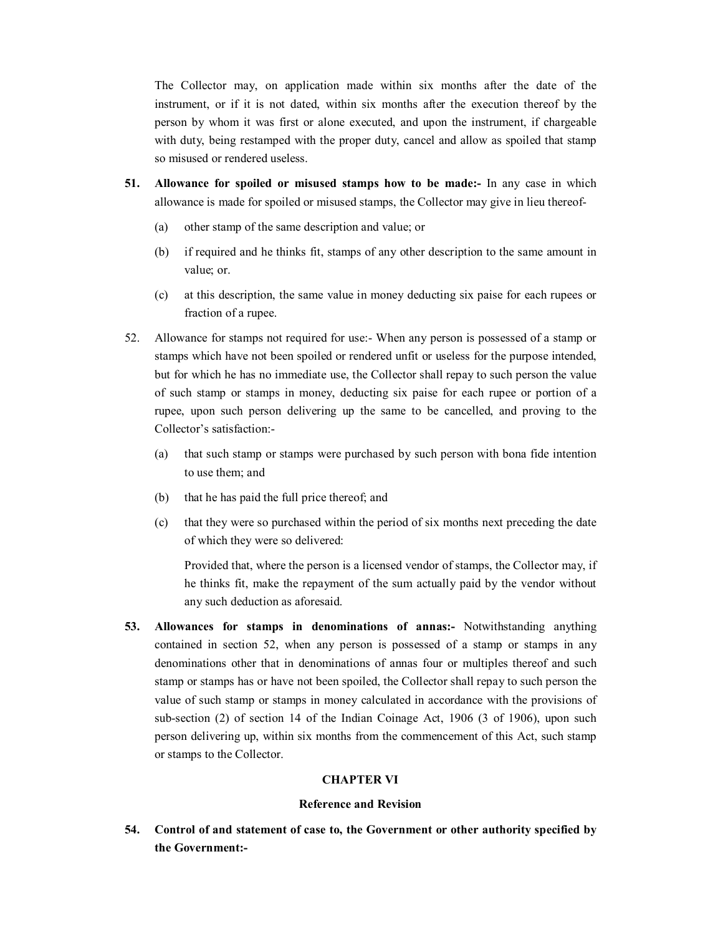The Collector may, on application made within six months after the date of the instrument, or if it is not dated, within six months after the execution thereof by the person by whom it was first or alone executed, and upon the instrument, if chargeable with duty, being restamped with the proper duty, cancel and allow as spoiled that stamp so misused or rendered useless.

- **51. Allowance for spoiled or misused stamps how to be made:** In any case in which allowance is made for spoiled or misused stamps, the Collector may give in lieu thereof
	- (a) other stamp of the same description and value; or
	- (b) if required and he thinks fit, stamps of any other description to the same amount in value; or.
	- (c) at this description, the same value in money deducting six paise for each rupees or fraction of a rupee.
- 52. Allowance for stamps not required for use: When any person is possessed of a stamp or stamps which have not been spoiled or rendered unfit or useless for the purpose intended, but for which he has no immediate use, the Collector shall repay to such person the value of such stamp or stamps in money, deducting six paise for each rupee or portion of a rupee, upon such person delivering up the same to be cancelled, and proving to the Collector's satisfaction:
	- (a) that such stamp or stamps were purchased by such person with bona fide intention to use them; and
	- (b) that he has paid the full price thereof; and
	- (c) that they were so purchased within the period of six months next preceding the date of which they were so delivered:

Provided that, where the person is a licensed vendor of stamps, the Collector may, if he thinks fit, make the repayment of the sum actually paid by the vendor without any such deduction as aforesaid.

**53. Allowances for stamps in denominations of annas:** Notwithstanding anything contained in section 52, when any person is possessed of a stamp or stamps in any denominations other that in denominations of annas four or multiples thereof and such stamp or stamps has or have not been spoiled, the Collector shall repay to such person the value of such stamp or stamps in money calculated in accordance with the provisions of sub-section (2) of section 14 of the Indian Coinage Act, 1906 (3 of 1906), upon such person delivering up, within six months from the commencement of this Act, such stamp or stamps to the Collector.

# **CHAPTER VI**

### **Reference and Revision**

**54. Control of and statement of case to, the Government or other authority specified by the Government:**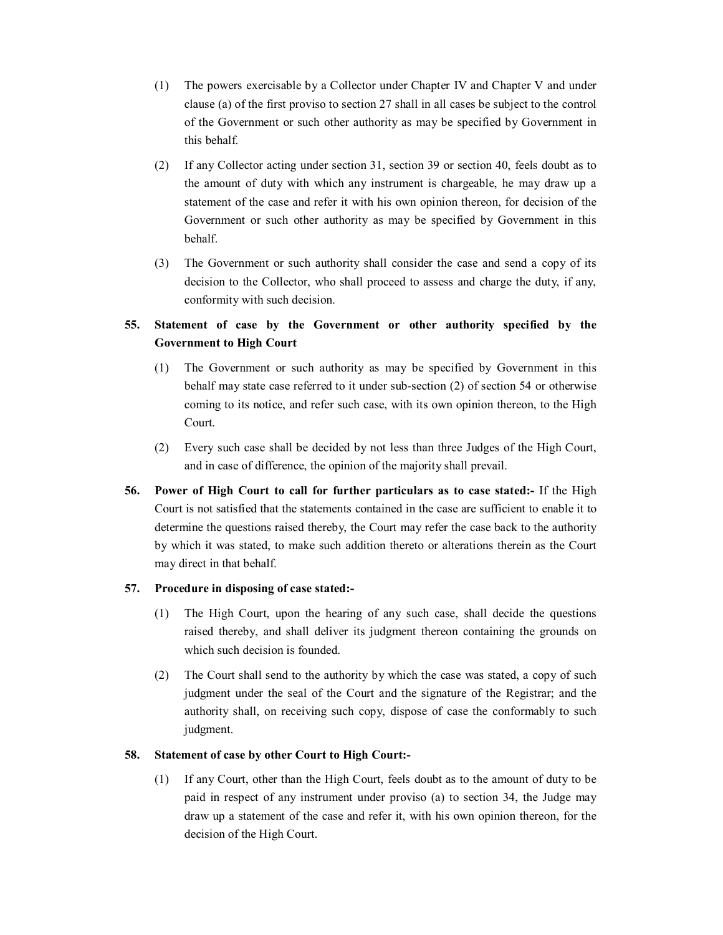- (1) The powers exercisable by a Collector under Chapter IV and Chapter V and under clause (a) of the first proviso to section 27 shall in all cases be subject to the control of the Government or such other authority as may be specified by Government in this behalf.
- (2) If any Collector acting under section 31, section 39 or section 40, feels doubt as to the amount of duty with which any instrument is chargeable, he may draw up a statement of the case and refer it with his own opinion thereon, for decision of the Government or such other authority as may be specified by Government in this behalf.
- (3) The Government or such authority shall consider the case and send a copy of its decision to the Collector, who shall proceed to assess and charge the duty, if any, conformity with such decision.

# **55. Statement of case by the Government or other authority specified by the Government to High Court**

- (1) The Government or such authority as may be specified by Government in this behalf may state case referred to it under subsection (2) of section 54 or otherwise coming to its notice, and refer such case, with its own opinion thereon, to the High Court.
- (2) Every such case shall be decided by not less than three Judges of the High Court, and in case of difference, the opinion of the majority shall prevail.
- **56. Power of High Court to call for further particulars as to case stated:** If the High Court is not satisfied that the statements contained in the case are sufficient to enable it to determine the questions raised thereby, the Court may refer the case back to the authority by which it was stated, to make such addition thereto or alterations therein as the Court may direct in that behalf.

# **57. Procedure in disposing of case stated:**

- (1) The High Court, upon the hearing of any such case, shall decide the questions raised thereby, and shall deliver its judgment thereon containing the grounds on which such decision is founded.
- (2) The Court shall send to the authority by which the case was stated, a copy of such judgment under the seal of the Court and the signature of the Registrar; and the authority shall, on receiving such copy, dispose of case the conformably to such judgment.

# **58. Statement of case by other Court to High Court:**

(1) If any Court, other than the High Court, feels doubt as to the amount of duty to be paid in respect of any instrument under proviso (a) to section 34, the Judge may draw up a statement of the case and refer it, with his own opinion thereon, for the decision of the High Court.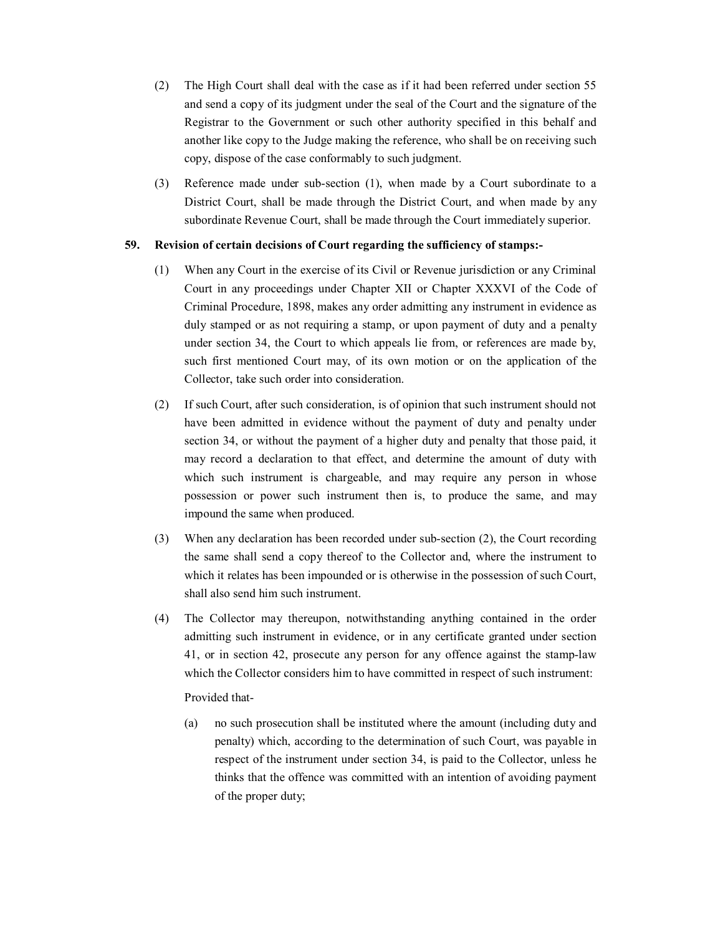- (2) The High Court shall deal with the case as if it had been referred under section 55 and send a copy of its judgment under the seal of the Court and the signature of the Registrar to the Government or such other authority specified in this behalf and another like copy to the Judge making the reference, who shall be on receiving such copy, dispose of the case conformably to such judgment.
- (3) Reference made under subsection (1), when made by a Court subordinate to a District Court, shall be made through the District Court, and when made by any subordinate Revenue Court, shall be made through the Court immediately superior.

# **59. Revision of certain decisions of Court regarding the sufficiency of stamps:**

- (1) When any Court in the exercise of its Civil or Revenue jurisdiction or any Criminal Court in any proceedings under Chapter XII or Chapter XXXVI of the Code of Criminal Procedure, 1898, makes any order admitting any instrument in evidence as duly stamped or as not requiring a stamp, or upon payment of duty and a penalty under section 34, the Court to which appeals lie from, or references are made by, such first mentioned Court may, of its own motion or on the application of the Collector, take such order into consideration.
- (2) If such Court, after such consideration, is of opinion that such instrument should not have been admitted in evidence without the payment of duty and penalty under section 34, or without the payment of a higher duty and penalty that those paid, it may record a declaration to that effect, and determine the amount of duty with which such instrument is chargeable, and may require any person in whose possession or power such instrument then is, to produce the same, and may impound the same when produced.
- (3) When any declaration has been recorded under sub-section (2), the Court recording the same shall send a copy thereof to the Collector and, where the instrument to which it relates has been impounded or is otherwise in the possession of such Court, shall also send him such instrument.
- (4) The Collector may thereupon, notwithstanding anything contained in the order admitting such instrument in evidence, or in any certificate granted under section 41, or in section 42, prosecute any person for any offence against the stamplaw which the Collector considers him to have committed in respect of such instrument:

Provided that

(a) no such prosecution shall be instituted where the amount (including duty and penalty) which, according to the determination of such Court, was payable in respect of the instrument under section 34, is paid to the Collector, unless he thinks that the offence was committed with an intention of avoiding payment of the proper duty;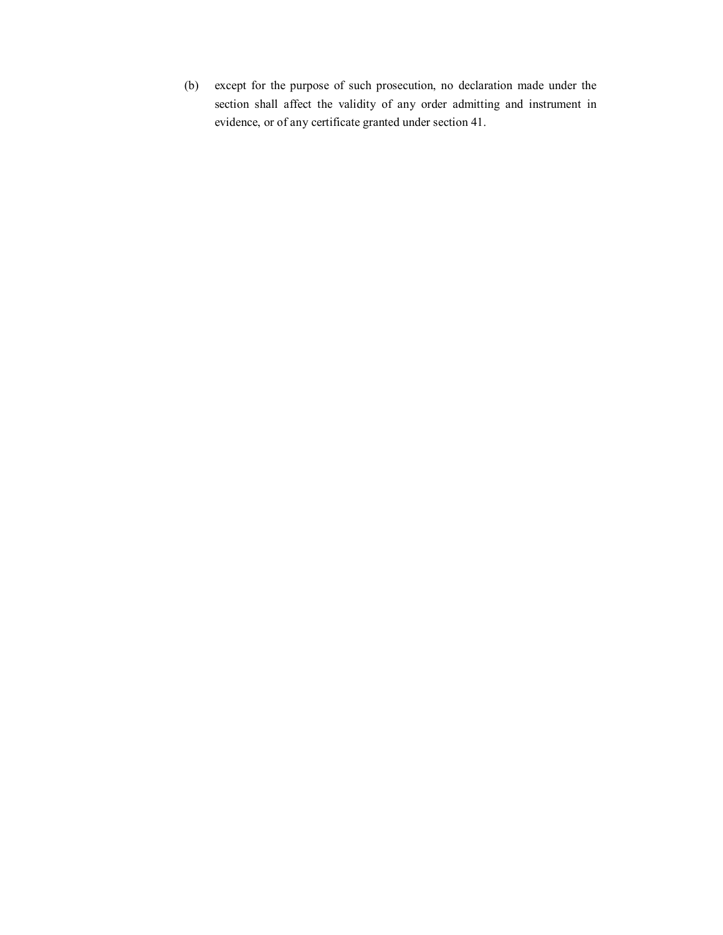(b) except for the purpose of such prosecution, no declaration made under the section shall affect the validity of any order admitting and instrument in evidence, or of any certificate granted under section 41.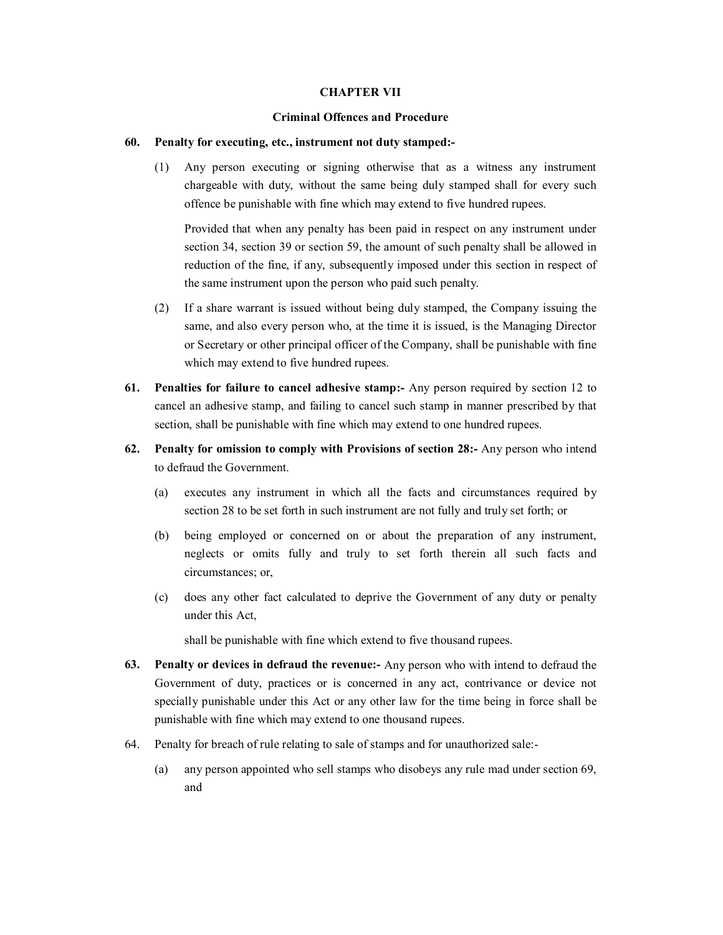### **CHAPTER VII**

#### **Criminal Offences and Procedure**

### **60. Penalty for executing, etc., instrument not duty stamped:**

(1) Any person executing or signing otherwise that as a witness any instrument chargeable with duty, without the same being duly stamped shall for every such offence be punishable with fine which may extend to five hundred rupees.

Provided that when any penalty has been paid in respect on any instrument under section 34, section 39 or section 59, the amount of such penalty shall be allowed in reduction of the fine, if any, subsequently imposed under this section in respect of the same instrument upon the person who paid such penalty.

- (2) If a share warrant is issued without being duly stamped, the Company issuing the same, and also every person who, at the time it is issued, is the Managing Director or Secretary or other principal officer of the Company, shall be punishable with fine which may extend to five hundred rupees.
- **61. Penalties for failure to cancel adhesive stamp:** Any person required by section 12 to cancel an adhesive stamp, and failing to cancel such stamp in manner prescribed by that section, shall be punishable with fine which may extend to one hundred rupees.
- **62. Penalty for omission to comply with Provisions of section 28:** Any person who intend to defraud the Government.
	- (a) executes any instrument in which all the facts and circumstances required by section 28 to be set forth in such instrument are not fully and truly set forth; or
	- (b) being employed or concerned on or about the preparation of any instrument, neglects or omits fully and truly to set forth therein all such facts and circumstances; or,
	- (c) does any other fact calculated to deprive the Government of any duty or penalty under this Act,

shall be punishable with fine which extend to five thousand rupees.

- **63. Penalty or devices in defraud the revenue:** Any person who with intend to defraud the Government of duty, practices or is concerned in any act, contrivance or device not specially punishable under this Act or any other law for the time being in force shall be punishable with fine which may extend to one thousand rupees.
- 64. Penalty for breach of rule relating to sale of stamps and for unauthorized sale:
	- (a) any person appointed who sell stamps who disobeys any rule mad under section 69, and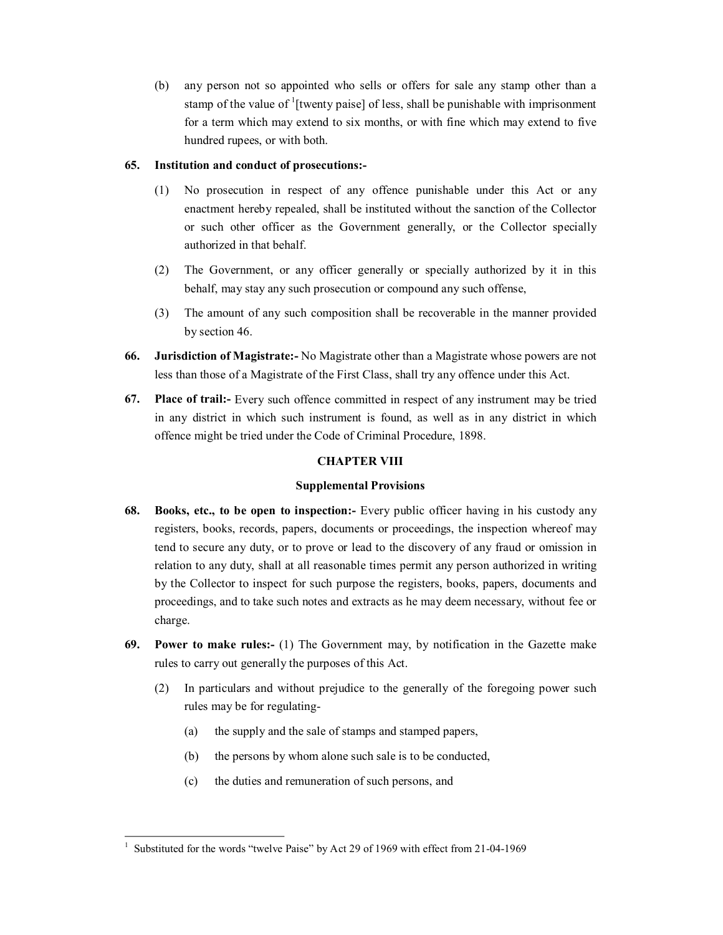(b) any person not so appointed who sells or offers for sale any stamp other than a stamp of the value of <sup>1</sup>[twenty paise] of less, shall be punishable with imprisonment for a term which may extend to six months, or with fine which may extend to five hundred rupees, or with both.

# **65. Institution and conduct of prosecutions:**

- (1) No prosecution in respect of any offence punishable under this Act or any enactment hereby repealed, shall be instituted without the sanction of the Collector or such other officer as the Government generally, or the Collector specially authorized in that behalf.
- (2) The Government, or any officer generally or specially authorized by it in this behalf, may stay any such prosecution or compound any such offense,
- (3) The amount of any such composition shall be recoverable in the manner provided by section 46.
- **66. Jurisdiction of Magistrate:** No Magistrate other than a Magistrate whose powers are not less than those of a Magistrate of the First Class, shall try any offence under this Act.
- **67. Place of trail:** Every such offence committed in respect of any instrument may be tried in any district in which such instrument is found, as well as in any district in which offence might be tried under the Code of Criminal Procedure, 1898.

# **CHAPTER VIII**

# **Supplemental Provisions**

- **68. Books, etc., to be open to inspection:** Every public officer having in his custody any registers, books, records, papers, documents or proceedings, the inspection whereof may tend to secure any duty, or to prove or lead to the discovery of any fraud or omission in relation to any duty, shall at all reasonable times permit any person authorized in writing by the Collector to inspect for such purpose the registers, books, papers, documents and proceedings, and to take such notes and extracts as he may deem necessary, without fee or charge.
- **69. Power to make rules:** (1) The Government may, by notification in the Gazette make rules to carry out generally the purposes of this Act.
	- (2) In particulars and without prejudice to the generally of the foregoing power such rules may be for regulating
		- (a) the supply and the sale of stamps and stamped papers,
		- (b) the persons by whom alone such sale is to be conducted,
		- (c) the duties and remuneration of such persons, and

Substituted for the words "twelve Paise" by Act 29 of 1969 with effect from 21-04-1969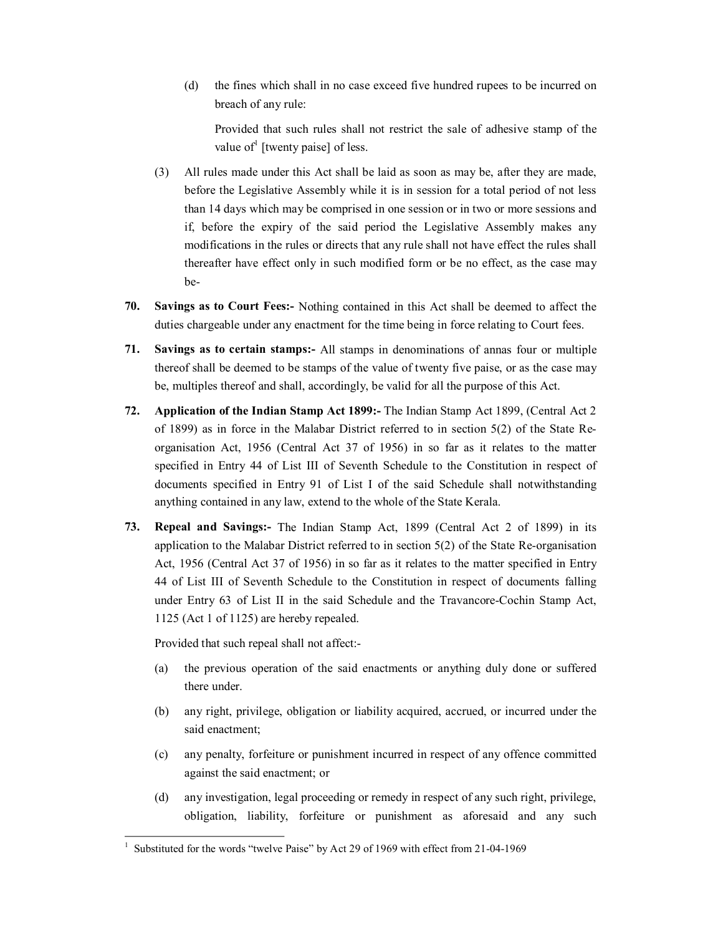(d) the fines which shall in no case exceed five hundred rupees to be incurred on breach of any rule:

Provided that such rules shall not restrict the sale of adhesive stamp of the value of<sup>1</sup> [twenty paise] of less.

- (3) All rules made under this Act shall be laid as soon as may be, after they are made, before the Legislative Assembly while it is in session for a total period of not less than 14 days which may be comprised in one session or in two or more sessions and if, before the expiry of the said period the Legislative Assembly makes any modifications in the rules or directs that any rule shall not have effect the rules shall thereafter have effect only in such modified form or be no effect, as the case may be-
- **70. Savings as to Court Fees:** Nothing contained in this Act shall be deemed to affect the duties chargeable under any enactment for the time being in force relating to Court fees.
- **71. Savings as to certain stamps:** All stamps in denominations of annas four or multiple thereof shall be deemed to be stamps of the value of twenty five paise, or as the case may be, multiples thereof and shall, accordingly, be valid for all the purpose of this Act.
- **72. Application of the Indian Stamp Act 1899:** The Indian Stamp Act 1899, (Central Act 2 of 1899) as in force in the Malabar District referred to in section 5(2) of the State Re organisation Act, 1956 (Central Act 37 of 1956) in so far as it relates to the matter specified in Entry 44 of List III of Seventh Schedule to the Constitution in respect of documents specified in Entry 91 of List I of the said Schedule shall notwithstanding anything contained in any law, extend to the whole of the State Kerala.
- **73. Repeal and Savings:** The Indian Stamp Act, 1899 (Central Act 2 of 1899) in its application to the Malabar District referred to in section  $5(2)$  of the State Re-organisation Act, 1956 (Central Act 37 of 1956) in so far as it relates to the matter specified in Entry 44 of List III of Seventh Schedule to the Constitution in respect of documents falling under Entry 63 of List II in the said Schedule and the Travancore-Cochin Stamp Act, 1125 (Act 1 of 1125) are hereby repealed.

Provided that such repeal shall not affect:

- (a) the previous operation of the said enactments or anything duly done or suffered there under.
- (b) any right, privilege, obligation or liability acquired, accrued, or incurred under the said enactment;
- (c) any penalty, forfeiture or punishment incurred in respect of any offence committed against the said enactment; or
- (d) any investigation, legal proceeding or remedy in respect of any such right, privilege, obligation, liability, forfeiture or punishment as aforesaid and any such

Substituted for the words "twelve Paise" by Act 29 of 1969 with effect from 21-04-1969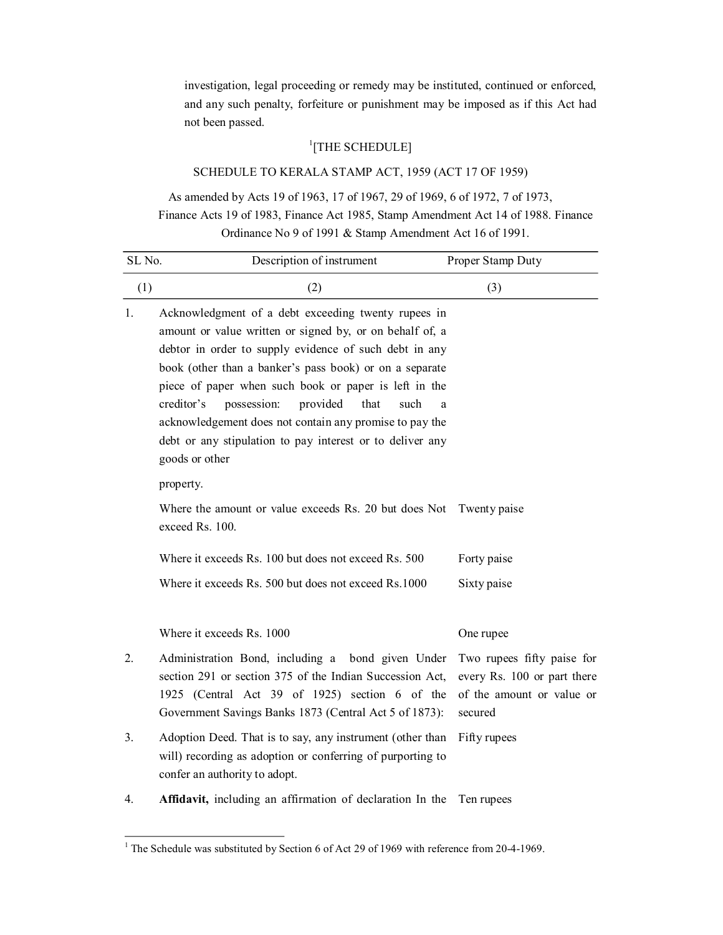investigation, legal proceeding or remedy may be instituted, continued or enforced, and any such penalty, forfeiture or punishment may be imposed as if this Act had not been passed.

# <sup>1</sup>[THE SCHEDULE]

# SCHEDULE TO KERALA STAMP ACT, 1959 (ACT 17 OF 1959)

As amended by Acts 19 of 1963, 17 of 1967, 29 of 1969, 6 of 1972, 7 of 1973,

Finance Acts 19 of 1983, Finance Act 1985, Stamp Amendment Act 14 of 1988. Finance Ordinance No 9 of 1991 & Stamp Amendment Act 16 of 1991.

| SL No. | Description of instrument                                                                                                                                                                                                                                                                                                                                                                                                                                                                                                                                                                                                                              | Proper Stamp Duty                                                                                 |
|--------|--------------------------------------------------------------------------------------------------------------------------------------------------------------------------------------------------------------------------------------------------------------------------------------------------------------------------------------------------------------------------------------------------------------------------------------------------------------------------------------------------------------------------------------------------------------------------------------------------------------------------------------------------------|---------------------------------------------------------------------------------------------------|
| (1)    | (2)                                                                                                                                                                                                                                                                                                                                                                                                                                                                                                                                                                                                                                                    | (3)                                                                                               |
| 1.     | Acknowledgment of a debt exceeding twenty rupees in<br>amount or value written or signed by, or on behalf of, a<br>debtor in order to supply evidence of such debt in any<br>book (other than a banker's pass book) or on a separate<br>piece of paper when such book or paper is left in the<br>provided<br>creditor's<br>possession:<br>such<br>that<br>a<br>acknowledgement does not contain any promise to pay the<br>debt or any stipulation to pay interest or to deliver any<br>goods or other<br>property.<br>Where the amount or value exceeds Rs. 20 but does Not<br>exceed Rs. 100.<br>Where it exceeds Rs. 100 but does not exceed Rs. 500 | Twenty paise<br>Forty paise                                                                       |
|        | Where it exceeds Rs. 500 but does not exceed Rs.1000<br>Where it exceeds Rs. 1000                                                                                                                                                                                                                                                                                                                                                                                                                                                                                                                                                                      | Sixty paise<br>One rupee                                                                          |
| 2.     | Administration Bond, including a bond given Under<br>section 291 or section 375 of the Indian Succession Act,<br>1925 (Central Act 39 of 1925) section 6 of the<br>Government Savings Banks 1873 (Central Act 5 of 1873):                                                                                                                                                                                                                                                                                                                                                                                                                              | Two rupees fifty paise for<br>every Rs. 100 or part there<br>of the amount or value or<br>secured |
| 3.     | Adoption Deed. That is to say, any instrument (other than<br>will) recording as adoption or conferring of purporting to<br>confer an authority to adopt.                                                                                                                                                                                                                                                                                                                                                                                                                                                                                               | Fifty rupees                                                                                      |
| 4.     | Affidavit, including an affirmation of declaration In the                                                                                                                                                                                                                                                                                                                                                                                                                                                                                                                                                                                              | Ten rupees                                                                                        |

 $1$  The Schedule was substituted by Section 6 of Act 29 of 1969 with reference from 20-4-1969.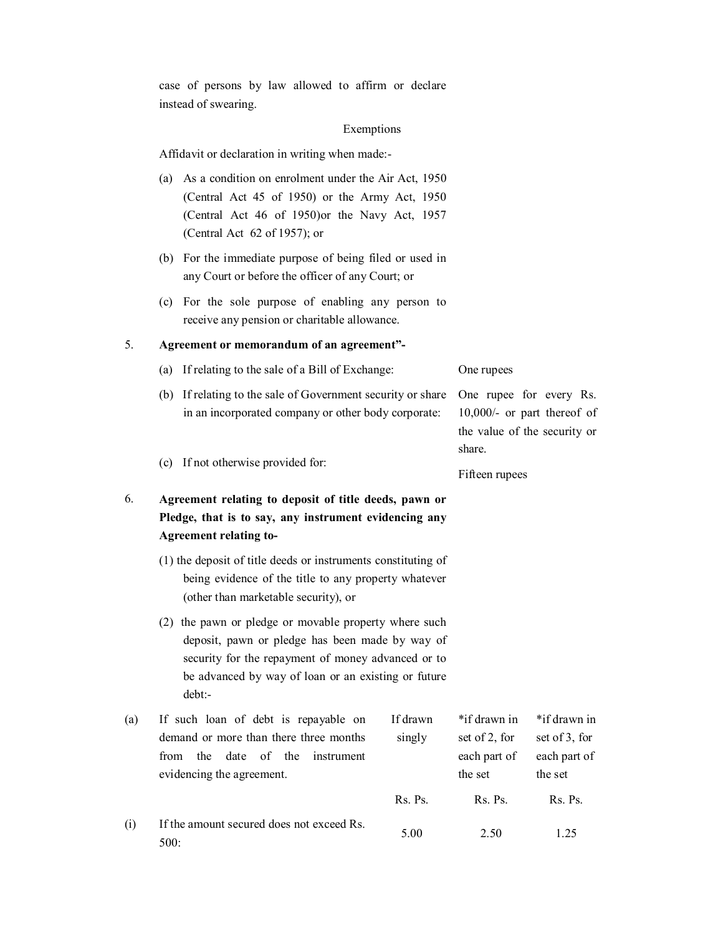case of persons by law allowed to affirm or declare instead of swearing.

### Exemptions

Affidavit or declaration in writing when made:

- (a) As a condition on enrolment under the Air Act, 1950 (Central Act 45 of 1950) or the Army Act, 1950 (Central Act 46 of 1950)or the Navy Act, 1957 (Central Act 62 of 1957); or
- (b) For the immediate purpose of being filed or used in any Court or before the officer of any Court; or
- (c) For the sole purpose of enabling any person to receive any pension or charitable allowance.

# 5. **Agreement or memorandum of an agreement"**

|     | (a) If relating to the sale of a Bill of Exchange:                                  | One rupees                     |
|-----|-------------------------------------------------------------------------------------|--------------------------------|
|     | (b) If relating to the sale of Government security or share One rupee for every Rs. |                                |
|     | in an incorporated company or other body corporate:                                 | $10,000/$ - or part thereof of |
|     |                                                                                     | the value of the security or   |
|     |                                                                                     | share.                         |
| (c) | If not otherwise provided for:                                                      |                                |

Fifteen rupees

# 6. **Agreement relating to deposit of title deeds, pawn or Pledge, that is to say, any instrument evidencing any Agreement relating to**

- (1) the deposit of title deeds or instruments constituting of being evidence of the title to any property whatever (other than marketable security), or
- (2) the pawn or pledge or movable property where such deposit, pawn or pledge has been made by way of security for the repayment of money advanced or to be advanced by way of loan or an existing or future debt:

| (a) | If such loan of debt is repayable on           | If drawn    | *if drawn in  | *if drawn in  |  |
|-----|------------------------------------------------|-------------|---------------|---------------|--|
|     | demand or more than there three months         | singly      | set of 2, for | set of 3, for |  |
|     | of<br>the<br>date<br>instrument<br>the<br>from |             | each part of  | each part of  |  |
|     | evidencing the agreement.                      |             | the set       | the set       |  |
|     |                                                | $Rs.$ $Ps.$ | Rs. Ps.       | Rs. Ps.       |  |
| (i) | If the amount secured does not exceed Rs.      |             |               |               |  |
|     | 500:                                           | 5.00        | 2.50          | 1.25          |  |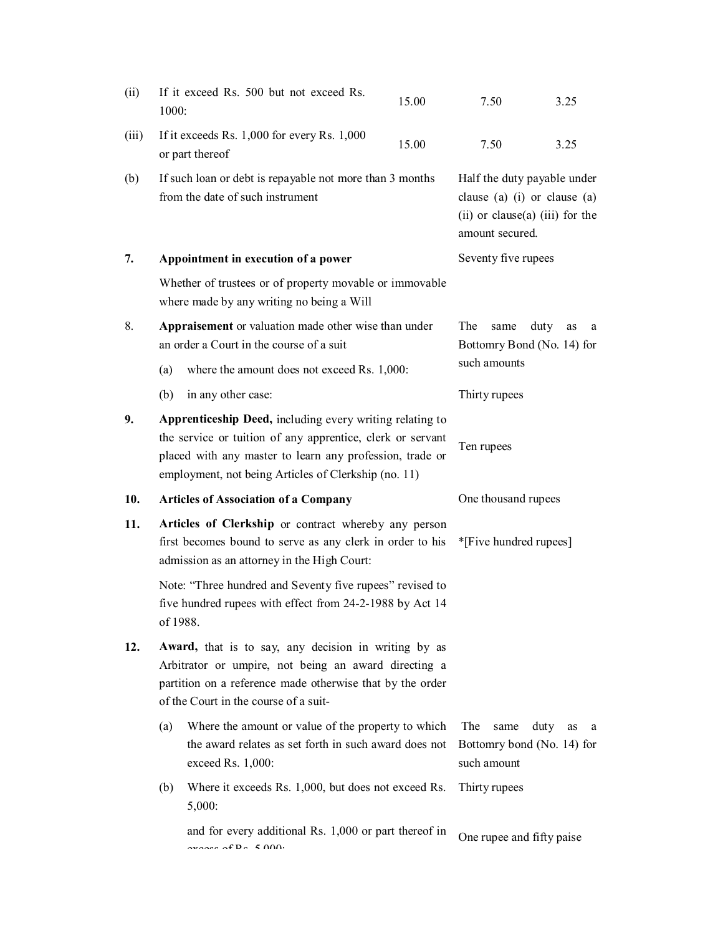| (ii)  | 1000:                                                                                                                                                                                                              | If it exceed Rs. 500 but not exceed Rs.                                                                                                                                                                                                    | 15.00                                                                                                                        | 7.50                                                             | 3.25    |  |
|-------|--------------------------------------------------------------------------------------------------------------------------------------------------------------------------------------------------------------------|--------------------------------------------------------------------------------------------------------------------------------------------------------------------------------------------------------------------------------------------|------------------------------------------------------------------------------------------------------------------------------|------------------------------------------------------------------|---------|--|
| (iii) |                                                                                                                                                                                                                    | If it exceeds Rs. 1,000 for every Rs. 1,000<br>or part thereof                                                                                                                                                                             | 15.00                                                                                                                        | 7.50                                                             | 3.25    |  |
| (b)   |                                                                                                                                                                                                                    | If such loan or debt is repayable not more than 3 months<br>from the date of such instrument                                                                                                                                               | Half the duty payable under<br>clause (a) $(i)$ or clause $(a)$<br>$(ii)$ or clause $(a)$ $(iii)$ for the<br>amount secured. |                                                                  |         |  |
| 7.    |                                                                                                                                                                                                                    | Appointment in execution of a power                                                                                                                                                                                                        |                                                                                                                              | Seventy five rupees                                              |         |  |
|       |                                                                                                                                                                                                                    | Whether of trustees or of property movable or immovable<br>where made by any writing no being a Will                                                                                                                                       |                                                                                                                              |                                                                  |         |  |
| 8.    | (a)                                                                                                                                                                                                                | Appraisement or valuation made other wise than under<br>an order a Court in the course of a suit<br>where the amount does not exceed Rs. 1,000:                                                                                            | The<br>duty<br>same<br>as<br>a<br>Bottomry Bond (No. 14) for<br>such amounts                                                 |                                                                  |         |  |
|       | (b)                                                                                                                                                                                                                | in any other case:                                                                                                                                                                                                                         | Thirty rupees                                                                                                                |                                                                  |         |  |
| 9.    |                                                                                                                                                                                                                    | Apprenticeship Deed, including every writing relating to<br>the service or tuition of any apprentice, clerk or servant<br>placed with any master to learn any profession, trade or<br>employment, not being Articles of Clerkship (no. 11) |                                                                                                                              | Ten rupees                                                       |         |  |
| 10.   |                                                                                                                                                                                                                    | <b>Articles of Association of a Company</b>                                                                                                                                                                                                |                                                                                                                              | One thousand rupees                                              |         |  |
| 11.   |                                                                                                                                                                                                                    | Articles of Clerkship or contract whereby any person<br>first becomes bound to serve as any clerk in order to his<br>admission as an attorney in the High Court:                                                                           |                                                                                                                              | *[Five hundred rupees]                                           |         |  |
|       | of 1988.                                                                                                                                                                                                           | Note: "Three hundred and Seventy five rupees" revised to<br>five hundred rupees with effect from 24-2-1988 by Act 14                                                                                                                       |                                                                                                                              |                                                                  |         |  |
| 12.   | Award, that is to say, any decision in writing by as<br>Arbitrator or umpire, not being an award directing a<br>partition on a reference made otherwise that by the order<br>of the Court in the course of a suit- |                                                                                                                                                                                                                                            |                                                                                                                              |                                                                  |         |  |
|       | (a)                                                                                                                                                                                                                | Where the amount or value of the property to which<br>the award relates as set forth in such award does not<br>exceed Rs. 1,000:                                                                                                           |                                                                                                                              | The<br>same<br>duty<br>Bottomry bond (No. 14) for<br>such amount | as<br>a |  |
|       | (b)                                                                                                                                                                                                                | Where it exceeds Rs. 1,000, but does not exceed Rs.<br>5,000:                                                                                                                                                                              |                                                                                                                              | Thirty rupees                                                    |         |  |
|       |                                                                                                                                                                                                                    | and for every additional Rs. 1,000 or part thereof in<br>$\alpha$ and $\alpha$ f D $\alpha$ f 000.                                                                                                                                         |                                                                                                                              | One rupee and fifty paise                                        |         |  |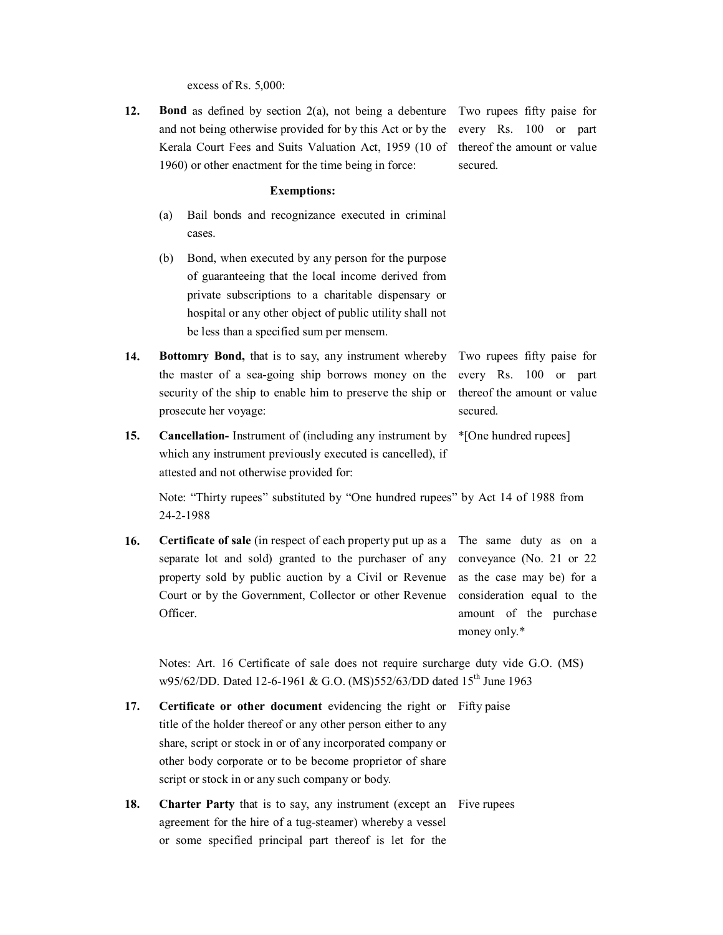excess of Rs. 5,000:

**12.** Bond as defined by section 2(a), not being a debenture Two rupees fifty paise for and not being otherwise provided for by this Act or by the Kerala Court Fees and Suits Valuation Act, 1959 (10 of 1960) or other enactment for the time being in force:

every Rs. 100 or part thereof the amount or value secured.

### **Exemptions:**

- (a) Bail bonds and recognizance executed in criminal cases.
- (b) Bond, when executed by any person for the purpose of guaranteeing that the local income derived from private subscriptions to a charitable dispensary or hospital or any other object of public utility shall not be less than a specified sum per mensem.
- **14. Bottomry Bond,** that is to say, any instrument whereby the master of a sea-going ship borrows money on the security of the ship to enable him to preserve the ship or prosecute her voyage: Two rupees fifty paise for every Rs. 100 or part thereof the amount or value secured.
- **15. Cancellation-** Instrument of (including any instrument by which any instrument previously executed is cancelled), if \*[One hundred rupees]

attested and not otherwise provided for:

Note: "Thirty rupees" substituted by "One hundred rupees" by Act 14 of 1988 from 2421988

**16. Certificate of sale** (in respect of each property put up as a The same duty as on a separate lot and sold) granted to the purchaser of any property sold by public auction by a Civil or Revenue Court or by the Government, Collector or other Revenue Officer. conveyance (No. 21 or 22 as the case may be) for a consideration equal to the amount of the purchase money only.\*

Notes: Art. 16 Certificate of sale does not require surcharge duty vide G.O. (MS) w95/62/DD. Dated 12-6-1961 & G.O. (MS)552/63/DD dated 15<sup>th</sup> June 1963

- **17. Certificate or other document** evidencing the right or Fifty paise title of the holder thereof or any other person either to any share, script or stock in or of any incorporated company or other body corporate or to be become proprietor of share script or stock in or any such company or body.
- **18. Charter Party** that is to say, any instrument (except an Five rupeesagreement for the hire of a tug-steamer) whereby a vessel or some specified principal part thereof is let for the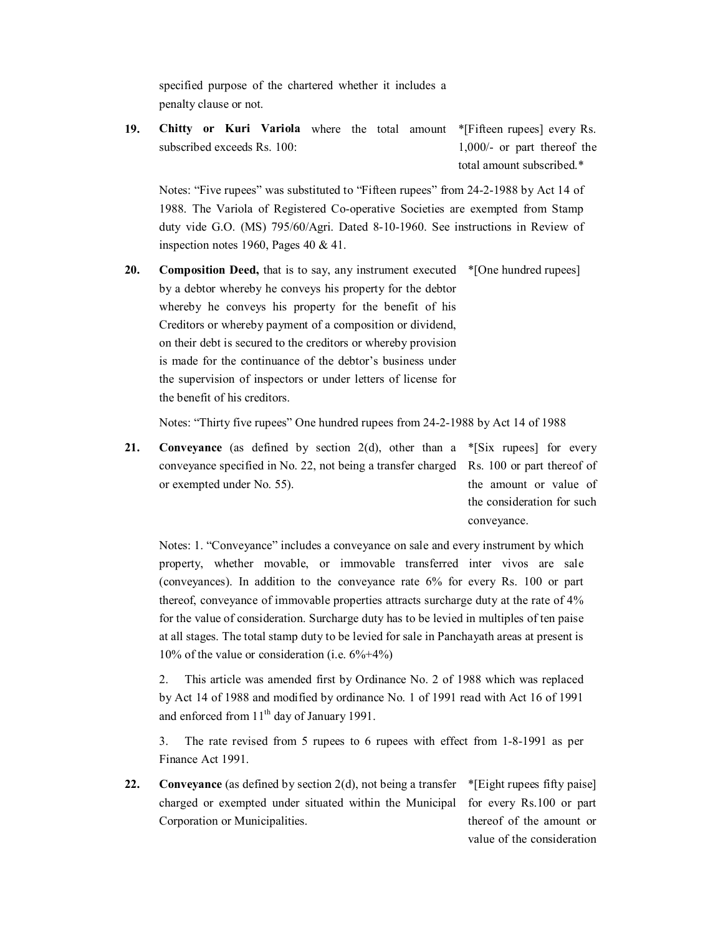specified purpose of the chartered whether it includes a penalty clause or not.

**19. Chitty or Kuri Variola** where the total amount \*[Fifteen rupees] every Rs. subscribed exceeds Rs. 100: 1,000/- or part thereof the total amount subscribed.\*

Notes: "Five rupees" was substituted to "Fifteen rupees" from 24-2-1988 by Act 14 of 1988. The Variola of Registered Cooperative Societies are exempted from Stamp duty vide G.O. (MS) 795/60/Agri. Dated 8-10-1960. See instructions in Review of inspection notes 1960, Pages 40 & 41.

**20.** Composition Deed, that is to say, any instrument executed  $*$ [One hundred rupees] by a debtor whereby he conveys his property for the debtor whereby he conveys his property for the benefit of his Creditors or whereby payment of a composition or dividend, on their debt is secured to the creditors or whereby provision is made for the continuance of the debtor's business under the supervision of inspectors or under letters of license for the benefit of his creditors.

Notes: "Thirty five rupees" One hundred rupees from 24-2-1988 by Act 14 of 1988

**21.** Conveyance (as defined by section 2(d), other than a \*[Six rupees] for every conveyance specified in No. 22, not being a transfer charged Rs. 100 or part thereof of or exempted under No. 55). the amount or value of the consideration for such

conveyance.

value of the consideration

Notes: 1. "Conveyance" includes a conveyance on sale and every instrument by which property, whether movable, or immovable transferred inter vivos are sale (conveyances). In addition to the conveyance rate 6% forevery Rs. 100 or part thereof, conveyance of immovable properties attracts surcharge duty at the rate of 4% for the value of consideration. Surcharge duty has to be levied in multiples of ten paise at all stages. The total stamp duty to be levied for sale in Panchayath areas at present is 10% of the value or consideration (i.e.  $6\% + 4\%$ )

2. This article was amended first by Ordinance No. 2 of 1988 which was replaced by Act 14 of 1988 and modified by ordinance No. 1 of 1991 read with Act 16 of 1991 and enforced from 11<sup>th</sup> day of January 1991.

3. The rate revised from 5 rupees to 6 rupees with effect from 1-8-1991 as per Finance Act 1991.

**22.** Conveyance (as defined by section 2(d), not being a transfer  $*$ [Eight rupees fifty paise] charged or exempted under situated within the Municipal for every Rs.100 or part Corporation or Municipalities. thereof of the amount or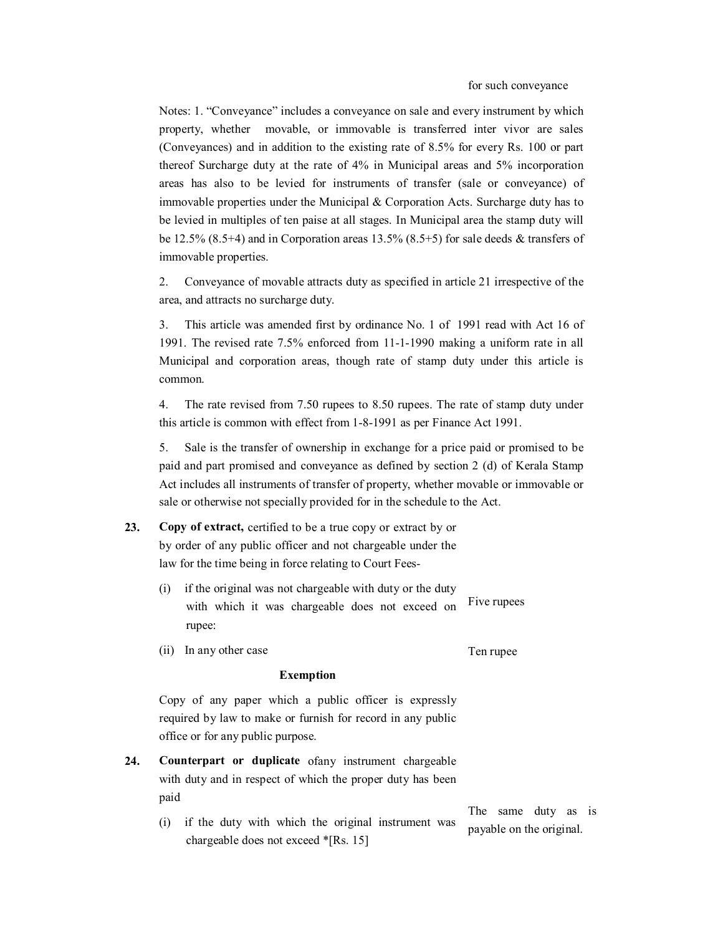Notes: 1. "Conveyance" includes a conveyance on sale and every instrument by which property, whether movable, or immovable is transferred inter vivor are sales (Conveyances) and in addition to the existing rate of 8.5% for every Rs. 100 or part thereof Surcharge duty at the rate of 4% in Municipal areas and 5% incorporation areas has also to be levied for instruments of transfer (sale or conveyance) of immovable properties under the Municipal & Corporation Acts. Surcharge duty has to be levied in multiples of ten paise at all stages. In Municipal area the stamp duty will be 12.5% (8.5+4) and in Corporation areas 13.5% (8.5+5) for sale deeds & transfers of immovable properties.

2. Conveyance of movable attracts duty as specified in article 21 irrespective of the area, and attracts no surcharge duty.

3. This article was amended first by ordinance No. 1 of 1991 read with Act 16 of 1991. The revised rate 7.5% enforced from 1111990 making a uniform rate in all Municipal and corporation areas, though rate of stamp duty under this article is common.

4. The rate revised from 7.50 rupees to 8.50 rupees. The rate of stamp duty under this article is common with effect from 1-8-1991 as per Finance Act 1991.

5. Sale is the transfer of ownership in exchange for a price paid or promised to be paid and part promised and conveyance as defined by section 2 (d) of Kerala Stamp Act includes all instruments of transfer of property, whether movable or immovable or sale or otherwise not specially provided for in the schedule to the Act.

- **23. Copy of extract,** certified to be a true copy or extract by or by order of any public officer and not chargeable under the law for the time being in force relating to Court Fees
	- (i) if the original was not chargeable with duty or the duty with which it was chargeable does not exceed on rupee: Five rupees
	- (ii) In any other case

Ten rupee

### **Exemption**

Copy of any paper which a public officer is expressly required by law to make or furnish for record in any public office or for any public purpose.

- **24. Counterpart or duplicate** ofany instrument chargeable with duty and in respect of which the proper duty has been paid
	- (i) if the duty with which the original instrument was chargeable does not exceed \*[Rs. 15]

The same duty as is payable on the original.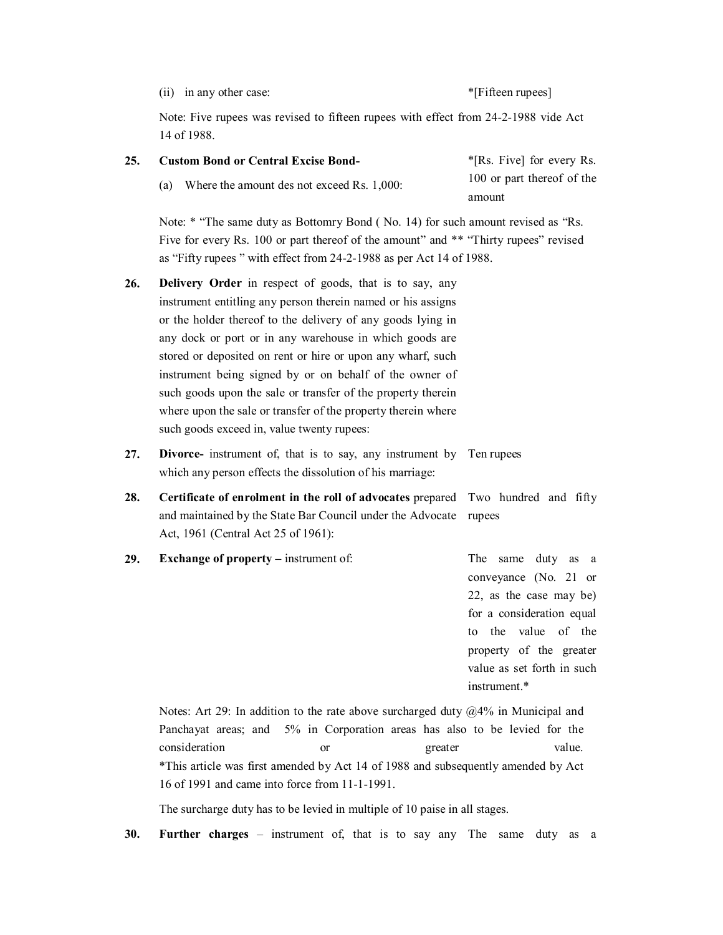(ii) in any other case:  $*$ [Fifteen rupees]

Note: Five rupees was revised to fifteen rupees with effect from 24-2-1988 vide Act 14 of 1988.

| 25. | <b>Custom Bond or Central Excise Bond-</b>                                                                                                                                                                                                                                                                                                                                                                                                                                                                                                                        | *[Rs. Five] for every Rs.<br>100 or part thereof of the<br>amount |  |  |  |  |
|-----|-------------------------------------------------------------------------------------------------------------------------------------------------------------------------------------------------------------------------------------------------------------------------------------------------------------------------------------------------------------------------------------------------------------------------------------------------------------------------------------------------------------------------------------------------------------------|-------------------------------------------------------------------|--|--|--|--|
|     | Where the amount des not exceed Rs. 1,000:<br>(a)                                                                                                                                                                                                                                                                                                                                                                                                                                                                                                                 |                                                                   |  |  |  |  |
|     | Note: * "The same duty as Bottomry Bond (No. 14) for such amount revised as "Rs.<br>Five for every Rs. 100 or part thereof of the amount" and ** "Thirty rupees" revised<br>as "Fifty rupees" with effect from 24-2-1988 as per Act 14 of 1988.                                                                                                                                                                                                                                                                                                                   |                                                                   |  |  |  |  |
| 26. | <b>Delivery Order</b> in respect of goods, that is to say, any<br>instrument entitling any person therein named or his assigns<br>or the holder thereof to the delivery of any goods lying in<br>any dock or port or in any warehouse in which goods are<br>stored or deposited on rent or hire or upon any wharf, such<br>instrument being signed by or on behalf of the owner of<br>such goods upon the sale or transfer of the property therein<br>where upon the sale or transfer of the property therein where<br>such goods exceed in, value twenty rupees: |                                                                   |  |  |  |  |
| 27. | <b>Divorce-</b> instrument of, that is to say, any instrument by Ten rupees<br>which any person effects the dissolution of his marriage:                                                                                                                                                                                                                                                                                                                                                                                                                          |                                                                   |  |  |  |  |
| 28. | Certificate of enrolment in the roll of advocates prepared Two hundred and fifty<br>and maintained by the State Bar Council under the Advocate<br>Act, 1961 (Central Act 25 of 1961):                                                                                                                                                                                                                                                                                                                                                                             | rupees                                                            |  |  |  |  |

**29. Exchange of property** – instrument of: The same duty as a conveyance (No. 21 or 22, as the case may be) for a consideration equal to the value of the property of the greater value as set forth in such instrument.\*

Notes: Art 29: In addition to the rate above surcharged duty @4% in Municipal and Panchayat areas; and 5% in Corporation areas has also to be levied for the consideration or greater value. \*This article was first amended by Act 14 of 1988 and subsequently amended by Act 16 of 1991 and came into force from 11-1-1991.

The surcharge duty has to be levied in multiple of 10 paise in all stages.

**30. Further charges** – instrument of, that is to say any The same duty as a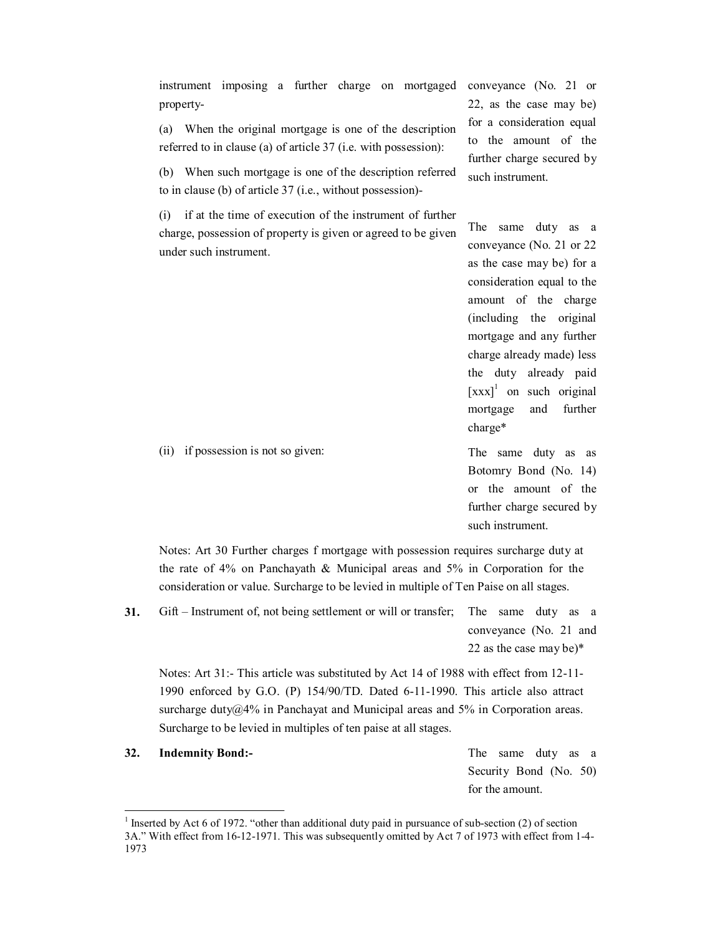instrument imposing a further charge on mortgaged conveyance (No. 21 or property

(a) When the original mortgage is one of the description referred to in clause (a) of article 37 (i.e. with possession):

(b) When such mortgage is one of the description referred to in clause (b) of article 37 (i.e., without possession)

(i) if at the time of execution of the instrument of further charge, possession of property is given or agreed to be given under such instrument.

22, as the case may be) for a consideration equal to the amount of the further charge secured by such instrument.

The same duty as a conveyance (No. 21 or 22 as the case may be) for a consideration equal to the amount of the charge (including the original mortgage and any further charge already made) less the duty already paid [xxx]<sup>1</sup> on such original mortgage and further charge\*

The same duty as as Botomry Bond (No. 14) or the amount of the further charge secured by such instrument.

Notes: Art 30 Further charges f mortgage with possession requires surcharge duty at the rate of  $4\%$  on Panchayath & Municipal areas and  $5\%$  in Corporation for the consideration or value. Surcharge to be levied in multiple of Ten Paise on all stages.

**31.** Gift – Instrument of, not being settlement or will or transfer; The same duty as a conveyance (No. 21 and 22 as the case may be)\*

Notes: Art 31:- This article was substituted by Act 14 of 1988 with effect from 12-11-1990 enforced by G.O. (P) 154/90/TD. Dated 6111990. This article also attract surcharge duty@4% in Panchayat and Municipal areas and 5% in Corporation areas. Surcharge to be levied in multiples of ten paise at all stages.

**32. Indemnity Bond:** The same duty as a

Security Bond (No. 50) for the amount.

(ii) if possession is not so given:

<sup>&</sup>lt;sup>1</sup> Inserted by Act 6 of 1972. "other than additional duty paid in pursuance of sub-section (2) of section 3A." With effect from 16-12-1971. This was subsequently omitted by Act 7 of 1973 with effect from 1-4-1973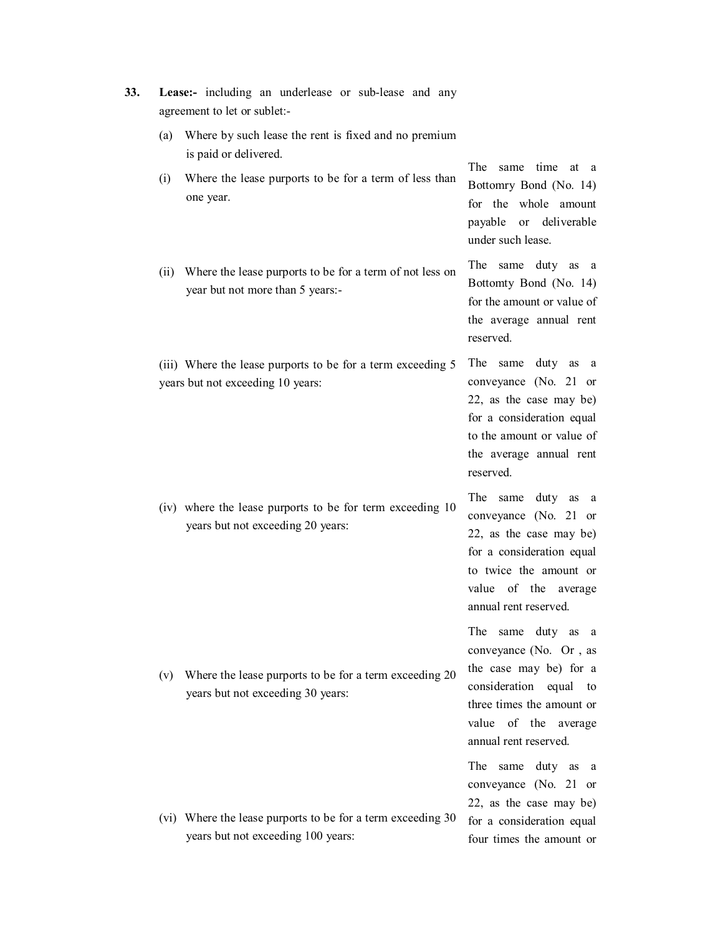| 33. |     | Lease:- including an underlease or sub-lease and any<br>agreement to let or sublet:-              |                                                                                                                                                                                             |
|-----|-----|---------------------------------------------------------------------------------------------------|---------------------------------------------------------------------------------------------------------------------------------------------------------------------------------------------|
|     | (a) | Where by such lease the rent is fixed and no premium<br>is paid or delivered.                     |                                                                                                                                                                                             |
|     | (i) | Where the lease purports to be for a term of less than<br>one year.                               | same time<br><b>The</b><br>at a<br>Bottomry Bond (No. 14)<br>for the whole amount<br>payable or deliverable<br>under such lease.                                                            |
|     |     | (ii) Where the lease purports to be for a term of not less on<br>year but not more than 5 years:- | The same duty as<br><sub>a</sub><br>Bottomty Bond (No. 14)<br>for the amount or value of<br>the average annual rent<br>reserved.                                                            |
|     |     | (iii) Where the lease purports to be for a term exceeding 5<br>years but not exceeding 10 years:  | The 1<br>same duty as<br><sub>a</sub><br>conveyance (No. 21 or<br>22, as the case may be)<br>for a consideration equal<br>to the amount or value of<br>the average annual rent<br>reserved. |
|     |     | (iv) where the lease purports to be for term exceeding 10<br>years but not exceeding 20 years:    | The same duty<br>as<br>a<br>conveyance (No. 21 or<br>22, as the case may be)<br>for a consideration equal<br>to twice the amount or<br>value of the average<br>annual rent reserved.        |
|     | (V) | Where the lease purports to be for a term exceeding 20<br>years but not exceeding 30 years:       | The same duty as<br>a<br>conveyance (No. Or, as<br>the case may be) for a<br>consideration equal to<br>three times the amount or<br>value of the average<br>annual rent reserved.           |
|     |     | (vi) Where the lease purports to be for a term exceeding 30<br>years but not exceeding 100 years: | The same duty as<br><sub>a</sub><br>conveyance (No. 21 or<br>22, as the case may be)<br>for a consideration equal                                                                           |
|     |     |                                                                                                   | four times the amount or                                                                                                                                                                    |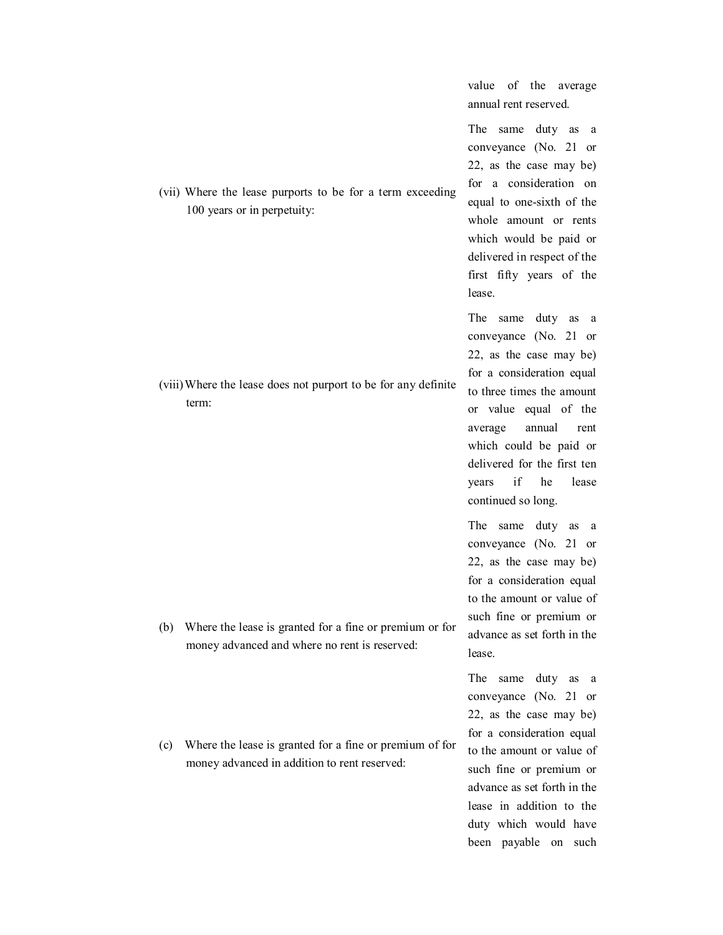|     |                                                                                                          | value<br>of the<br>average<br>annual rent reserved.                                                                                                                                                                                                                                                       |
|-----|----------------------------------------------------------------------------------------------------------|-----------------------------------------------------------------------------------------------------------------------------------------------------------------------------------------------------------------------------------------------------------------------------------------------------------|
|     | (vii) Where the lease purports to be for a term exceeding<br>100 years or in perpetuity:                 | The same duty as<br>a<br>conveyance (No. 21 or<br>22, as the case may be)<br>for a consideration on<br>equal to one-sixth of the<br>whole amount or rents<br>which would be paid or<br>delivered in respect of the<br>first fifty years of the<br>lease.                                                  |
|     | (viii) Where the lease does not purport to be for any definite<br>term:                                  | The same<br>duty as<br>a<br>conveyance (No. 21 or<br>22, as the case may be)<br>for a consideration equal<br>to three times the amount<br>or value equal of the<br>annual<br>average<br>rent<br>which could be paid or<br>delivered for the first ten<br>if<br>lease<br>years<br>he<br>continued so long. |
| (b) | Where the lease is granted for a fine or premium or for<br>money advanced and where no rent is reserved: | The same duty<br>as<br>a<br>conveyance (No. 21<br><sub>or</sub><br>22, as the case may be)<br>for a consideration equal<br>to the amount or value of<br>such fine or premium or<br>advance as set forth in the<br>lease.                                                                                  |
| (c) | Where the lease is granted for a fine or premium of for<br>money advanced in addition to rent reserved:  | The<br>same<br>duty<br>as<br>a<br>conveyance (No. 21 or<br>22, as the case may be)<br>for a consideration equal<br>to the amount or value of<br>such fine or premium or<br>advance as set forth in the<br>lease in addition to the<br>duty which would have<br>been payable on such                       |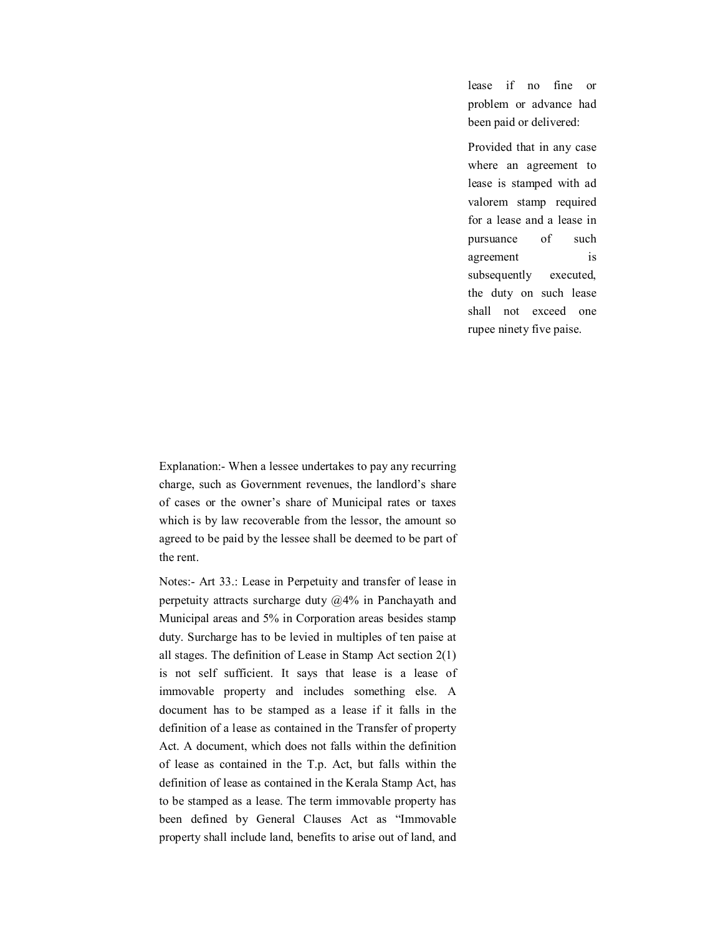lease if no fine or problem or advance had been paid or delivered:

Provided that in any case where an agreement to lease is stamped with ad valorem stamp required for a lease and a lease in pursuance of such agreement is subsequently executed, the duty on such lease shall not exceed one rupee ninety five paise.

Explanation: When a lessee undertakes to pay any recurring charge, such as Government revenues, the landlord's share of cases or the owner's share of Municipal rates or taxes which is by law recoverable from the lessor, the amount so agreed to be paid by the lessee shall be deemed to be part of the rent.

Notes: Art 33.: Lease in Perpetuity and transfer of lease in perpetuity attracts surcharge duty  $\omega$ 4% in Panchayath and Municipal areas and 5% in Corporation areas besides stamp duty. Surcharge has to be levied in multiples of ten paise at all stages. The definition of Lease in Stamp Act section 2(1) is not self sufficient. It says that lease is a lease of immovable property and includes something else. A document has to be stamped as a lease if it falls in the definition of a lease as contained in the Transfer of property Act. A document, which does not falls within the definition of lease as contained in the T.p. Act, but falls within the definition of lease as contained in the Kerala Stamp Act, has to be stamped as a lease. The term immovable property has been defined by General Clauses Act as "Immovable property shall include land, benefits to arise out of land, and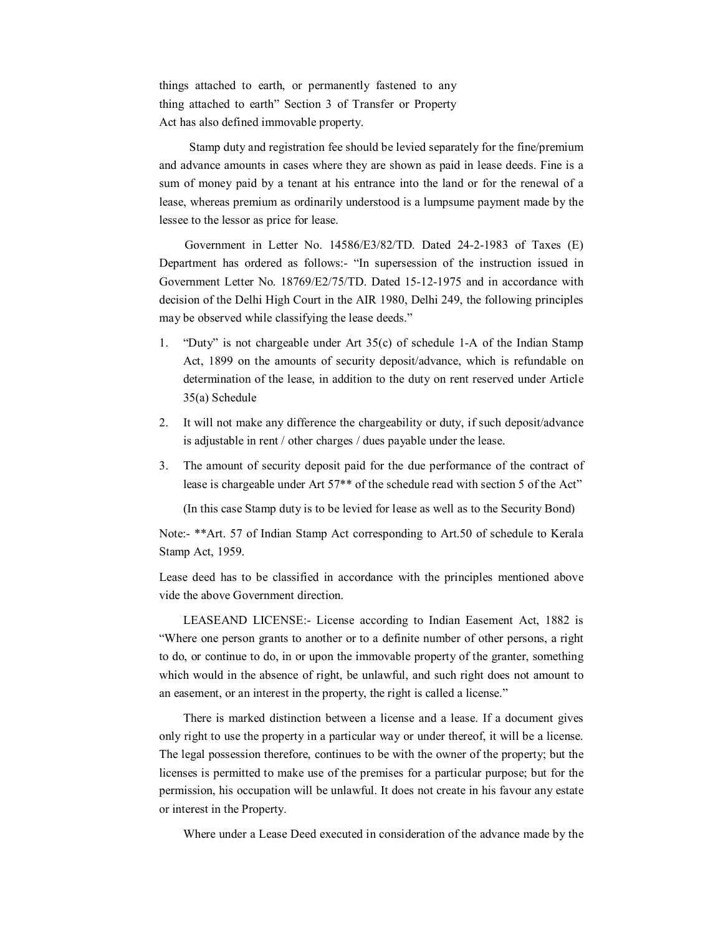things attached to earth, or permanently fastened to any thing attached to earth" Section 3 of Transfer or Property Act has also defined immovable property.

Stamp duty and registration fee should be levied separately for the fine/premium and advance amounts in cases where they are shown as paid in lease deeds. Fine is a sum of money paid by a tenant at his entrance into the land or for the renewal of a lease, whereas premium as ordinarily understood is a lumpsume payment made by the lessee to the lessor as price for lease.

Government in Letter No.  $14586/E3/82/TD$ . Dated 24-2-1983 of Taxes (E) Department has ordered as follows: "In supersession of the instruction issued in Government Letter No. 18769/E2/75/TD. Dated 15-12-1975 and in accordance with decision of the Delhi High Court in the AIR 1980, Delhi 249, the following principles may be observed while classifying the lease deeds."

- 1. "Duty" is not chargeable under Art  $35(c)$  of schedule 1-A of the Indian Stamp Act, 1899 on the amounts of security deposit/advance, which is refundable on determination of the lease, in addition to the duty on rent reserved under Article 35(a) Schedule
- 2. It will not make any difference the chargeability or duty, if such deposit/advance is adjustable in rent / other charges / dues payable under the lease.
- 3. The amount of security deposit paid for the due performance of the contract of lease is chargeable under Art 57<sup>\*\*</sup> of the schedule read with section 5 of the Act"

(In this case Stamp duty is to be levied for lease as well as to the Security Bond)

Note: \*\*Art. 57 of Indian Stamp Act corresponding to Art.50 of schedule to Kerala Stamp Act, 1959.

Lease deed has to be classified in accordance with the principles mentioned above vide the above Government direction.

LEASEAND LICENSE: License according to Indian Easement Act, 1882 is "Where one person grants to another or to a definite number of other persons, a right to do, or continue to do, in or upon the immovable property of the granter, something which would in the absence of right, be unlawful, and such right does not amount to an easement, or an interest in the property, the right is called a license."

There is marked distinction between a license and a lease. If a document gives only right to use the property in a particular way or under thereof, it will be a license. The legal possession therefore, continues to be with the owner of the property; but the licenses is permitted to make use of the premises for a particular purpose; but for the permission, his occupation will be unlawful. It does not create in his favour any estate or interest in the Property.

Where under a Lease Deed executed in consideration of the advance made by the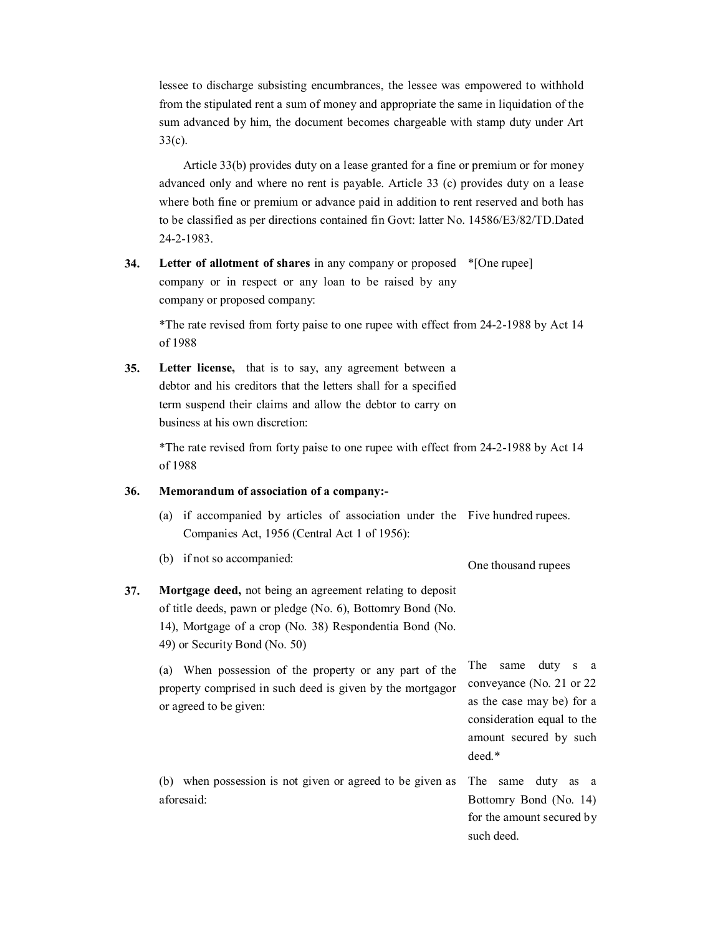lessee to discharge subsisting encumbrances, the lessee was empowered to withhold from the stipulated rent a sum of money and appropriate the same in liquidation of the sum advanced by him, the document becomes chargeable with stamp duty under Art

33(c). Article 33(b) provides duty on a lease granted for a fine or premium or for money advanced only and where no rent is payable. Article 33 (c) provides duty on a lease where both fine or premium or advance paid in addition to rent reserved and both has to be classified as per directions contained fin Govt: latter No. 14586/E3/82/TD.Dated 2421983.

**34. Letter of allotment of shares** in any company or proposed \*[One rupee] company or in respect or any loan to be raised by any company or proposed company:

\*The rate revised from forty paise to one rupee with effect from 2421988 by Act 14 of 1988

**35. Letter license,** that is to say, any agreement between a debtor and his creditors that the letters shall for a specified term suspend their claims and allow the debtor to carry on business at his own discretion:

> \*The rate revised from forty paise to one rupee with effect from 2421988 by Act 14 of 1988

# **36. Memorandum of association of a company:**

(a) if accompanied by articles of association under the Five hundred rupees. Companies Act, 1956 (Central Act 1 of 1956):

(b) if not so accompanied:

```
One thousand rupees
```
**37. Mortgage deed,** not being an agreement relating to deposit of title deeds, pawn or pledge (No. 6), Bottomry Bond (No. 14), Mortgage of a crop (No. 38) Respondentia Bond (No. 49) or Security Bond (No. 50)

> (a) When possession of the property or any part of the property comprised in such deed is given by the mortgagor or agreed to be given:

The same duty s a conveyance (No. 21 or 22 as the case may be) for a consideration equal to the amount secured by such deed.\*

(b) when possession is not given or agreed to be given as The same duty as a aforesaid:

Bottomry Bond (No. 14) for the amount secured by such deed.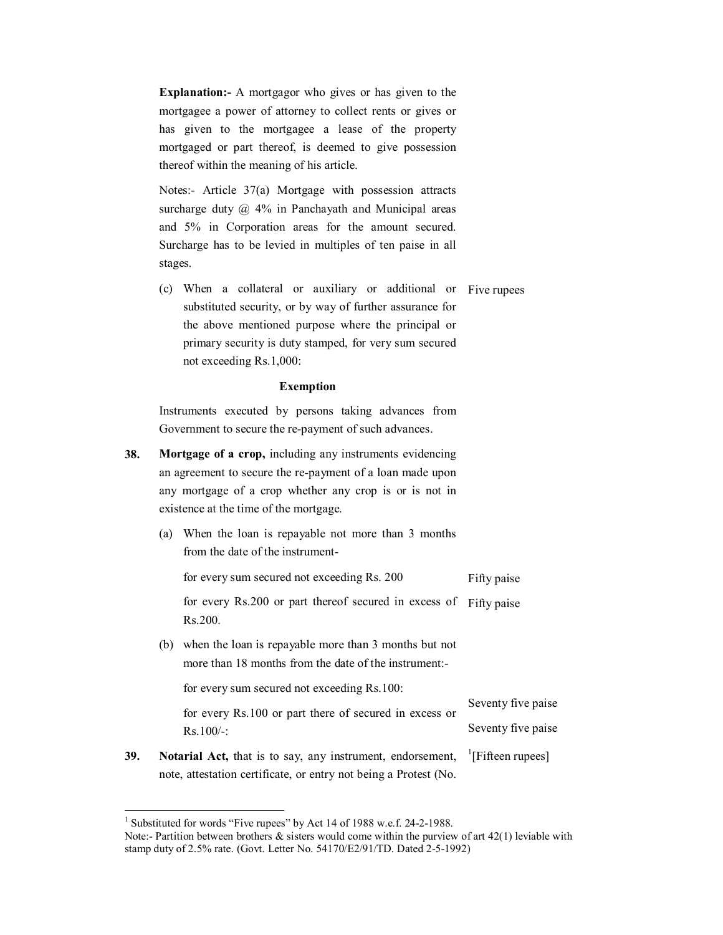**Explanation:** A mortgagor who gives or has given to the mortgagee a power of attorney to collect rents or gives or has given to the mortgagee a lease of the property mortgaged or part thereof, is deemed to give possession thereof within the meaning of his article.

Notes: Article 37(a) Mortgage with possession attracts surcharge duty  $\omega$  4% in Panchayath and Municipal areas and 5% in Corporation areas for the amount secured. Surcharge has to be levied in multiples of ten paise in all stages.

(c) When a collateral or auxiliary or additional or Five rupees substituted security, or by way of further assurance for the above mentioned purpose where the principal or primary security is duty stamped, for very sum secured not exceeding Rs.1,000:

#### **Exemption**

Instruments executed by persons taking advances from Government to secure the re-payment of such advances.

- **38. Mortgage of a crop,** including any instruments evidencing an agreement to secure the re-payment of a loan made upon any mortgage of a crop whether any crop is or is not in existence at the time of the mortgage.
	- (a) When the loan is repayable not more than 3 months from the date of the instrument-

for every sum secured not exceeding Rs. 200 Fifty paise

for every Rs.200 or part thereof secured in excess of Fifty paise Rs.200.

(b) when the loan is repayable more than 3 months but not more than 18 months from the date of the instrument:

for every sum secured not exceeding Rs.100:

for every Rs.100 or part there of secured in excess or  $Rs.100/-$ : Seventy five paise Seventy five paise

**39. Notarial Act,** that is to say, any instrument, endorsement, note, attestation certificate, or entry not being a Protest (No.  $\left| \right|$ [Fifteen rupees]

<sup>&</sup>lt;sup>1</sup> Substituted for words "Five rupees" by Act 14 of 1988 w.e.f. 24-2-1988.

Note:- Partition between brothers  $\&$  sisters would come within the purview of art 42(1) leviable with stamp duty of 2.5% rate. (Govt. Letter No. 54170/E2/91/TD. Dated 2-5-1992)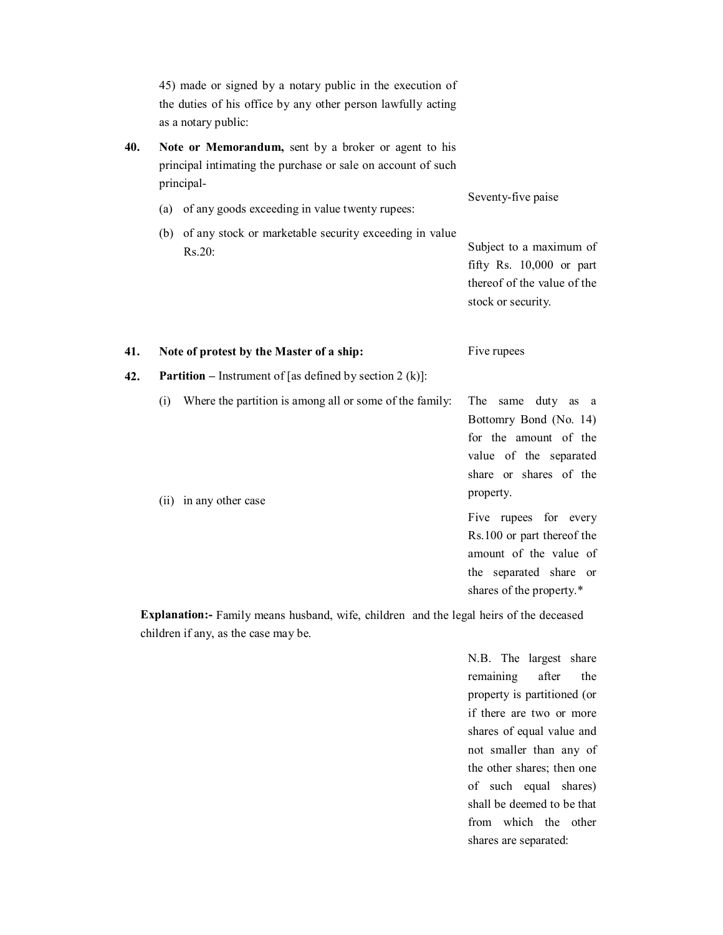45) made or signed by a notary public in the execution of the duties of his office by any other person lawfully acting as a notary public:

**40. Note or Memorandum,** sent by a broker or agent to his principal intimating the purchase or sale on account of such principal

|     | (a)<br>(b) | $P^{222}$<br>of any goods exceeding in value twenty rupees:<br>of any stock or marketable security exceeding in value<br>Rs.20: | Seventy-five paise<br>Subject to a maximum of<br>fifty Rs. $10,000$ or part<br>thereof of the value of the<br>stock or security. |
|-----|------------|---------------------------------------------------------------------------------------------------------------------------------|----------------------------------------------------------------------------------------------------------------------------------|
| 41. |            | Note of protest by the Master of a ship:                                                                                        | Five rupees                                                                                                                      |
| 42. |            | <b>Partition</b> – Instrument of [as defined by section 2 (k)]:                                                                 |                                                                                                                                  |
|     | (i)        | Where the partition is among all or some of the family:                                                                         | The same duty as a<br>Bottomry Bond (No. 14)<br>for the amount of the<br>value of the separated                                  |

(ii) in any other case Five rupees for every Rs.100 or part thereof the amount of the value of the separated share or

**Explanation:** Family means husband, wife, children and the legal heirs of the deceased children if any, as the case may be.

> N.B. The largest share remaining after the property is partitioned (or if there are two or more shares of equal value and not smaller than any of the other shares; then one of such equal shares) shall be deemed to be that from which the other shares are separated:

share or shares of the

shares of the property.\*

property.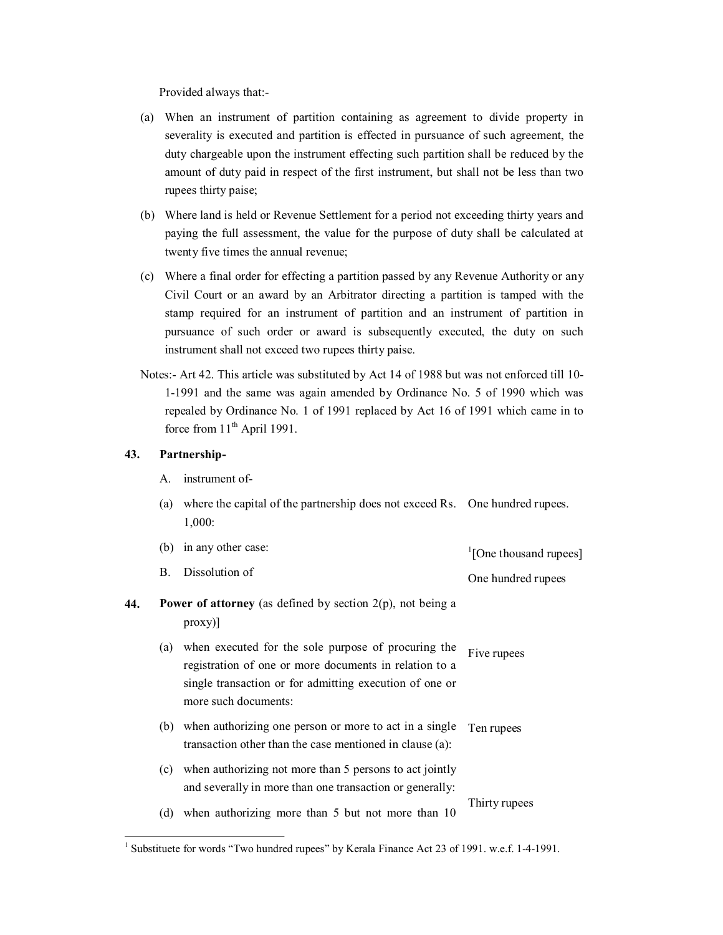Provided always that:

- (a) When an instrument of partition containing as agreement to divide property in severality is executed and partition is effected in pursuance of such agreement, the duty chargeable upon the instrument effecting such partition shall be reduced by the amount of duty paid in respect of the first instrument, but shall not be less than two rupees thirty paise;
- (b) Where land is held or Revenue Settlement for a period not exceeding thirty years and paying the full assessment, the value for the purpose of duty shall be calculated at twenty five times the annual revenue;
- (c) Where a final order for effecting a partition passed by any Revenue Authority or any Civil Court or an award by an Arbitrator directing a partition is tamped with the stamp required for an instrument of partition and an instrument of partition in pursuance of such order or award is subsequently executed, the duty on such instrument shall not exceed two rupees thirty paise.
- Notes: Art 42. This article was substituted by Act 14 of 1988 but was not enforced till 10 11991 and the same was again amended by Ordinance No. 5 of 1990 which was repealed by Ordinance No. 1 of 1991 replaced by Act 16 of 1991 which came in to force from  $11<sup>th</sup>$  April 1991.

# **43. Partnership**

| А. | instrument of- |  |
|----|----------------|--|
|----|----------------|--|

(b) in any other case:

(a) where the capital of the partnership does not exceed Rs. One hundred rupees. 1,000:

|     |     | (D) in any other case.                                                                                                                                                                           | <sup>1</sup> [One thousand rupees] |
|-----|-----|--------------------------------------------------------------------------------------------------------------------------------------------------------------------------------------------------|------------------------------------|
|     | B.  | Dissolution of                                                                                                                                                                                   | One hundred rupees                 |
| 44. |     | <b>Power of attorney</b> (as defined by section $2(p)$ , not being a<br> proxy                                                                                                                   |                                    |
|     | (a) | when executed for the sole purpose of procuring the<br>registration of one or more documents in relation to a<br>single transaction or for admitting execution of one or<br>more such documents: | Five rupees                        |
|     | (b) | when authorizing one person or more to act in a single<br>transaction other than the case mentioned in clause (a):                                                                               | Ten rupees                         |
|     | (c) | when authorizing not more than 5 persons to act jointly<br>and severally in more than one transaction or generally:                                                                              |                                    |
|     | (d) | when authorizing more than 5 but not more than 10                                                                                                                                                | Thirty rupees                      |

<sup>&</sup>lt;sup>1</sup> Substituete for words "Two hundred rupees" by Kerala Finance Act 23 of 1991. w.e.f. 1-4-1991.

persons to act jointly and severally more than one than one than one than one than  $\alpha$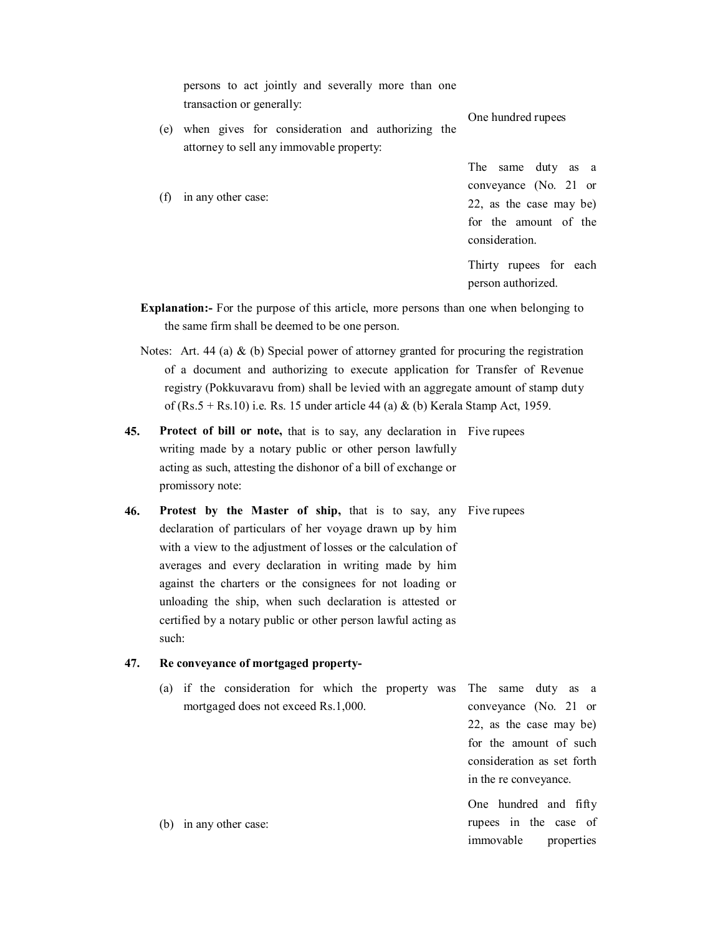persons to act jointly and severally more than one transaction or generally:

(e) when gives for consideration and authorizing the attorney to sell any immovable property:

(f) in any other case:

One hundred rupees

person authorized.

The same duty as a

conveyance (No. 21 or 22, as the case may be) for the amount of the consideration. Thirty rupees for each

**Explanation:** For the purpose of this article, more persons than one when belonging to the same firm shall be deemed to be one person.

Notes: Art. 44 (a)  $\&$  (b) Special power of attorney granted for procuring the registration of a document and authorizing to execute application for Transfer of Revenue registry (Pokkuvaravu from) shall be levied with an aggregate amount of stamp duty of (Rs.5 + Rs.10) i.e. Rs. 15 under article 44 (a)  $\&$  (b) Kerala Stamp Act, 1959.

- **45.** Protect of bill or note, that is to say, any declaration in Five rupees writing made by a notary public or other person lawfully acting as such, attesting the dishonor of a bill of exchange or promissory note:
- **46. Protest by the Master of ship,** that is to say, any Five rupees declaration of particulars of her voyage drawn up by him with a view to the adjustment of losses or the calculation of averages and every declaration in writing made by him against the charters or the consignees for not loading or unloading the ship, when such declaration is attested or certified by a notary public or other person lawful acting as such:

### **47. Re conveyance of mortgaged property**

(a) if the consideration for which the property was mortgaged does not exceed Rs.1,000. The same duty as a conveyance (No. 21 or

22, as the case may be) for the amount of such consideration as set forth in the re conveyance.

One hundred and fifty rupees in the case of immovable properties

(b) in any other case: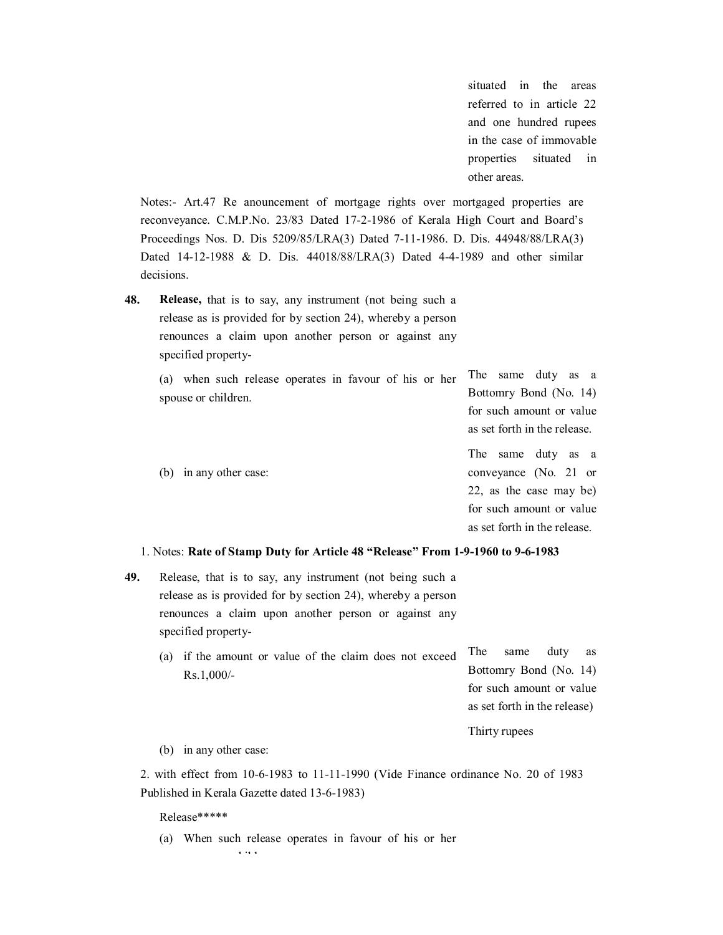situated in the areas referred to in article 22 and one hundred rupees in the case of immovable properties situated in other areas.

Notes:- Art.47 Re anouncement of mortgage rights over mortgaged properties are reconveyance. C.M.P.No. 23/83 Dated 17-2-1986 of Kerala High Court and Board's Proceedings Nos. D. Dis 5209/85/LRA(3) Dated 7-11-1986. D. Dis. 44948/88/LRA(3) Dated 14-12-1988 & D. Dis. 44018/88/LRA(3) Dated 4-4-1989 and other similar decisions.

**48. Release,** that is to say, any instrument (not being such a release as is provided for by section 24), whereby a person renounces a claim upon another person or against any specified property

> (a) when such release operates in favour of his or her spouse or children. (b) in any other case: The same duty as a Bottomry Bond (No. 14) for such amount or value as set forth in the release. The same duty as a conveyance (No. 21 or 22, as the case may be) for such amount or value as set forth in the release.

### 1. Notes: **Rate of Stamp Duty for Article 48 "Release" From 191960 to 961983**

- **49.** Release, that is to say, any instrument (not being such a release as is provided for by section 24), whereby a person renounces a claim upon another person or against any specified property
	- (a) if the amount or value of the claim does not exceed The Rs.1,000/ same duty as Bottomry Bond (No. 14) for such amount or value as set forth in the release)

Thirty rupees

(b) in any other case:

2. with effect from 10-6-1983 to 11-11-1990 (Vide Finance ordinance No. 20 of 1983 Published in Kerala Gazette dated 13-6-1983)

# Release\*\*\*\*\*

(a) When such release operates in favour of his or her spouse or children in the children or children in the children or children in the children in the children in <br>Separate children in the children in the children in the children in the children in the children in the child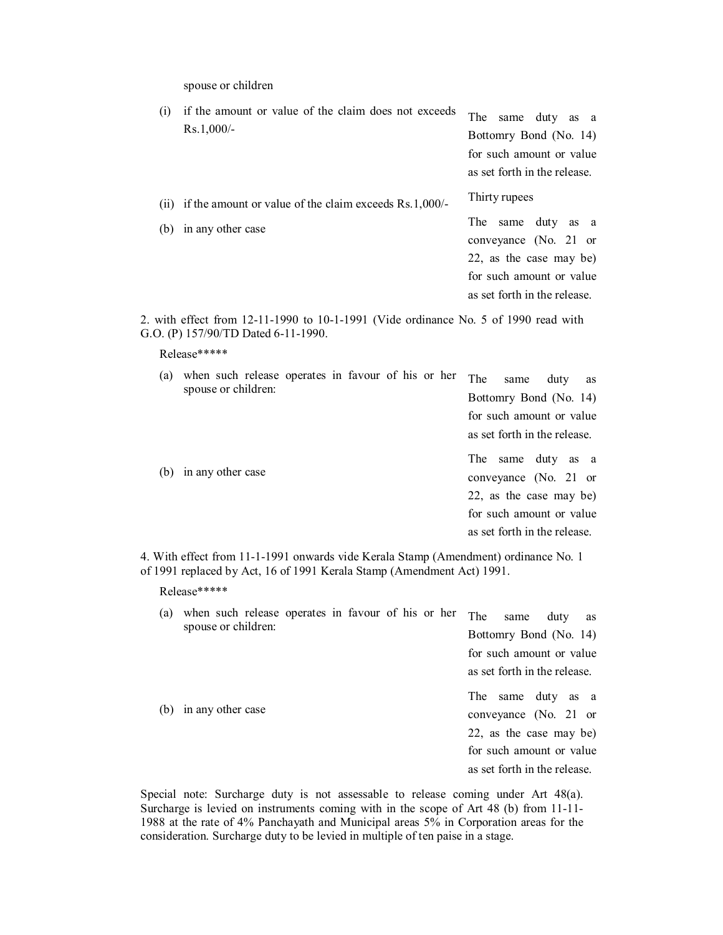spouse or children

| (i)  | if the amount or value of the claim does not exceeds<br>$Rs.1,000/-$          | The same duty as a<br>Bottomry Bond (No. 14)<br>for such amount or value<br>as set forth in the release.                                   |
|------|-------------------------------------------------------------------------------|--------------------------------------------------------------------------------------------------------------------------------------------|
| (11) | if the amount or value of the claim exceeds $Rs.1,000/-$<br>in any other case | Thirty rupees                                                                                                                              |
| (b)  |                                                                               | duty as a<br>The<br>same<br>conveyance $(No. 21$ or<br>22, as the case may be)<br>for such amount or value<br>as set forth in the release. |

2. with effect from  $12-11-1990$  to  $10-1-1991$  (Vide ordinance No. 5 of 1990 read with G.O. (P) 157/90/TD Dated 6-11-1990.

### Release\*\*\*\*\*

| (a) | when such release operates in favour of his or her<br>spouse or children: |  |  | The<br>same<br>Bottomry Bond (No. 14)<br>for such amount or value                   | duty | as |
|-----|---------------------------------------------------------------------------|--|--|-------------------------------------------------------------------------------------|------|----|
|     | (b) in any other case                                                     |  |  | as set forth in the release.<br>same duty as a<br>The<br>conveyance $(No. 21$ or    |      |    |
|     |                                                                           |  |  | 22, as the case may be)<br>for such amount or value<br>as set forth in the release. |      |    |

4. With effect from 11-1-1991 onwards vide Kerala Stamp (Amendment) ordinance No. 1 of 1991 replaced by Act, 16 of 1991 Kerala Stamp (Amendment Act) 1991.

# Release\*\*\*\*\*

| (a) | when such release operates in favour of his or her<br>spouse or children: | The<br>duty<br>same<br>as<br>Bottomry Bond (No. 14) |  |  |  |  |  |
|-----|---------------------------------------------------------------------------|-----------------------------------------------------|--|--|--|--|--|
|     |                                                                           | for such amount or value                            |  |  |  |  |  |
|     |                                                                           | as set forth in the release.                        |  |  |  |  |  |
| (b) |                                                                           | The<br>same duty as a                               |  |  |  |  |  |
|     | in any other case                                                         | conveyance $(No. 21$ or                             |  |  |  |  |  |
|     |                                                                           | 22, as the case may be)                             |  |  |  |  |  |
|     |                                                                           | for such amount or value                            |  |  |  |  |  |
|     |                                                                           | as set forth in the release.                        |  |  |  |  |  |

Special note: Surcharge duty is not assessable to release coming under Art 48(a). Surcharge is levied on instruments coming with in the scope of Art  $48$  (b) from 11-11-1988 at the rate of 4% Panchayath and Municipal areas 5% in Corporation areas for the consideration. Surcharge duty to be levied in multiple of ten paise in a stage.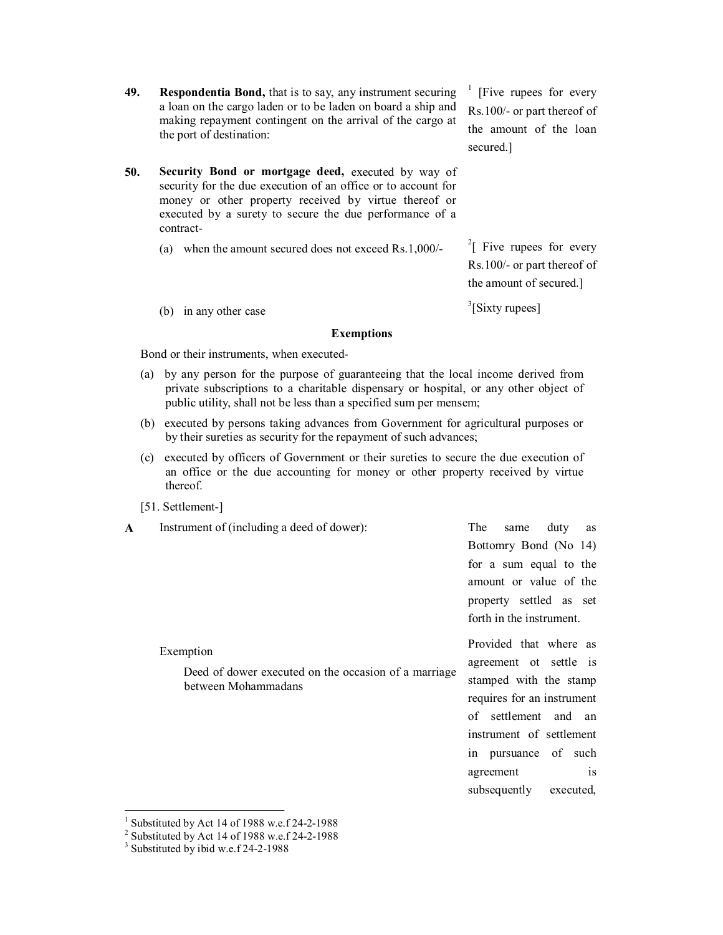- **49. Respondentia Bond,** that is to say, any instrument securing a loan on the cargo laden or to be laden on board a ship and making repayment contingent on the arrival of the cargo at the port of destination:
- **50. Security Bond or mortgage deed,** executed by way of security for the due execution of an office or to account for money or other property received by virtue thereof or executed by a surety to secure the due performance of a contract
	- (a) when the amount secured does not exceed Rs.1,000/

 $<sup>1</sup>$  [Five rupees for every</sup> Rs.100/- or part thereof of the amount of the loan secured.]

 $2 \int$  Five rupees for every Rs.100/- or part thereof of the amount of secured.]

 $3$ [Sixty rupees]

(b) in any other case

#### **Exemptions**

Bond or their instruments, when executed

- (a) by any person for the purpose of guaranteeing that the local income derived from private subscriptions to a charitable dispensary or hospital, or any other object of public utility, shall not be less than a specified sum per mensem;
- (b) executed by persons taking advances from Government for agricultural purposes or by their sureties as security for the repayment of such advances;
- (c) executed by officers of Government or their sureties to secure the due execution of an office or the due accounting for money or other property received by virtue thereof.

Deed of dower executed on the occasion of a marriage

### [51. Settlement-]

Exemption

**A** Instrument of (including a deed of dower):

between Mohammadans

The same duty as Bottomry Bond (No 14) for a sum equal to the amount or value of the property settled as set forth in the instrument.

Provided that where as agreement ot settle is stamped with the stamp requires for an instrument of settlement and an instrument of settlement in pursuance of such agreement is subsequently executed,

Substituted by Act 14 of 1988 w.e.f 24-2-1988

 $2$  Substituted by Act 14 of 1988 w.e.f 24-2-1988

 $3$  Substituted by ibid w.e.f 24-2-1988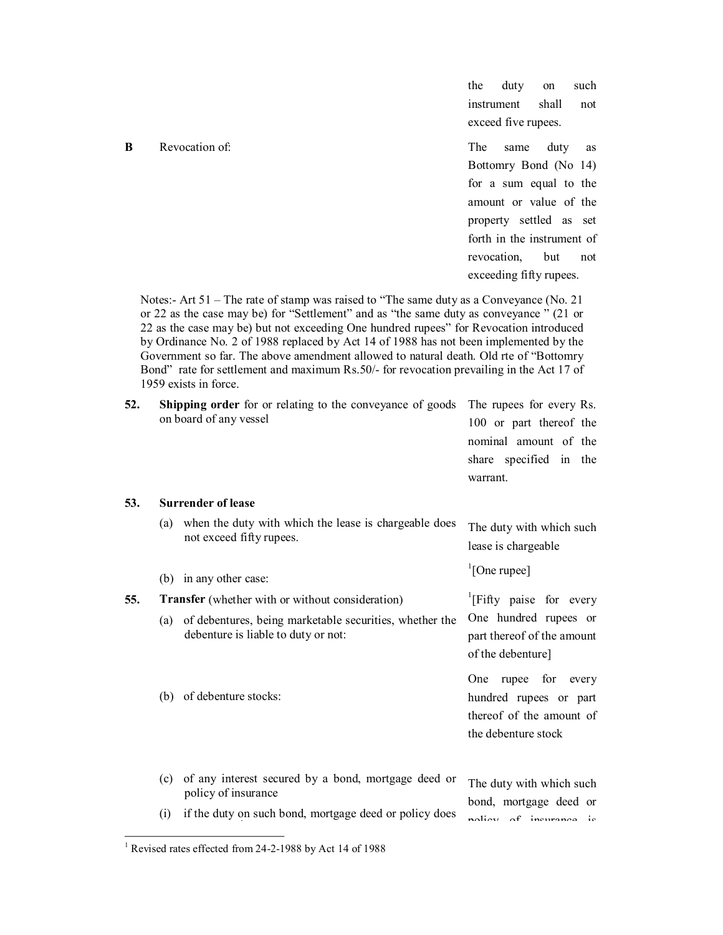### **B** Revocation of: The same duty as

the duty on such instrument shall not exceed five rupees.

Bottomry Bond (No 14) for a sum equal to the amount or value of the property settled as set forth in the instrument of revocation but not exceeding fifty rupees.

Notes: Art 51 – The rate of stamp was raised to "The same duty as a Conveyance (No. 21 or 22 as the case may be) for "Settlement" and as "the same duty as conveyance " (21 or 22 as the case may be) but not exceeding One hundred rupees" for Revocation introduced by Ordinance No. 2 of 1988 replaced by Act 14 of 1988 has not been implemented by the Government so far. The above amendment allowed to natural death. Old rte of "Bottomry Bond" rate for settlement and maximum Rs.50/- for revocation prevailing in the Act 17 of 1959 exists in force.

| 52. | <b>Shipping order</b> for or relating to the conveyance of goods The rupees for every Rs. |                                                                            |                           |  |
|-----|-------------------------------------------------------------------------------------------|----------------------------------------------------------------------------|---------------------------|--|
|     | on board of any vessel                                                                    | 100 or part thereof the<br>nominal amount of the<br>share specified in the |                           |  |
|     |                                                                                           |                                                                            |                           |  |
|     |                                                                                           |                                                                            |                           |  |
|     |                                                                                           | 53.                                                                        | <b>Surrender of lease</b> |  |

#### (a) when the duty with which the lease is chargeable does not exceed fifty rupees. (b) in any other case: The duty with which such lease is chargeable  $\sqrt[1]{1}$ [One rupee] **55. Transfer** (whether with or without consideration) (a) of debentures, being marketable securities, whether the debenture is liable to duty or not: <sup>1</sup>[Fifty paise for every One hundred rupees or part thereof of the amount

(b) of debenture stocks: (c) of any interest secured by a bond, mortgage deed or policy of insurance of the debenture] One rupee for every hundred rupees or part thereof of the amount of the debenture stock The duty with which such bond, mortgage deed or

(i) if the duty on such bond, mortgage deed or policy does policy of insurance is

<sup>&</sup>lt;sup>1</sup> Revised rates effected from 24-2-1988 by Act 14 of 1988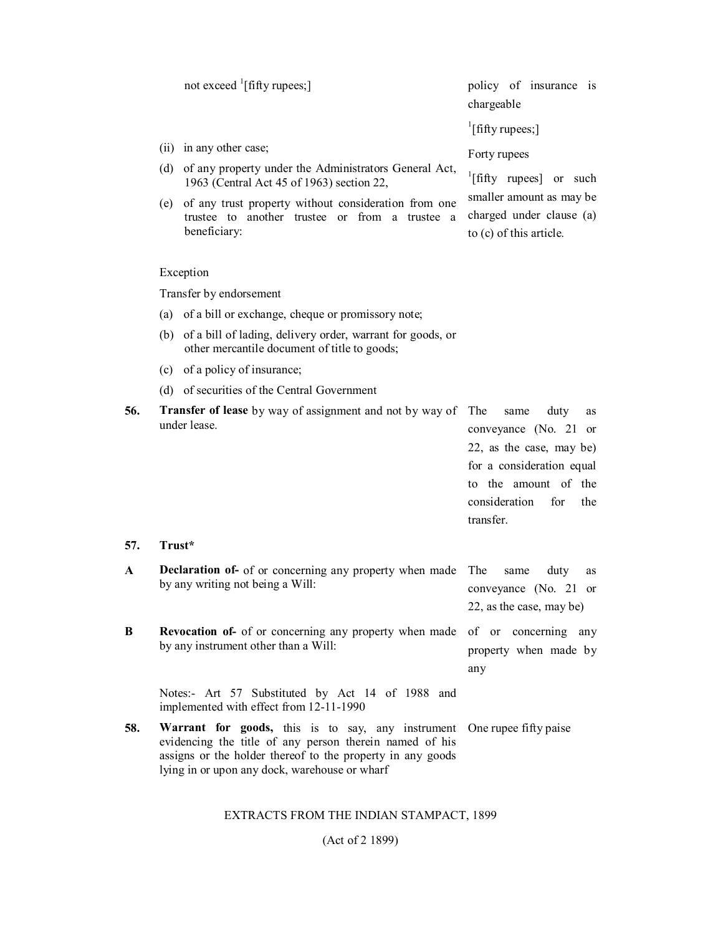|     | not exceed $\frac{1}{1}$ [fifty rupees;]                                                                                   |                                                                                                                                                                                                                             | policy of insurance is<br>chargeable                                                                                                                                            |  |  |
|-----|----------------------------------------------------------------------------------------------------------------------------|-----------------------------------------------------------------------------------------------------------------------------------------------------------------------------------------------------------------------------|---------------------------------------------------------------------------------------------------------------------------------------------------------------------------------|--|--|
|     |                                                                                                                            |                                                                                                                                                                                                                             | $\frac{1}{2}$ [fifty rupees;]                                                                                                                                                   |  |  |
|     |                                                                                                                            | (ii) in any other case;                                                                                                                                                                                                     | Forty rupees                                                                                                                                                                    |  |  |
|     |                                                                                                                            | (d) of any property under the Administrators General Act,<br>1963 (Central Act 45 of 1963) section 22,                                                                                                                      | $\left  \right $ [fifty rupees] or such                                                                                                                                         |  |  |
|     | (e) of any trust property without consideration from one<br>trustee to another trustee or from a trustee a<br>beneficiary: |                                                                                                                                                                                                                             | smaller amount as may be<br>charged under clause (a)<br>to (c) of this article.                                                                                                 |  |  |
|     |                                                                                                                            | Exception                                                                                                                                                                                                                   |                                                                                                                                                                                 |  |  |
|     |                                                                                                                            | Transfer by endorsement                                                                                                                                                                                                     |                                                                                                                                                                                 |  |  |
|     | (a)                                                                                                                        | of a bill or exchange, cheque or promissory note;                                                                                                                                                                           |                                                                                                                                                                                 |  |  |
|     |                                                                                                                            | (b) of a bill of lading, delivery order, warrant for goods, or<br>other mercantile document of title to goods;                                                                                                              |                                                                                                                                                                                 |  |  |
|     |                                                                                                                            | (c) of a policy of insurance;                                                                                                                                                                                               |                                                                                                                                                                                 |  |  |
|     |                                                                                                                            | (d) of securities of the Central Government                                                                                                                                                                                 |                                                                                                                                                                                 |  |  |
| 56. |                                                                                                                            | <b>Transfer of lease</b> by way of assignment and not by way of<br>under lease.                                                                                                                                             | The<br>same<br>duty<br>as<br>conveyance (No. 21 or<br>22, as the case, may be)<br>for a consideration equal<br>to the amount of the<br>consideration<br>for<br>the<br>transfer. |  |  |
| 57. | Trust*                                                                                                                     |                                                                                                                                                                                                                             |                                                                                                                                                                                 |  |  |
| A   |                                                                                                                            | <b>Declaration of-</b> of or concerning any property when made<br>by any writing not being a Will:                                                                                                                          | The<br>duty<br>same<br>as<br>conveyance (No. 21<br><sub>or</sub><br>22, as the case, may be)                                                                                    |  |  |
| B   |                                                                                                                            | <b>Revocation of-</b> of or concerning any property when made of or concerning any<br>by any instrument other than a Will:                                                                                                  | property when made by<br>any                                                                                                                                                    |  |  |
|     |                                                                                                                            | Notes:- Art 57 Substituted by Act 14 of 1988 and<br>implemented with effect from 12-11-1990                                                                                                                                 |                                                                                                                                                                                 |  |  |
| 58. |                                                                                                                            | Warrant for goods, this is to say, any instrument<br>evidencing the title of any person therein named of his<br>assigns or the holder thereof to the property in any goods<br>lying in or upon any dock, warehouse or wharf | One rupee fifty paise                                                                                                                                                           |  |  |

EXTRACTS FROM THE INDIAN STAMPACT, 1899

(Act of 2 1899)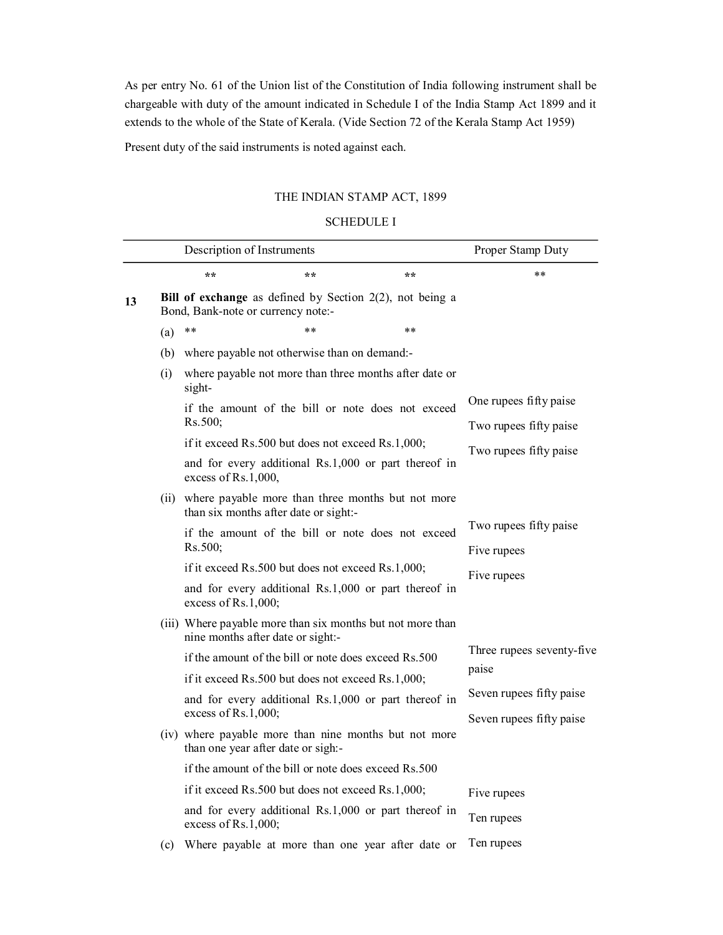As per entry No. 61 of the Union list of the Constitution of India following instrument shall be chargeable with duty of the amount indicated in Schedule I of the India Stamp Act 1899 and it extends to the whole of the State of Kerala. (Vide Section 72 of the Kerala Stamp Act 1959)

Present duty of the said instruments is noted against each.

# THE INDIAN STAMP ACT, 1899

# SCHEDULE I

|    |     | Description of Instruments                                   |                                                      |                                                             | Proper Stamp Duty                                |
|----|-----|--------------------------------------------------------------|------------------------------------------------------|-------------------------------------------------------------|--------------------------------------------------|
|    |     | **                                                           | **                                                   | $**$                                                        | **                                               |
| 13 |     | Bond, Bank-note or currency note:-                           |                                                      | Bill of exchange as defined by Section $2(2)$ , not being a |                                                  |
|    | (a) | $***$                                                        | $**$                                                 | **                                                          |                                                  |
|    |     |                                                              | (b) where payable not otherwise than on demand:-     |                                                             |                                                  |
|    | (i) | sight-                                                       |                                                      | where payable not more than three months after date or      |                                                  |
|    |     | Rs.500;                                                      |                                                      | if the amount of the bill or note does not exceed           | One rupees fifty paise<br>Two rupees fifty paise |
|    |     |                                                              | if it exceed Rs.500 but does not exceed Rs.1,000;    |                                                             |                                                  |
|    |     | excess of Rs.1,000,                                          |                                                      | and for every additional Rs.1,000 or part thereof in        | Two rupees fifty paise                           |
|    |     |                                                              | than six months after date or sight:-                | (ii) where payable more than three months but not more      |                                                  |
|    |     | if the amount of the bill or note does not exceed<br>Rs.500; |                                                      | Two rupees fifty paise                                      |                                                  |
|    |     |                                                              |                                                      | Five rupees                                                 |                                                  |
|    |     |                                                              | if it exceed Rs.500 but does not exceed Rs.1,000;    |                                                             | Five rupees                                      |
|    |     | excess of Rs.1,000;                                          |                                                      | and for every additional Rs.1,000 or part thereof in        |                                                  |
|    |     | nine months after date or sight:-                            |                                                      | (iii) Where payable more than six months but not more than  |                                                  |
|    |     |                                                              | if the amount of the bill or note does exceed Rs.500 |                                                             | Three rupees seventy-five<br>paise               |
|    |     |                                                              | if it exceed Rs.500 but does not exceed Rs.1,000;    |                                                             |                                                  |
|    |     | and for every additional Rs.1,000 or part thereof in         |                                                      | Seven rupees fifty paise                                    |                                                  |
|    |     | excess of Rs.1,000;                                          |                                                      |                                                             | Seven rupees fifty paise                         |
|    |     | than one year after date or sigh:-                           |                                                      | (iv) where payable more than nine months but not more       |                                                  |
|    |     |                                                              | if the amount of the bill or note does exceed Rs.500 |                                                             |                                                  |
|    |     |                                                              | if it exceed Rs.500 but does not exceed Rs.1,000;    |                                                             | Five rupees                                      |
|    |     | excess of Rs.1,000;                                          |                                                      | and for every additional Rs.1,000 or part thereof in        | Ten rupees                                       |
|    | (c) |                                                              |                                                      | Where payable at more than one year after date or           | Ten rupees                                       |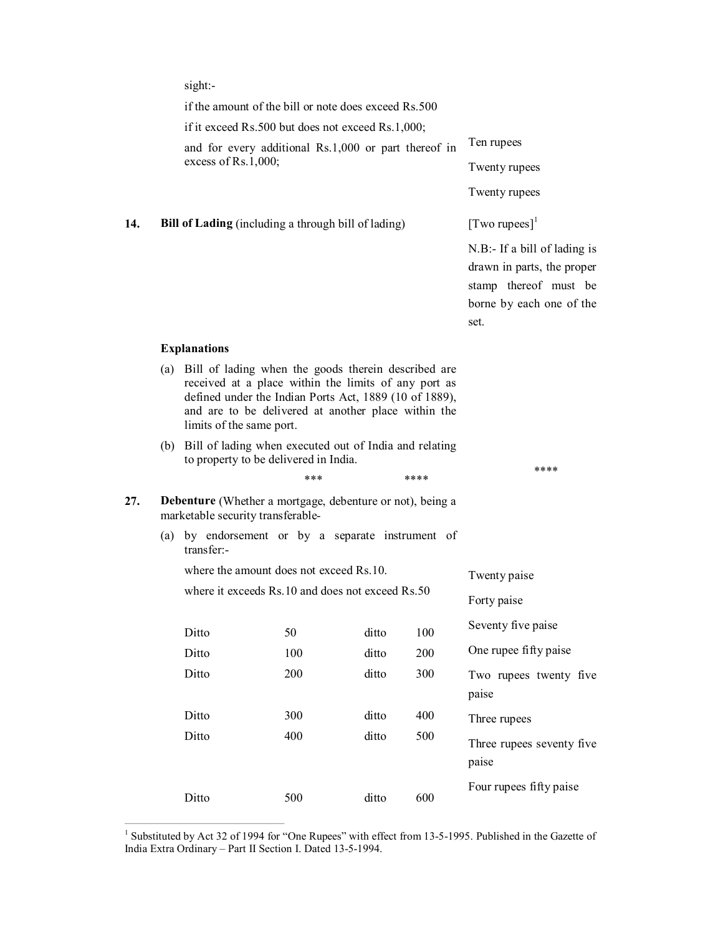sight:

| if the amount of the bill or note does exceed Rs.500<br>if it exceed Rs.500 but does not exceed Rs.1,000;<br>Ten rupees<br>and for every additional Rs.1,000 or part thereof in<br>excess of $Rs.1,000$ ;<br>Twenty rupees<br>Twenty rupees<br>[Two rupees] $1$<br>14.<br><b>Bill of Lading</b> (including a through bill of lading)<br>set.<br><b>Explanations</b><br>Bill of lading when the goods therein described are<br>(a)<br>received at a place within the limits of any port as<br>defined under the Indian Ports Act, 1889 (10 of 1889),<br>and are to be delivered at another place within the<br>limits of the same port.<br>(b) Bill of lading when executed out of India and relating<br>to property to be delivered in India.<br>****<br>***<br>****<br>Debenture (Whether a mortgage, debenture or not), being a<br>27.<br>marketable security transferable-<br>(a) by endorsement or by a separate instrument of<br>transfer:-<br>where the amount does not exceed Rs.10.<br>Twenty paise<br>where it exceeds Rs.10 and does not exceed Rs.50<br>Forty paise<br>Ditto<br>50<br>ditto<br>100<br>Ditto<br>100<br>ditto<br>200<br>Ditto<br>200<br>300<br>ditto<br>paise<br>Ditto<br>300<br>ditto<br>400<br>Three rupees<br>Ditto<br>400<br>ditto<br>500<br>paise<br>Ditto<br>500<br>ditto<br>600 |  |  |  |  |  |                                                                                                                    |
|-----------------------------------------------------------------------------------------------------------------------------------------------------------------------------------------------------------------------------------------------------------------------------------------------------------------------------------------------------------------------------------------------------------------------------------------------------------------------------------------------------------------------------------------------------------------------------------------------------------------------------------------------------------------------------------------------------------------------------------------------------------------------------------------------------------------------------------------------------------------------------------------------------------------------------------------------------------------------------------------------------------------------------------------------------------------------------------------------------------------------------------------------------------------------------------------------------------------------------------------------------------------------------------------------------------------|--|--|--|--|--|--------------------------------------------------------------------------------------------------------------------|
|                                                                                                                                                                                                                                                                                                                                                                                                                                                                                                                                                                                                                                                                                                                                                                                                                                                                                                                                                                                                                                                                                                                                                                                                                                                                                                                 |  |  |  |  |  |                                                                                                                    |
|                                                                                                                                                                                                                                                                                                                                                                                                                                                                                                                                                                                                                                                                                                                                                                                                                                                                                                                                                                                                                                                                                                                                                                                                                                                                                                                 |  |  |  |  |  |                                                                                                                    |
|                                                                                                                                                                                                                                                                                                                                                                                                                                                                                                                                                                                                                                                                                                                                                                                                                                                                                                                                                                                                                                                                                                                                                                                                                                                                                                                 |  |  |  |  |  |                                                                                                                    |
|                                                                                                                                                                                                                                                                                                                                                                                                                                                                                                                                                                                                                                                                                                                                                                                                                                                                                                                                                                                                                                                                                                                                                                                                                                                                                                                 |  |  |  |  |  |                                                                                                                    |
|                                                                                                                                                                                                                                                                                                                                                                                                                                                                                                                                                                                                                                                                                                                                                                                                                                                                                                                                                                                                                                                                                                                                                                                                                                                                                                                 |  |  |  |  |  |                                                                                                                    |
|                                                                                                                                                                                                                                                                                                                                                                                                                                                                                                                                                                                                                                                                                                                                                                                                                                                                                                                                                                                                                                                                                                                                                                                                                                                                                                                 |  |  |  |  |  |                                                                                                                    |
|                                                                                                                                                                                                                                                                                                                                                                                                                                                                                                                                                                                                                                                                                                                                                                                                                                                                                                                                                                                                                                                                                                                                                                                                                                                                                                                 |  |  |  |  |  | $N.B$ :- If a bill of lading is<br>drawn in parts, the proper<br>stamp thereof must be<br>borne by each one of the |
|                                                                                                                                                                                                                                                                                                                                                                                                                                                                                                                                                                                                                                                                                                                                                                                                                                                                                                                                                                                                                                                                                                                                                                                                                                                                                                                 |  |  |  |  |  |                                                                                                                    |
|                                                                                                                                                                                                                                                                                                                                                                                                                                                                                                                                                                                                                                                                                                                                                                                                                                                                                                                                                                                                                                                                                                                                                                                                                                                                                                                 |  |  |  |  |  |                                                                                                                    |
|                                                                                                                                                                                                                                                                                                                                                                                                                                                                                                                                                                                                                                                                                                                                                                                                                                                                                                                                                                                                                                                                                                                                                                                                                                                                                                                 |  |  |  |  |  |                                                                                                                    |
|                                                                                                                                                                                                                                                                                                                                                                                                                                                                                                                                                                                                                                                                                                                                                                                                                                                                                                                                                                                                                                                                                                                                                                                                                                                                                                                 |  |  |  |  |  |                                                                                                                    |
|                                                                                                                                                                                                                                                                                                                                                                                                                                                                                                                                                                                                                                                                                                                                                                                                                                                                                                                                                                                                                                                                                                                                                                                                                                                                                                                 |  |  |  |  |  |                                                                                                                    |
|                                                                                                                                                                                                                                                                                                                                                                                                                                                                                                                                                                                                                                                                                                                                                                                                                                                                                                                                                                                                                                                                                                                                                                                                                                                                                                                 |  |  |  |  |  |                                                                                                                    |
|                                                                                                                                                                                                                                                                                                                                                                                                                                                                                                                                                                                                                                                                                                                                                                                                                                                                                                                                                                                                                                                                                                                                                                                                                                                                                                                 |  |  |  |  |  |                                                                                                                    |
|                                                                                                                                                                                                                                                                                                                                                                                                                                                                                                                                                                                                                                                                                                                                                                                                                                                                                                                                                                                                                                                                                                                                                                                                                                                                                                                 |  |  |  |  |  |                                                                                                                    |
|                                                                                                                                                                                                                                                                                                                                                                                                                                                                                                                                                                                                                                                                                                                                                                                                                                                                                                                                                                                                                                                                                                                                                                                                                                                                                                                 |  |  |  |  |  | Seventy five paise                                                                                                 |
|                                                                                                                                                                                                                                                                                                                                                                                                                                                                                                                                                                                                                                                                                                                                                                                                                                                                                                                                                                                                                                                                                                                                                                                                                                                                                                                 |  |  |  |  |  | One rupee fifty paise                                                                                              |
|                                                                                                                                                                                                                                                                                                                                                                                                                                                                                                                                                                                                                                                                                                                                                                                                                                                                                                                                                                                                                                                                                                                                                                                                                                                                                                                 |  |  |  |  |  | Two rupees twenty five                                                                                             |
|                                                                                                                                                                                                                                                                                                                                                                                                                                                                                                                                                                                                                                                                                                                                                                                                                                                                                                                                                                                                                                                                                                                                                                                                                                                                                                                 |  |  |  |  |  |                                                                                                                    |
|                                                                                                                                                                                                                                                                                                                                                                                                                                                                                                                                                                                                                                                                                                                                                                                                                                                                                                                                                                                                                                                                                                                                                                                                                                                                                                                 |  |  |  |  |  | Three rupees seventy five                                                                                          |
|                                                                                                                                                                                                                                                                                                                                                                                                                                                                                                                                                                                                                                                                                                                                                                                                                                                                                                                                                                                                                                                                                                                                                                                                                                                                                                                 |  |  |  |  |  | Four rupees fifty paise                                                                                            |

<sup>&</sup>lt;sup>1</sup> Substituted by Act 32 of 1994 for "One Rupees" with effect from 13-5-1995. Published in the Gazette of India Extra Ordinary - Part II Section I. Dated 13-5-1994.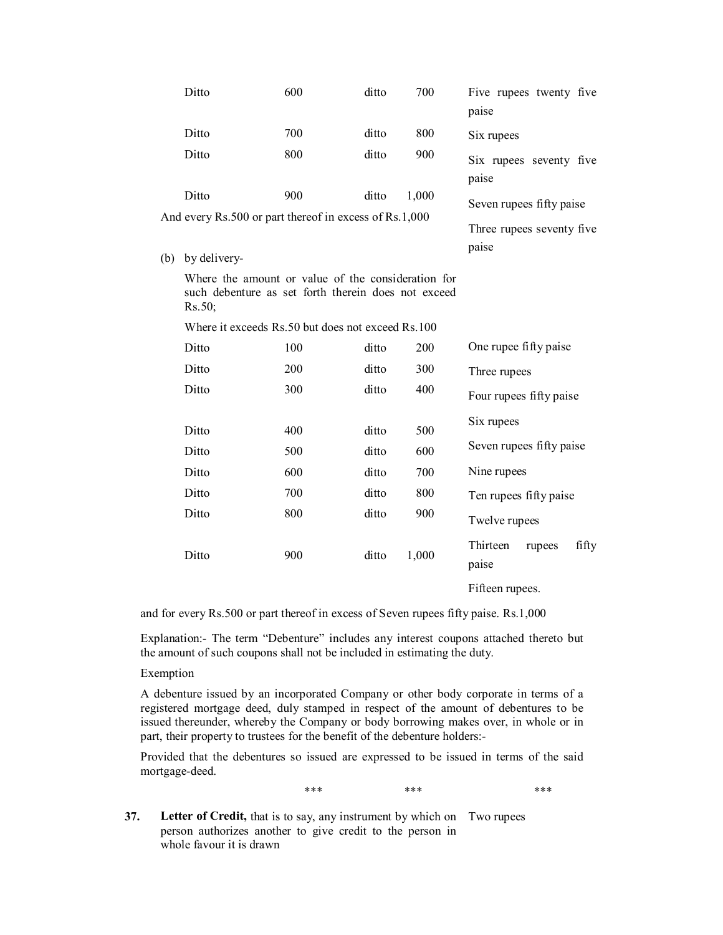|     | Ditto                                                                                                               | 600 | ditto | 700   | Five rupees twenty five<br>paise                               |
|-----|---------------------------------------------------------------------------------------------------------------------|-----|-------|-------|----------------------------------------------------------------|
|     | Ditto                                                                                                               | 700 | ditto | 800   | Six rupees                                                     |
|     | Ditto                                                                                                               | 800 | ditto | 900   | Six rupees seventy five<br>paise                               |
|     | Ditto<br>And every Rs.500 or part thereof in excess of Rs.1,000                                                     | 900 | ditto | 1,000 | Seven rupees fifty paise<br>Three rupees seventy five<br>paise |
| (b) | by delivery-                                                                                                        |     |       |       |                                                                |
|     | Where the amount or value of the consideration for<br>such debenture as set forth therein does not exceed<br>Rs.50; |     |       |       |                                                                |

Where it exceeds Rs.50 but does not exceed Rs.100

| Ditto | 100 | ditto | 200   | One rupee fifty paise                |
|-------|-----|-------|-------|--------------------------------------|
| Ditto | 200 | ditto | 300   | Three rupees                         |
| Ditto | 300 | ditto | 400   | Four rupees fifty paise              |
| Ditto | 400 | ditto | 500   | Six rupees                           |
|       |     |       |       |                                      |
| Ditto | 500 | ditto | 600   | Seven rupees fifty paise             |
| Ditto | 600 | ditto | 700   | Nine rupees                          |
| Ditto | 700 | ditto | 800   | Ten rupees fifty paise               |
| Ditto | 800 | ditto | 900   | Twelve rupees                        |
| Ditto | 900 | ditto | 1,000 | Thirteen<br>fifty<br>rupees<br>paise |
|       |     |       |       | Fifteen rupees.                      |

and for every Rs.500 or part thereof in excess of Seven rupees fifty paise. Rs.1,000

Explanation: The term "Debenture" includes any interest coupons attached thereto but the amount of such coupons shall not be included in estimating the duty.

### Exemption

A debenture issued by an incorporated Company or other body corporate in terms of a registered mortgage deed, duly stamped in respect of the amount of debentures to be issued thereunder, whereby the Company or body borrowing makes over, in whole or in part, their property to trustees for the benefit of the debenture holders:

Provided that the debentures so issued are expressed to be issued in terms of the said mortgage-deed.

\*\*\* \*\*\* \*\*\* \*\*\* \*\*\* \*\*\*

- 
- **37. Letter of Credit,** that is to say, any instrument by which on Two rupeesperson authorizes another to give credit to the person in whole favour it is drawn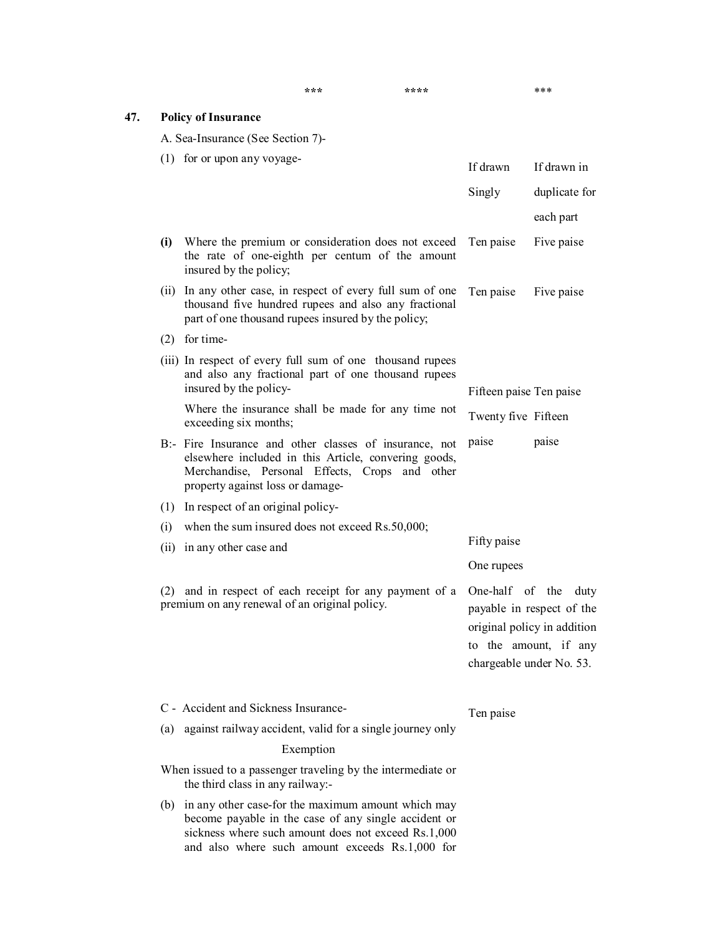|     |     |                                                                                                                                                                                                      | ***                                                                                                              | ****                |                                             | ***                                                                                       |
|-----|-----|------------------------------------------------------------------------------------------------------------------------------------------------------------------------------------------------------|------------------------------------------------------------------------------------------------------------------|---------------------|---------------------------------------------|-------------------------------------------------------------------------------------------|
| 47. |     | <b>Policy of Insurance</b>                                                                                                                                                                           |                                                                                                                  |                     |                                             |                                                                                           |
|     |     | A. Sea-Insurance (See Section 7)-                                                                                                                                                                    |                                                                                                                  |                     |                                             |                                                                                           |
|     |     | $(1)$ for or upon any voyage-                                                                                                                                                                        |                                                                                                                  | If drawn            | If drawn in                                 |                                                                                           |
|     |     |                                                                                                                                                                                                      |                                                                                                                  |                     | Singly                                      | duplicate for                                                                             |
|     |     |                                                                                                                                                                                                      |                                                                                                                  |                     |                                             | each part                                                                                 |
|     |     | (i) Where the premium or consideration does not exceed Ten paise<br>the rate of one-eighth per centum of the amount<br>insured by the policy;                                                        |                                                                                                                  |                     |                                             | Five paise                                                                                |
|     |     | (ii) In any other case, in respect of every full sum of one<br>thousand five hundred rupees and also any fractional<br>part of one thousand rupees insured by the policy;                            |                                                                                                                  |                     | Ten paise                                   | Five paise                                                                                |
|     |     | $(2)$ for time-                                                                                                                                                                                      |                                                                                                                  |                     |                                             |                                                                                           |
|     |     | insured by the policy-                                                                                                                                                                               | (iii) In respect of every full sum of one thousand rupees<br>and also any fractional part of one thousand rupees |                     |                                             |                                                                                           |
|     |     | Where the insurance shall be made for any time not                                                                                                                                                   |                                                                                                                  |                     | Fifteen paise Ten paise                     |                                                                                           |
|     |     | exceeding six months;                                                                                                                                                                                |                                                                                                                  | Twenty five Fifteen |                                             |                                                                                           |
|     |     | B:- Fire Insurance and other classes of insurance, not<br>elsewhere included in this Article, convering goods,<br>Merchandise, Personal Effects, Crops and other<br>property against loss or damage- |                                                                                                                  |                     | paise                                       | paise                                                                                     |
|     |     | (1) In respect of an original policy-                                                                                                                                                                |                                                                                                                  |                     |                                             |                                                                                           |
|     | (i) | when the sum insured does not exceed Rs.50,000;                                                                                                                                                      |                                                                                                                  |                     |                                             |                                                                                           |
|     |     | (ii) in any other case and                                                                                                                                                                           |                                                                                                                  |                     | Fifty paise                                 |                                                                                           |
|     |     |                                                                                                                                                                                                      |                                                                                                                  | One rupees          |                                             |                                                                                           |
|     | (2) | and in respect of each receipt for any payment of a<br>premium on any renewal of an original policy.                                                                                                 |                                                                                                                  |                     | One-half of the<br>chargeable under No. 53. | duty<br>payable in respect of the<br>original policy in addition<br>to the amount, if any |
|     |     | C - Accident and Sickness Insurance-                                                                                                                                                                 |                                                                                                                  |                     |                                             |                                                                                           |
|     | (a) | against railway accident, valid for a single journey only                                                                                                                                            |                                                                                                                  |                     | Ten paise                                   |                                                                                           |
|     |     | Exemption                                                                                                                                                                                            |                                                                                                                  |                     |                                             |                                                                                           |
|     |     | When issued to a passenger traveling by the intermediate or<br>the third class in any railway:-                                                                                                      |                                                                                                                  |                     |                                             |                                                                                           |
|     |     | (b) in any other case-for the maximum amount which may<br>become payable in the case of any single accident or<br>sickness where such amount does not exceed Rs.1,000                                |                                                                                                                  |                     |                                             |                                                                                           |

and also where such amount exceeds Rs.1,000 for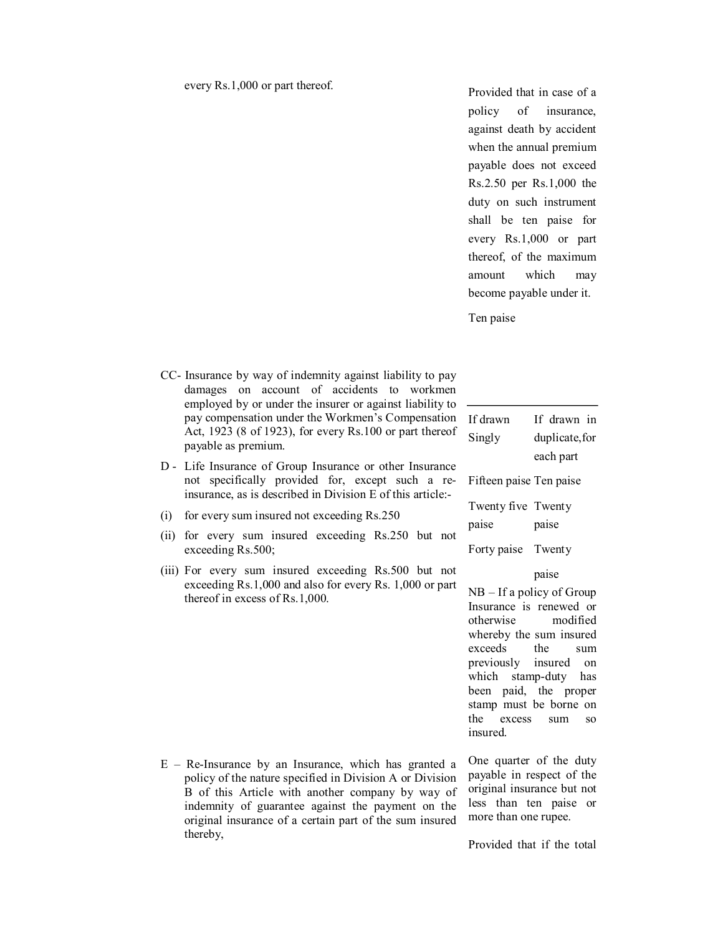Provided that in case of a policy of insurance, against death by accident when the annual premium payable does not exceed Rs.2.50 per Rs.1,000 the duty on such instrument shall be ten paise for every Rs.1,000 or part thereof, of the maximum amount which may become payable under it.

Ten paise

- CC- Insurance by way of indemnity against liability to pay damages on account of accidents to workmen employed by or under the insurer or against liability to pay compensation under the Workmen's Compensation If drawn Act, 1923 (8 of 1923), for every Rs.100 or part thereof  $\frac{Singly}{\text{Singly}}$ payable as premium.
- D Life Insurance of Group Insurance or other Insurance not specifically provided for, except such a reinsurance, as is described in Division E of this article:
- (i) for every sum insured not exceeding Rs.250
- (ii) for every sum insured exceeding Rs.250 but not exceeding Rs.500;
- (iii) For every sum insured exceeding Rs.500 but not exceeding Rs.1,000 and also for every Rs. 1,000 or part thereof in excess of Rs.1,000.

 $E$  – Re-Insurance by an Insurance, which has granted a policy of the nature specified in Division A or Division B of this Article with another company by way of indemnity of guarantee against the payment on the original insurance of a certain part of the sum insured thereby,

If drawn in duplicate, for each part Fifteen paise Ten paise Twenty five Twenty paise paise Forty paise Twenty paise

NB – If a policy of Group Insurance is renewed or otherwise modified whereby the sum insured exceeds the sum previously insured on which stamp-duty has been paid, the proper stamp must be borne on the excess sum so insured.

One quarter of the duty payable in respect of the original insurance but not less than ten paise or more than one rupee.

Provided that if the total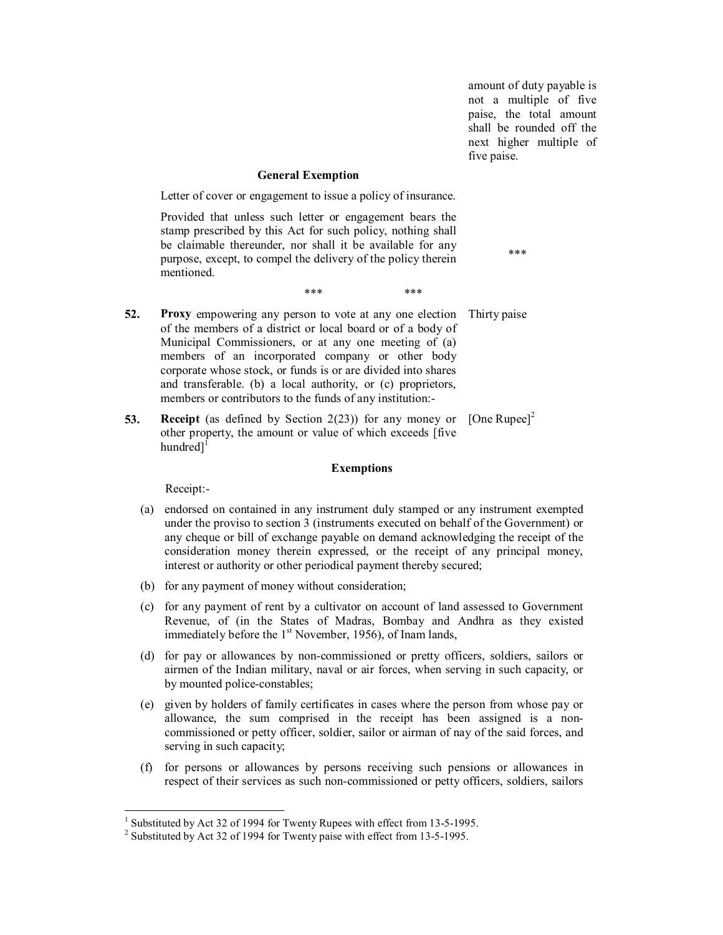amount of duty payable is not a multiple of five paise, the total amount shall be rounded off the next higher multiple of five paise.

### **General Exemption**

Letter of cover or engagement to issue a policy of insurance.

Provided that unless such letter or engagement bears the stamp prescribed by this Act for such policy, nothing shall be claimable thereunder, nor shall it be available for any purpose, except, to compel the delivery of the policy therein mentioned.

\*\*\*

\*\*\* \*\*\* \*\*\* **52. Proxy** empowering any person to vote at any one election of the members of a district or local board or of a body of Municipal Commissioners, or at any one meeting of (a) members of an incorporated company or other body corporate whose stock, or funds is or are divided into shares Thirty paise

> and transferable. (b) a local authority, or (c) proprietors, members or contributors to the funds of any institution:

**53. Receipt** (as defined by Section 2(23)) for any money or  $[One Runee]<sup>2</sup>$ other property, the amount or value of which exceeds [five hundred]<sup>[</sup>

### **Exemptions**

Receipt:

- (a) endorsed on contained in any instrument duly stamped or any instrument exempted under the proviso to section 3 (instruments executed on behalf of the Government) or any cheque or bill of exchange payable on demand acknowledging the receipt of the consideration money therein expressed, or the receipt of any principal money, interest or authority or other periodical payment thereby secured;
- (b) for any payment of money without consideration;
- (c) for any payment of rent by a cultivator on account of land assessed to Government Revenue, of (in the States of Madras, Bombay and Andhra as they existed immediately before the 1<sup>st</sup> November, 1956), of Inam lands,
- (d) for pay or allowances by noncommissioned or pretty officers, soldiers, sailors or airmen of the Indian military, naval or air forces, when serving in such capacity, or by mounted police-constables;
- (e) given by holders of family certificates in cases where the person from whose pay or allowance, the sum comprised in the receipt has been assigned is a non commissioned or petty officer, soldier, sailor or airman of nay of the said forces, and serving in such capacity;
- (f) for persons or allowances by persons receiving such pensions or allowances in respect of their services as such non-commissioned or petty officers, soldiers, sailors

<sup>&</sup>lt;sup>1</sup> Substituted by Act 32 of 1994 for Twenty Rupees with effect from 13-5-1995.<br><sup>2</sup> Substituted by Act 32 of 1994 for Twenty paise with effect from 13-5-1995.